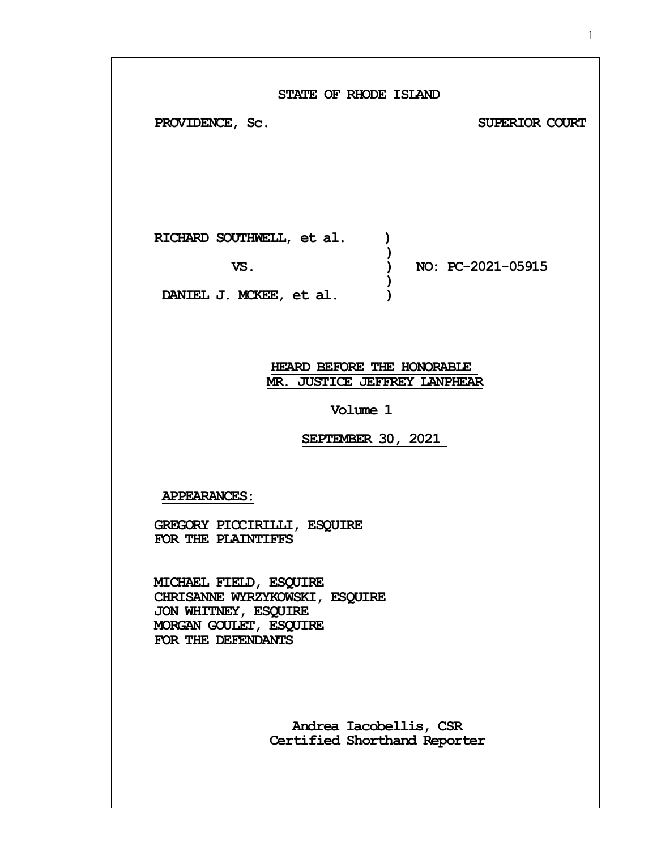| STATE OF RHODE ISLAND<br>PROVIDENCE, Sc.<br>SUPERIOR COURT                                                                           |
|--------------------------------------------------------------------------------------------------------------------------------------|
| RICHARD SOUTHWELL, et al.<br>NO: PC-2021-05915<br>VS.<br>DANIEL J. MCKEE, et al.                                                     |
| HEARD BEFORE THE HONORABLE<br>MR. JUSTICE JEFFREY LANPHEAR<br>Volume 1<br>SEPTEMBER 30, 2021                                         |
| <b>APPEARANCES:</b><br>GREGORY PICCIRILLI, ESQUIRE<br>FOR THE PLAINTIFFS<br>MICHAEL FIELD, ESQUIRE<br>CHRISANNE WYRZYKOWSKI, ESQUIRE |
| JON WHITNEY, ESQUIRE<br>MORGAN GOULET, ESQUIRE<br>FOR THE DEFENDANTS<br>Andrea Iacobellis, CSR                                       |

**Certified Shorthand Reporter**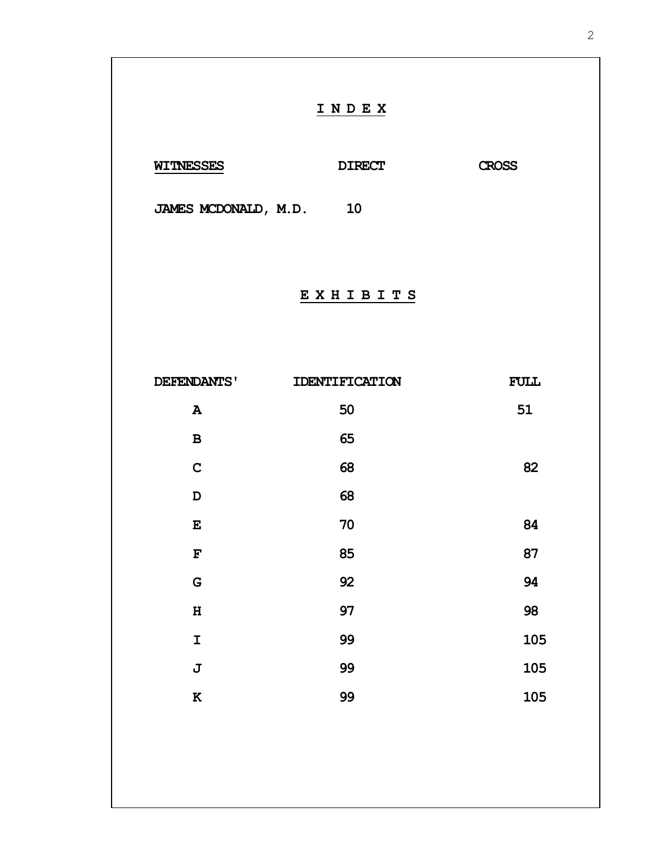|                         | INDEX          |              |
|-------------------------|----------------|--------------|
| <b>WITNESSES</b>        | <b>DIRECT</b>  | <b>CROSS</b> |
| JAMES MCDONALD, M.D. 10 |                |              |
|                         | EXHIBITS       |              |
| DEFENDANTS'             | IDENTIFICATION | FULL         |
| $\, {\bf A}$            | 50             | 51           |
| $\, {\bf B}$            | 65             |              |
| $\mathbf C$             | 68             | 82           |
| $\mathbf D$             | 68             |              |
| ${\bf E}$               | 70             | 84           |
| $\mathbf F$             | 85             | 87           |
| G                       | 92             | 94           |
| $\mathbf H$             | 97             | 98           |
| I                       | 99             | 105          |
| J                       | 99             | 105          |
| ${\bf K}$               | 99             | 105          |
|                         |                |              |
|                         |                |              |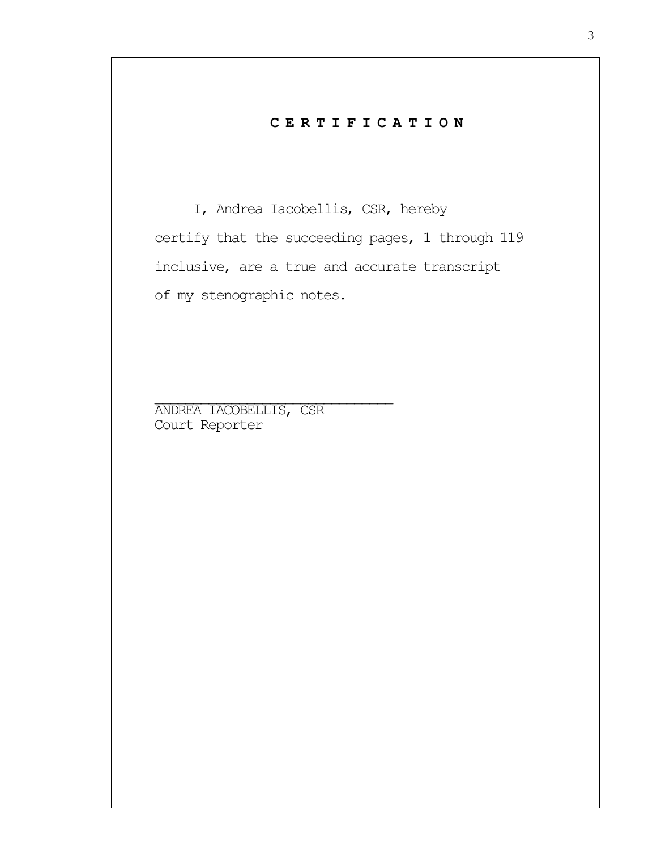## **C E R T I F I C A T I O N**

I, Andrea Iacobellis, CSR, hereby certify that the succeeding pages, 1 through 119 inclusive, are a true and accurate transcript of my stenographic notes.

ANDREA IACOBELLIS, CSR Court Reporter

 $\mathcal{L}_\text{max}$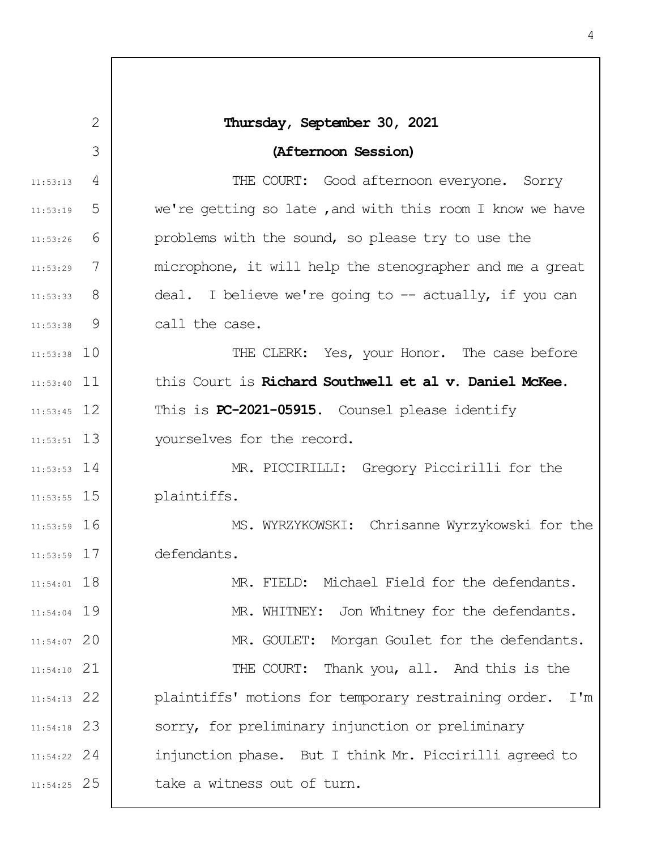|               | 2 | Thursday, September 30, 2021                             |
|---------------|---|----------------------------------------------------------|
|               | 3 | (Afternoon Session)                                      |
| 11:53:13      | 4 | THE COURT: Good afternoon everyone. Sorry                |
| 11:53:19      | 5 | we're getting so late, and with this room I know we have |
| 11:53:26      | 6 | problems with the sound, so please try to use the        |
| 11:53:29      | 7 | microphone, it will help the stenographer and me a great |
| $11:53:33$ 8  |   | deal. I believe we're going to -- actually, if you can   |
| 11:53:38      | 9 | call the case.                                           |
| $11:53:38$ 10 |   | THE CLERK: Yes, your Honor. The case before              |
| $11:53:40$ 11 |   | this Court is Richard Southwell et al v. Daniel McKee.   |
| $11:53:45$ 12 |   | This is PC-2021-05915. Counsel please identify           |
| $11:53:51$ 13 |   | yourselves for the record.                               |
| $11:53:53$ 14 |   | MR. PICCIRILLI: Gregory Piccirilli for the               |
| $11:53:55$ 15 |   | plaintiffs.                                              |
| $11:53:59$ 16 |   | MS. WYRZYKOWSKI: Chrisanne Wyrzykowski for the           |
| $11:53:59$ 17 |   | defendants.                                              |
| $11:54:01$ 18 |   | MR. FIELD: Michael Field for the defendants.             |
| $11:54:04$ 19 |   | MR. WHITNEY: Jon Whitney for the defendants.             |
| 11:54:07 20   |   | MR. GOULET: Morgan Goulet for the defendants.            |
| $11:54:10$ 21 |   | THE COURT: Thank you, all. And this is the               |
| $11:54:13$ 22 |   | plaintiffs' motions for temporary restraining order. I'm |
| $11:54:18$ 23 |   | sorry, for preliminary injunction or preliminary         |
| $11:54:22$ 24 |   | injunction phase. But I think Mr. Piccirilli agreed to   |
| $11:54:25$ 25 |   | take a witness out of turn.                              |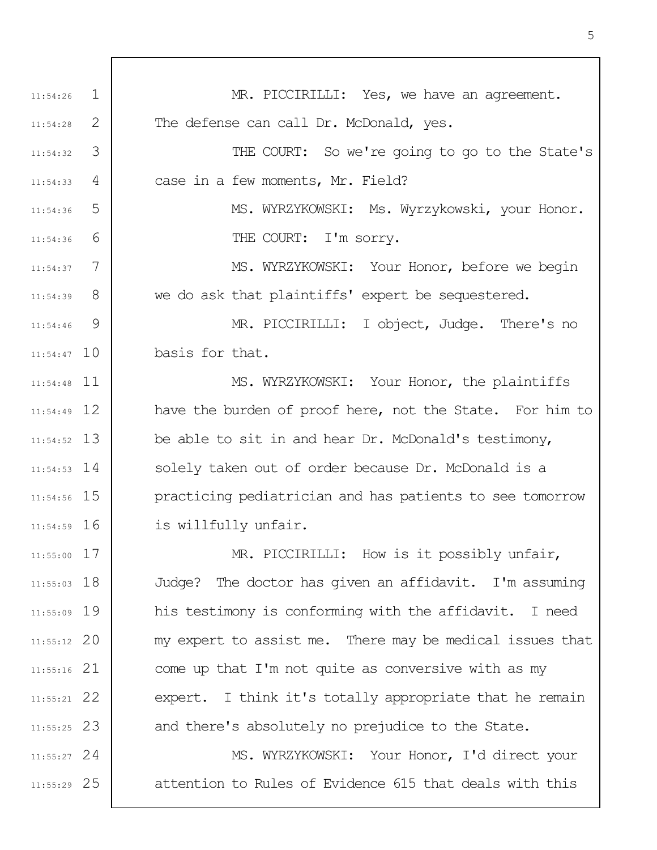1 2 3 4 5 6 7 8  $\mathsf{Q}$ 11:54:47 10 11 11:54:48 12 11:54:49 13 11:54:52 14 11:54:53 11:54:56 15 11:54:59 16 17 11:55:00 11:55:03 18 11:55:09 19 20 11:55:12 21 11:55:16 22 11:55:21 23 11:55:25 24 11:55:27 25 11:55:29 11:54:26 11:54:28 11:54:32 11:54:33 11:54:36 11:54:36 11:54:37 11:54:39 11:54:46 MR. PICCIRILLI: Yes, we have an agreement. The defense can call Dr. McDonald, yes. THE COURT: So we're going to go to the State's case in a few moments, Mr. Field? MS. WYRZYKOWSKI: Ms. Wyrzykowski, your Honor. THE COURT: I'm sorry. MS. WYRZYKOWSKI: Your Honor, before we begin we do ask that plaintiffs' expert be sequestered. MR. PICCIRILLI: I object, Judge. There's no basis for that. MS. WYRZYKOWSKI: Your Honor, the plaintiffs have the burden of proof here, not the State. For him to be able to sit in and hear Dr. McDonald's testimony, solely taken out of order because Dr. McDonald is a practicing pediatrician and has patients to see tomorrow is willfully unfair. MR. PICCIRILLI: How is it possibly unfair, Judge? The doctor has given an affidavit. I'm assuming his testimony is conforming with the affidavit. I need my expert to assist me. There may be medical issues that come up that I'm not quite as conversive with as my expert. I think it's totally appropriate that he remain and there's absolutely no prejudice to the State. MS. WYRZYKOWSKI: Your Honor, I'd direct your attention to Rules of Evidence 615 that deals with this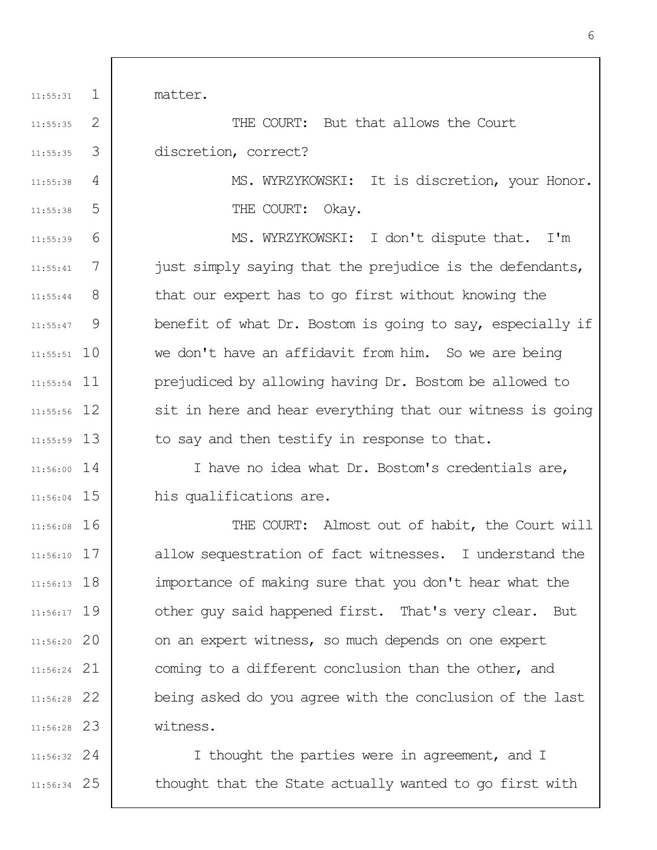1 11:55:31 matter.

4

11:55:38

11:55:38

5

2 3 11:55:35 11:55:35 THE COURT: But that allows the Court discretion, correct?

> MS. WYRZYKOWSKI: It is discretion, your Honor. THE COURT: Okav.

6 7 8 9 11:55:51 10 11 11:55:54 12 11:55:56 11:55:59 13 11:55:39 11:55:41 11:55:44 11:55:47 MS. WYRZYKOWSKI: I don't dispute that. I'm just simply saying that the prejudice is the defendants, that our expert has to go first without knowing the benefit of what Dr. Bostom is going to say, especially if we don't have an affidavit from him. So we are being prejudiced by allowing having Dr. Bostom be allowed to sit in here and hear everything that our witness is going to say and then testify in response to that.

14 11:56:00 11:56:04 15 I have no idea what Dr. Bostom's credentials are, his qualifications are.

11:56:08 16 17 11:56:10 11:56:13 18 11:56:17 19 20 11:56:20 21 11:56:24 22 11:56:28 23 11:56:28 THE COURT: Almost out of habit, the Court will allow sequestration of fact witnesses. I understand the importance of making sure that you don't hear what the other guy said happened first. That's very clear. But on an expert witness, so much depends on one expert coming to a different conclusion than the other, and being asked do you agree with the conclusion of the last witness.

24 11:56:32 25 11:56:34 I thought the parties were in agreement, and I thought that the State actually wanted to go first with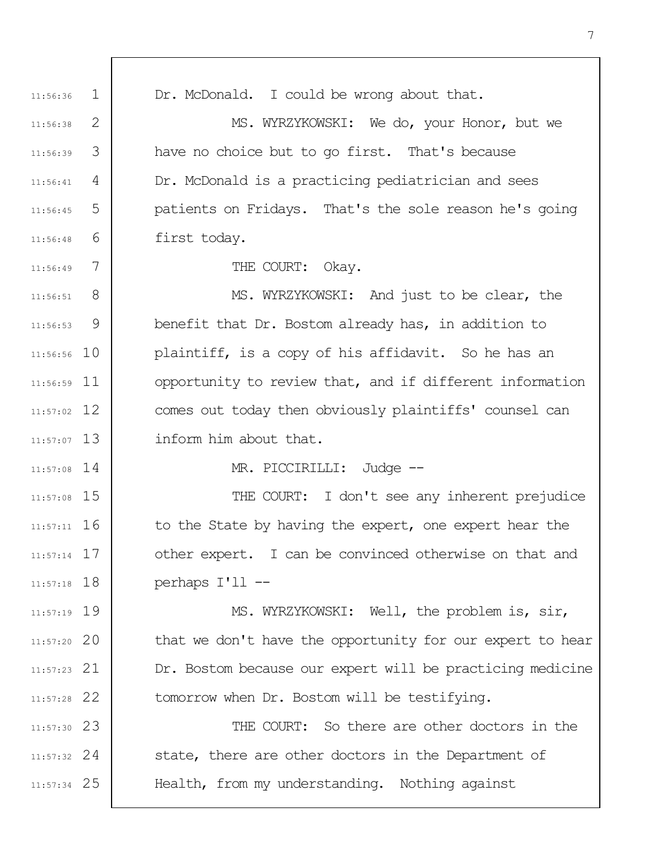1 2 3 4 5 6 7 8 9 11:56:56 10 11 11:56:59 12 11:57:02 11:57:07 13 14 11:57:08 11:57:08 15 11:57:11 16 11:57:14 17 11:57:18 18 11:57:19 19 20 11:57:20 21 11:57:23 22 11:57:28 23 11:57:30 24 11:57:32 25 11:57:34 11:56:36 11:56:38 11:56:39 11:56:41 11:56:45 11:56:48 11:56:49 11:56:51 11:56:53 Dr. McDonald. I could be wrong about that. MS. WYRZYKOWSKI: We do, your Honor, but we have no choice but to go first. That's because Dr. McDonald is a practicing pediatrician and sees patients on Fridays. That's the sole reason he's going first today. THE COURT: Okay. MS. WYRZYKOWSKI: And just to be clear, the benefit that Dr. Bostom already has, in addition to plaintiff, is a copy of his affidavit. So he has an opportunity to review that, and if different information comes out today then obviously plaintiffs' counsel can inform him about that. MR. PICCIRILLI: Judge --THE COURT: I don't see any inherent prejudice to the State by having the expert, one expert hear the other expert. I can be convinced otherwise on that and perhaps I'll -- MS. WYRZYKOWSKI: Well, the problem is, sir, that we don't have the opportunity for our expert to hear Dr. Bostom because our expert will be practicing medicine tomorrow when Dr. Bostom will be testifying. THE COURT: So there are other doctors in the state, there are other doctors in the Department of Health, from my understanding. Nothing against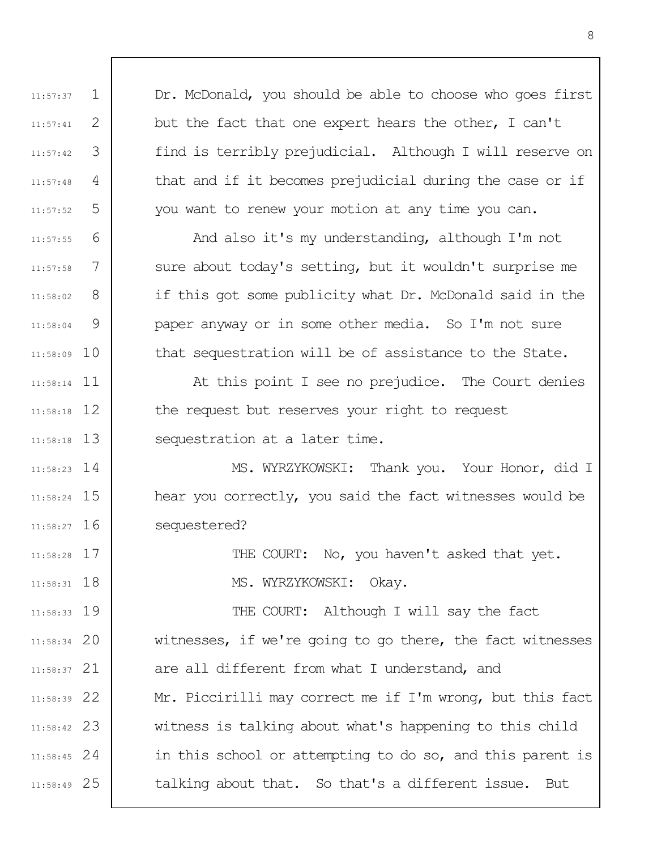Dr. McDonald, you should be able to choose who goes first but the fact that one expert hears the other, I can't find is terribly prejudicial. Although I will reserve on that and if it becomes prejudicial during the case or if you want to renew your motion at any time you can.

1

11:57:37

11:57:41

11:57:42

11:57:48

11:57:52

11:57:55

11:57:58

11:58:02

11:58:04

2

3

4

5

6

7

8

9

11:58:09 10

11 11:58:14

12 11:58:18

11:58:18 13

17 11:58:28

11:58:31 18

And also it's my understanding, although I'm not sure about today's setting, but it wouldn't surprise me if this got some publicity what Dr. McDonald said in the paper anyway or in some other media. So I'm not sure that sequestration will be of assistance to the State.

At this point I see no prejudice. The Court denies the request but reserves your right to request sequestration at a later time.

14 11:58:23 11:58:24 15 11:58:27 16 MS. WYRZYKOWSKI: Thank you. Your Honor, did I hear you correctly, you said the fact witnesses would be sequestered?

> THE COURT: No, you haven't asked that yet. MS. WYRZYKOWSKI: Okay.

11:58:33 19 20 11:58:34 21 11:58:37 22 11:58:39 23 11:58:42 24 11:58:45 25 11:58:49 THE COURT: Although I will say the fact witnesses, if we're going to go there, the fact witnesses are all different from what I understand, and Mr. Piccirilli may correct me if I'm wrong, but this fact witness is talking about what's happening to this child in this school or attempting to do so, and this parent is talking about that. So that's a different issue. But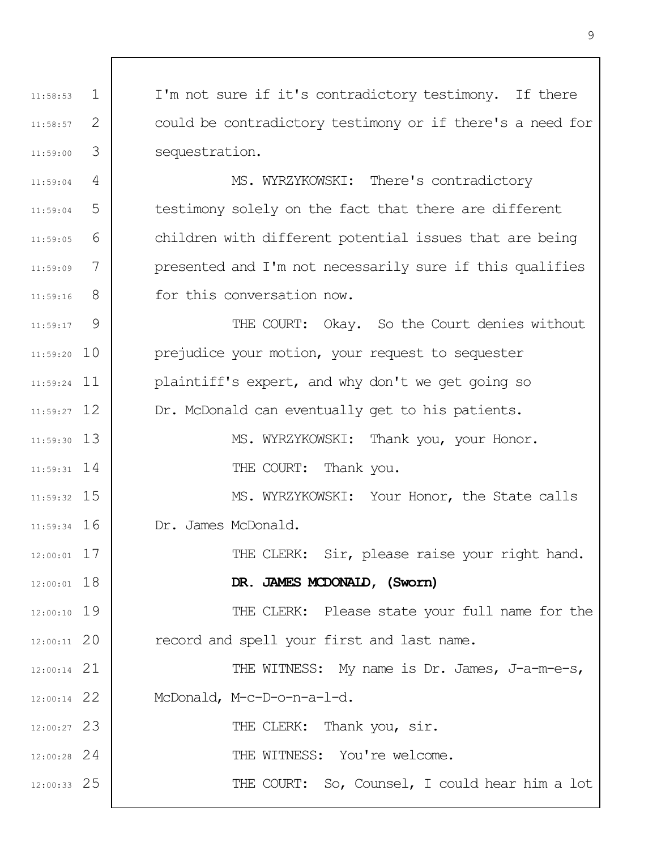1 2 3 4 5 6 7 8  $\mathsf{Q}$ 11:59:20 10 11 11:59:24 11:59:27 12 11:59:30 13 14 11:59:31 11:59:32 15 11:59:34 16 17 12:00:01 12:00:01 18 19 12:00:10 20 12:00:11 21 12:00:14 22 12:00:14 23 12:00:27 24 12:00:28 25 12:00:33 11:58:53 11:58:57 11:59:00 11:59:04 11:59:04 11:59:05 11:59:09 11:59:16 11:59:17 I'm not sure if it's contradictory testimony. If there could be contradictory testimony or if there's a need for sequestration. MS. WYRZYKOWSKI: There's contradictory testimony solely on the fact that there are different children with different potential issues that are being presented and I'm not necessarily sure if this qualifies for this conversation now. THE COURT: Okay. So the Court denies without prejudice your motion, your request to sequester plaintiff's expert, and why don't we get going so Dr. McDonald can eventually get to his patients. MS. WYRZYKOWSKI: Thank you, your Honor. THE COURT: Thank you. MS. WYRZYKOWSKI: Your Honor, the State calls Dr. James McDonald. THE CLERK: Sir, please raise your right hand. **DR. JAMES MCDONALD, (Sworn)** THE CLERK: Please state your full name for the record and spell your first and last name. THE WITNESS: My name is Dr. James, J-a-m-e-s, McDonald, M-c-D-o-n-a-l-d. THE CLERK: Thank you, sir. THE WITNESS: You're welcome. THE COURT: So, Counsel, I could hear him a lot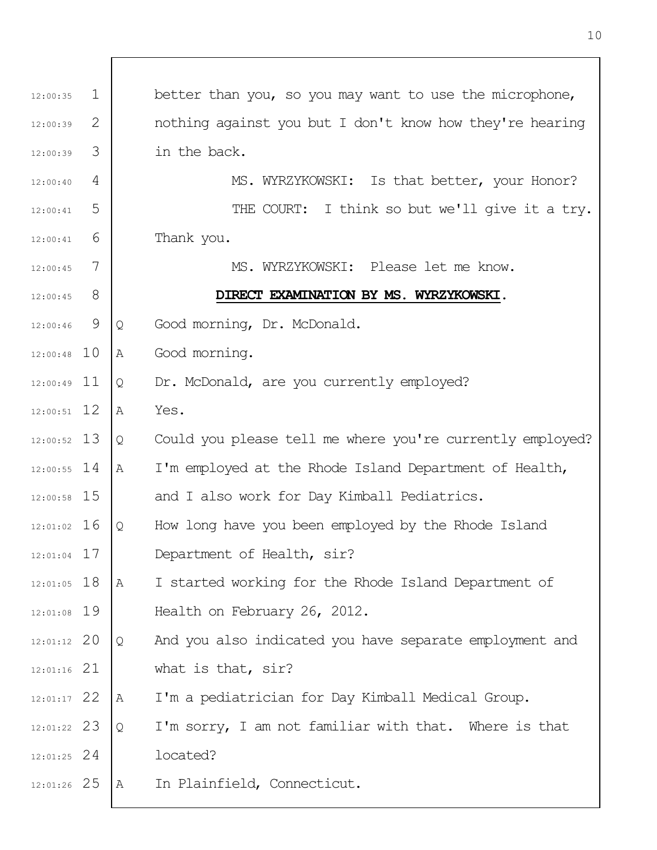| 12:00:35      | $\mathbf 1$ |   | better than you, so you may want to use the microphone,   |
|---------------|-------------|---|-----------------------------------------------------------|
| 12:00:39      | 2           |   | nothing against you but I don't know how they're hearing  |
| 12:00:39      | 3           |   | in the back.                                              |
| 12:00:40      | 4           |   | MS. WYRZYKOWSKI: Is that better, your Honor?              |
| 12:00:41      | 5           |   | THE COURT: I think so but we'll give it a try.            |
| 12:00:41      | 6           |   | Thank you.                                                |
| 12:00:45      | 7           |   | MS. WYRZYKOWSKI: Please let me know.                      |
| 12:00:45      | 8           |   | DIRECT EXAMINATION BY MS. WYRZYKOWSKI.                    |
| 12:00:46      | 9           | Q | Good morning, Dr. McDonald.                               |
| 12:00:48      | 10          | Α | Good morning.                                             |
| $12:00:49$ 11 |             | Q | Dr. McDonald, are you currently employed?                 |
| $12:00:51$ 12 |             | Α | Yes.                                                      |
| 12:00:52 13   |             | Q | Could you please tell me where you're currently employed? |
| $12:00:55$ 14 |             | A | I'm employed at the Rhode Island Department of Health,    |
| 12:00:58 15   |             |   | and I also work for Day Kimball Pediatrics.               |
| 12:01:02 16   |             | Q | How long have you been employed by the Rhode Island       |
| $12:01:04$ 17 |             |   | Department of Health, sir?                                |
| $12:01:05$ 18 |             | A | I started working for the Rhode Island Department of      |
| 12:01:08 19   |             |   | Health on February 26, 2012.                              |
| 12:01:12 20   |             | Q | And you also indicated you have separate employment and   |
| 12:01:16 21   |             |   | what is that, sir?                                        |
| 12:01:17 22   |             | Α | I'm a pediatrician for Day Kimball Medical Group.         |
| 12:01:22 23   |             | Q | I'm sorry, I am not familiar with that. Where is that     |
| 12:01:25 24   |             |   | located?                                                  |
| 12:01:26 25   |             | Α | In Plainfield, Connecticut.                               |

 $\overline{1}$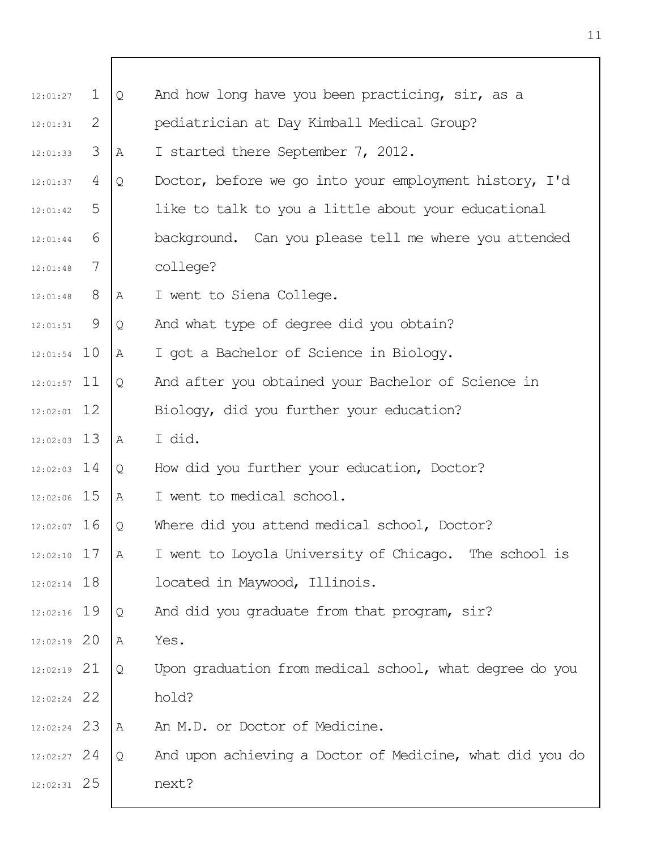| 12:01:27      | $\mathbf{1}$ | $\mathcal{Q}$ | And how long have you been practicing, sir, as a         |
|---------------|--------------|---------------|----------------------------------------------------------|
| 12:01:31      | 2            |               | pediatrician at Day Kimball Medical Group?               |
| 12:01:33      | 3            | Α             | I started there September 7, 2012.                       |
| 12:01:37      | 4            | Q             | Doctor, before we go into your employment history, I'd   |
| 12:01:42      | 5            |               | like to talk to you a little about your educational      |
| 12:01:44      | 6            |               | background. Can you please tell me where you attended    |
| 12:01:48      | 7            |               | college?                                                 |
| 12:01:48      | 8            | Α             | I went to Siena College.                                 |
| 12:01:51      | - 9          | Q             | And what type of degree did you obtain?                  |
| $12:01:54$ 10 |              | Α             | I got a Bachelor of Science in Biology.                  |
| $12:01:57$ 11 |              | Q             | And after you obtained your Bachelor of Science in       |
| $12:02:01$ 12 |              |               | Biology, did you further your education?                 |
| $12:02:03$ 13 |              | Α             | I did.                                                   |
| $12:02:03$ 14 |              | Q             | How did you further your education, Doctor?              |
| $12:02:06$ 15 |              | Α             | I went to medical school.                                |
| $12:02:07$ 16 |              | Q             | Where did you attend medical school, Doctor?             |
| $12:02:10$ 17 |              | Α             | I went to Loyola University of Chicago. The school is    |
| $12:02:14$ 18 |              |               | located in Maywood, Illinois.                            |
| $12:02:16$ 19 |              | Q             | And did you graduate from that program, sir?             |
| $12:02:19$ 20 |              | Α             | Yes.                                                     |
| $12:02:19$ 21 |              | Q             | Upon graduation from medical school, what degree do you  |
| $12:02:24$ 22 |              |               | hold?                                                    |
| $12:02:24$ 23 |              | Α             | An M.D. or Doctor of Medicine.                           |
| $12:02:27$ 24 |              | Q             | And upon achieving a Doctor of Medicine, what did you do |
| $12:02:31$ 25 |              |               | next?                                                    |
|               |              |               |                                                          |

 $\overline{\Gamma}$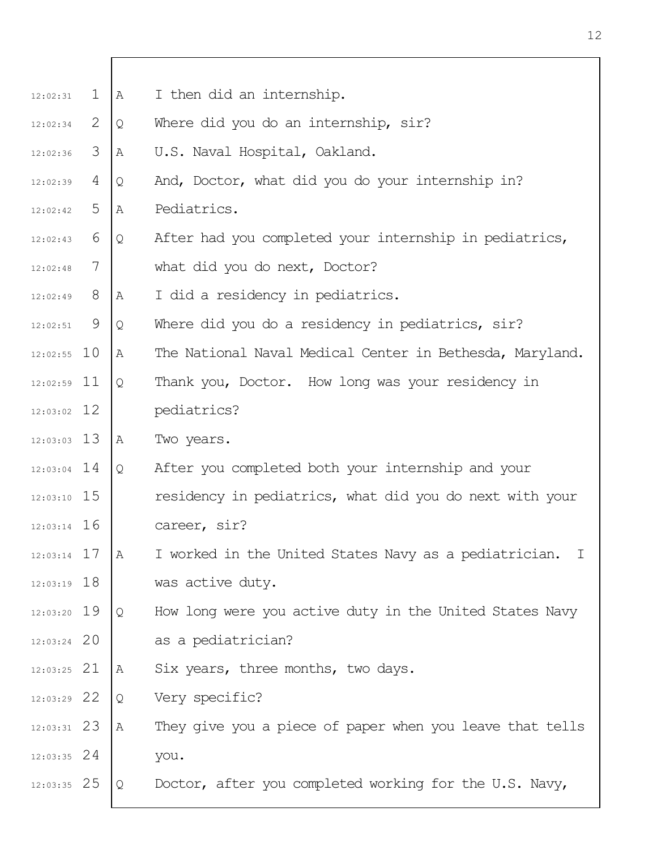| 12:02:31      | $\mathbf{1}$ | A | I then did an internship.                                |
|---------------|--------------|---|----------------------------------------------------------|
| 12:02:34      | 2            | Q | Where did you do an internship, sir?                     |
| 12:02:36      | 3            | Α | U.S. Naval Hospital, Oakland.                            |
| 12:02:39      | 4            | Q | And, Doctor, what did you do your internship in?         |
| 12:02:42      | 5            | Α | Pediatrics.                                              |
| 12:02:43      | 6            | Q | After had you completed your internship in pediatrics,   |
| 12:02:48      | 7            |   | what did you do next, Doctor?                            |
| 12:02:49      | 8            | Α | I did a residency in pediatrics.                         |
| $12:02:51$ 9  |              | Q | Where did you do a residency in pediatrics, sir?         |
| $12:02:55$ 10 |              | Α | The National Naval Medical Center in Bethesda, Maryland. |
| $12:02:59$ 11 |              | Q | Thank you, Doctor. How long was your residency in        |
| $12:03:02$ 12 |              |   | pediatrics?                                              |
| $12:03:03$ 13 |              | Α | Two years.                                               |
| $12:03:04$ 14 |              | Q | After you completed both your internship and your        |
| $12:03:10$ 15 |              |   | residency in pediatrics, what did you do next with your  |
| $12:03:14$ 16 |              |   | career, sir?                                             |
| $12:03:14$ 17 |              | Α | I worked in the United States Navy as a pediatrician. I  |
| $12:03:19$ 18 |              |   | was active duty.                                         |
| $12:03:20$ 19 |              | Q | How long were you active duty in the United States Navy  |
| $12:03:24$ 20 |              |   | as a pediatrician?                                       |
| $12:03:25$ 21 |              | Α | Six years, three months, two days.                       |
| $12:03:29$ 22 |              | Q | Very specific?                                           |
| $12:03:31$ 23 |              | A | They give you a piece of paper when you leave that tells |
| $12:03:35$ 24 |              |   | you.                                                     |
| $12:03:35$ 25 |              | Q | Doctor, after you completed working for the U.S. Navy,   |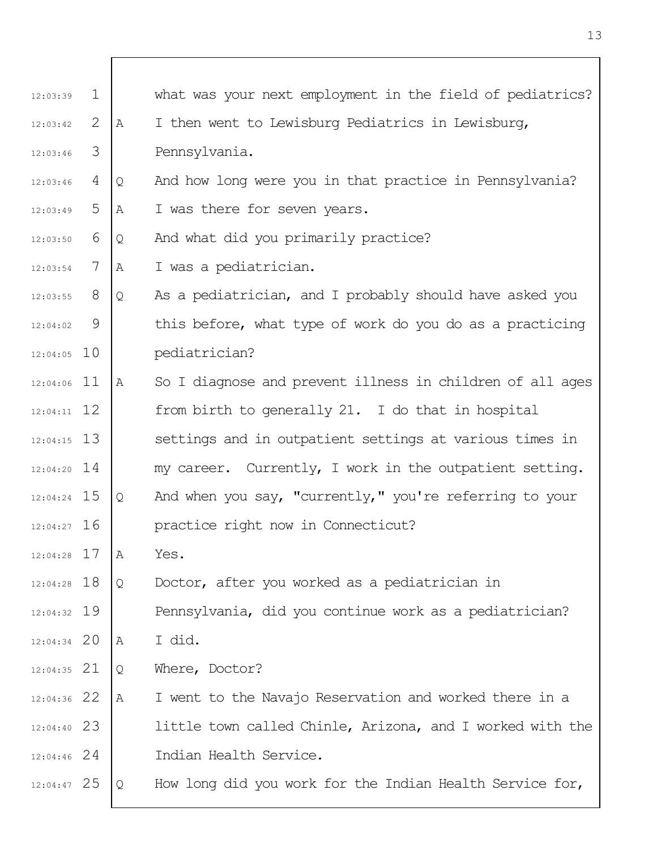| 12:03:39      | $\mathbf 1$ |   | what was your next employment in the field of pediatrics? |
|---------------|-------------|---|-----------------------------------------------------------|
| 12:03:42      | 2           | A | I then went to Lewisburg Pediatrics in Lewisburg,         |
| 12:03:46      | 3           |   | Pennsylvania.                                             |
| 12:03:46      | 4           | Q | And how long were you in that practice in Pennsylvania?   |
| 12:03:49      | 5           | Α | I was there for seven years.                              |
| 12:03:50      | 6           | Q | And what did you primarily practice?                      |
| 12:03:54      | 7           | Α | I was a pediatrician.                                     |
| 12:03:55      | 8           | Q | As a pediatrician, and I probably should have asked you   |
| 12:04:02      | 9           |   | this before, what type of work do you do as a practicing  |
| $12:04:05$ 10 |             |   | pediatrician?                                             |
| $12:04:06$ 11 |             | A | So I diagnose and prevent illness in children of all ages |
| $12:04:11$ 12 |             |   | from birth to generally 21. I do that in hospital         |
| $12:04:15$ 13 |             |   | settings and in outpatient settings at various times in   |
| $12:04:20$ 14 |             |   | my career. Currently, I work in the outpatient setting.   |
| $12:04:24$ 15 |             | Q | And when you say, "currently," you're referring to your   |
| $12:04:27$ 16 |             |   | practice right now in Connecticut?                        |
| 12:04:28 17   |             | Α | Yes.                                                      |
| 12:04:28 18   |             | Q | Doctor, after you worked as a pediatrician in             |
| $12:04:32$ 19 |             |   | Pennsylvania, did you continue work as a pediatrician?    |
| $12:04:34$ 20 |             | Α | I did.                                                    |
| $12:04:35$ 21 |             | Q | Where, Doctor?                                            |
| 12:04:36 22   |             | Α | I went to the Navajo Reservation and worked there in a    |
| $12:04:40$ 23 |             |   | little town called Chinle, Arizona, and I worked with the |
| $12:04:46$ 24 |             |   | Indian Health Service.                                    |
| $12:04:47$ 25 |             | Q | How long did you work for the Indian Health Service for,  |

 $\overline{1}$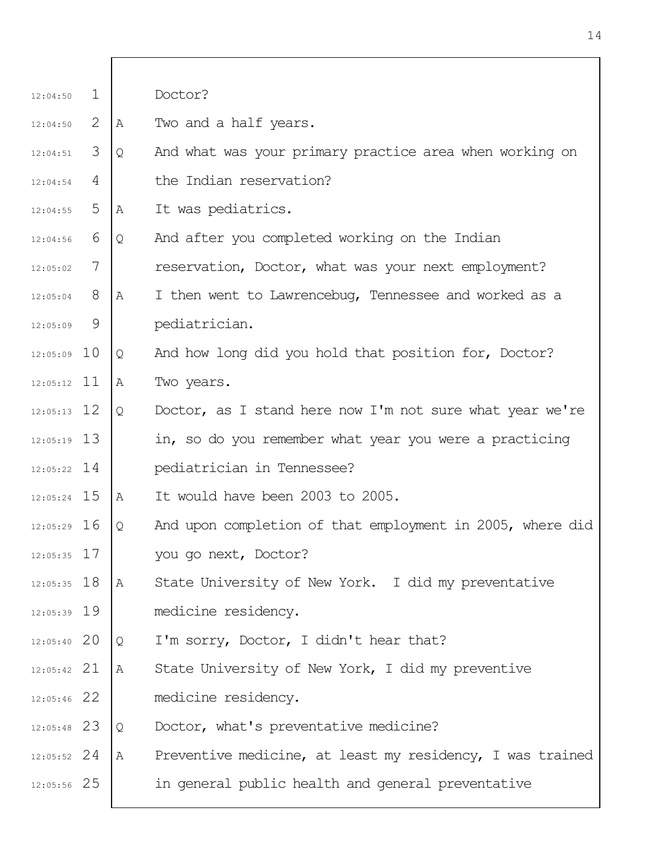| 12:04:50      | $\mathbf{1}$ |   | Doctor?                                                   |
|---------------|--------------|---|-----------------------------------------------------------|
| 12:04:50      | 2            | Α | Two and a half years.                                     |
| 12:04:51      | 3            | Q | And what was your primary practice area when working on   |
| 12:04:54      | 4            |   | the Indian reservation?                                   |
| 12:04:55      | 5            | Α | It was pediatrics.                                        |
| 12:04:56      | 6            | Q | And after you completed working on the Indian             |
| 12:05:02      | 7            |   | reservation, Doctor, what was your next employment?       |
| 12:05:04      | 8            | Α | I then went to Lawrencebug, Tennessee and worked as a     |
| 12:05:09      | 9            |   | pediatrician.                                             |
| $12:05:09$ 10 |              | Q | And how long did you hold that position for, Doctor?      |
| $12:05:12$ 11 |              | Α | Two years.                                                |
| $12:05:13$ 12 |              | Q | Doctor, as I stand here now I'm not sure what year we're  |
| $12:05:19$ 13 |              |   | in, so do you remember what year you were a practicing    |
| $12:05:22$ 14 |              |   | pediatrician in Tennessee?                                |
| $12:05:24$ 15 |              | Α | It would have been 2003 to 2005.                          |
| $12:05:29$ 16 |              | Q | And upon completion of that employment in 2005, where did |
| $12:05:35$ 17 |              |   | you go next, Doctor?                                      |
| $12:05:35$ 18 |              | A | State University of New York. I did my preventative       |
| $12:05:39$ 19 |              |   | medicine residency.                                       |
| $12:05:40$ 20 |              | Q | I'm sorry, Doctor, I didn't hear that?                    |
| $12:05:42$ 21 |              | Α | State University of New York, I did my preventive         |
| $12:05:46$ 22 |              |   | medicine residency.                                       |
| $12:05:48$ 23 |              | Q | Doctor, what's preventative medicine?                     |
| $12:05:52$ 24 |              | Α | Preventive medicine, at least my residency, I was trained |
| $12:05:56$ 25 |              |   | in general public health and general preventative         |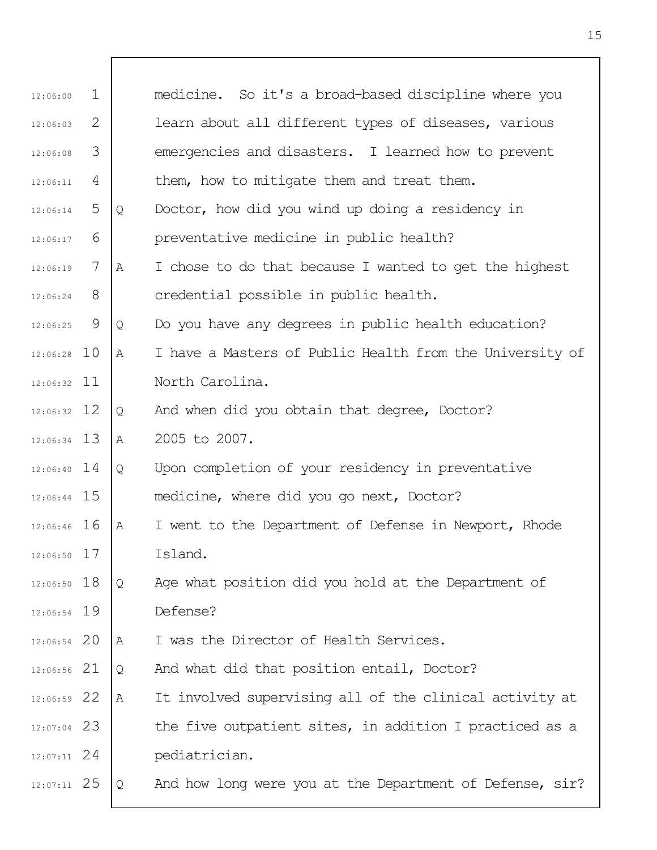| 12:06:00      | 1 |   | medicine. So it's a broad-based discipline where you     |
|---------------|---|---|----------------------------------------------------------|
| 12:06:03      | 2 |   | learn about all different types of diseases, various     |
| 12:06:08      | 3 |   | emergencies and disasters. I learned how to prevent      |
| 12:06:11      | 4 |   | them, how to mitigate them and treat them.               |
| 12:06:14      | 5 | Q | Doctor, how did you wind up doing a residency in         |
| 12:06:17      | 6 |   | preventative medicine in public health?                  |
| 12:06:19      | 7 | Α | I chose to do that because I wanted to get the highest   |
| 12:06:24      | 8 |   | credential possible in public health.                    |
| 12:06:25      | 9 | Q | Do you have any degrees in public health education?      |
| $12:06:28$ 10 |   | A | I have a Masters of Public Health from the University of |
| $12:06:32$ 11 |   |   | North Carolina.                                          |
| $12:06:32$ 12 |   | Q | And when did you obtain that degree, Doctor?             |
| 12:06:34 13   |   | Α | 2005 to 2007.                                            |
| $12:06:40$ 14 |   | Q | Upon completion of your residency in preventative        |
| $12:06:44$ 15 |   |   | medicine, where did you go next, Doctor?                 |
| 12:06:46 16   |   | Α | I went to the Department of Defense in Newport, Rhode    |
| $12:06:50$ 17 |   |   | Island.                                                  |
| $12:06:50$ 18 |   | Q | Age what position did you hold at the Department of      |
| 12:06:54 19   |   |   | Defense?                                                 |
| $12:06:54$ 20 |   | Α | I was the Director of Health Services.                   |
| 12:06:56 21   |   | Q | And what did that position entail, Doctor?               |
| 12:06:59 22   |   | Α | It involved supervising all of the clinical activity at  |
| $12:07:04$ 23 |   |   | the five outpatient sites, in addition I practiced as a  |
| $12:07:11$ 24 |   |   | pediatrician.                                            |
| $12:07:11$ 25 |   | Q | And how long were you at the Department of Defense, sir? |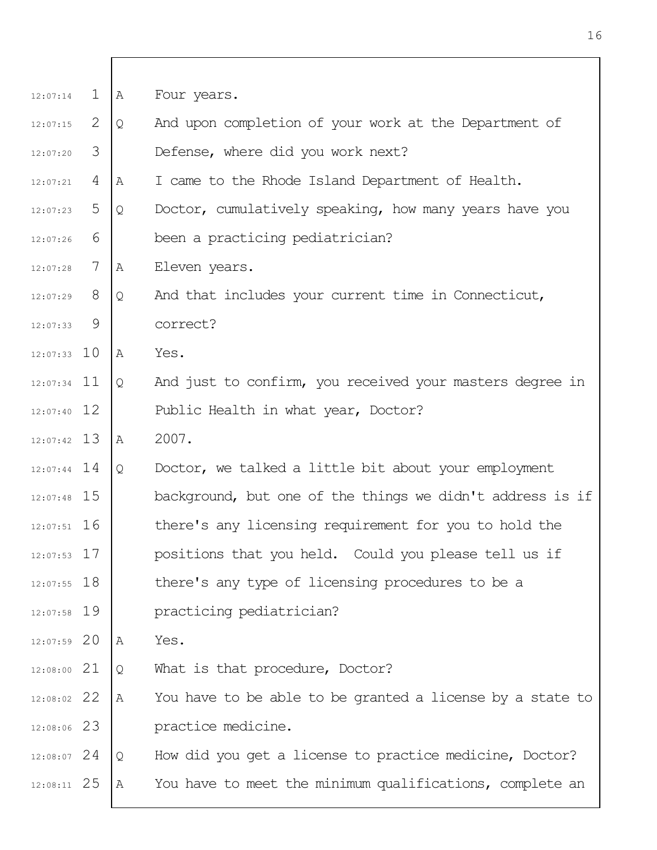| 12:07:14      | $\mathbf{1}$   | A            | Four years.                                               |
|---------------|----------------|--------------|-----------------------------------------------------------|
| 12:07:15      | 2              | Q            | And upon completion of your work at the Department of     |
| 12:07:20      | 3              |              | Defense, where did you work next?                         |
| 12:07:21      | $\overline{4}$ | Α            | I came to the Rhode Island Department of Health.          |
| 12:07:23      | 5              | Q            | Doctor, cumulatively speaking, how many years have you    |
| 12:07:26      | 6              |              | been a practicing pediatrician?                           |
| 12:07:28      | 7              | Α            | Eleven years.                                             |
| 12:07:29      | 8              | Q            | And that includes your current time in Connecticut,       |
| 12:07:33      | 9              |              | correct?                                                  |
| $12:07:33$ 10 |                | A            | Yes.                                                      |
| $12:07:34$ 11 |                | Q            | And just to confirm, you received your masters degree in  |
| $12:07:40$ 12 |                |              | Public Health in what year, Doctor?                       |
| $12:07:42$ 13 |                | A            | 2007.                                                     |
| $12:07:44$ 14 |                | Q            | Doctor, we talked a little bit about your employment      |
| $12:07:48$ 15 |                |              | background, but one of the things we didn't address is if |
| $12:07:51$ 16 |                |              | there's any licensing requirement for you to hold the     |
| $12:07:53$ 17 |                |              | positions that you held. Could you please tell us if      |
| $12:07:55$ 18 |                |              | there's any type of licensing procedures to be a          |
| $12:07:58$ 19 |                |              | practicing pediatrician?                                  |
| $12:07:59$ 20 |                | $\mathbb{A}$ | Yes.                                                      |
| $12:08:00$ 21 |                | Q            | What is that procedure, Doctor?                           |
| 12:08:02 22   |                | Α            | You have to be able to be granted a license by a state to |
| 12:08:06 23   |                |              | practice medicine.                                        |
| $12:08:07$ 24 |                | Q            | How did you get a license to practice medicine, Doctor?   |
| $12:08:11$ 25 |                | Α            | You have to meet the minimum qualifications, complete an  |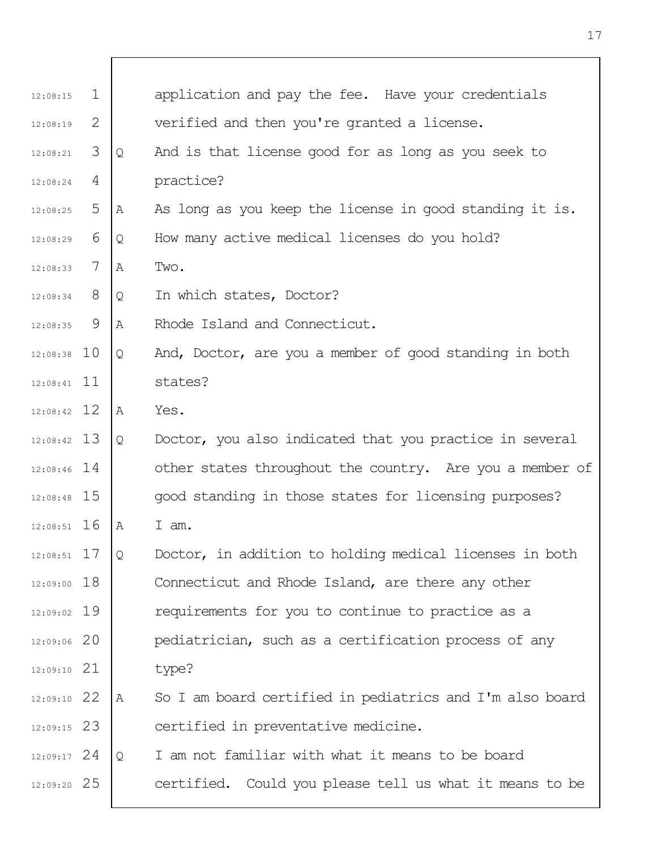| 12:08:15      | $\mathbf{1}$ |   | application and pay the fee. Have your credentials       |
|---------------|--------------|---|----------------------------------------------------------|
| 12:08:19      | 2            |   | verified and then you're granted a license.              |
| 12:08:21      | 3            | Q | And is that license good for as long as you seek to      |
| 12:08:24      | 4            |   | practice?                                                |
| 12:08:25      | 5            | Α | As long as you keep the license in good standing it is.  |
| 12:08:29      | 6            | Q | How many active medical licenses do you hold?            |
| 12:08:33      | 7            | Α | Two.                                                     |
| 12:08:34      | 8            | Q | In which states, Doctor?                                 |
| 12:08:35      | 9            | A | Rhode Island and Connecticut.                            |
| $12:08:38$ 10 |              | Q | And, Doctor, are you a member of good standing in both   |
| $12:08:41$ 11 |              |   | states?                                                  |
| $12:08:42$ 12 |              | A | Yes.                                                     |
| $12:08:42$ 13 |              | Q | Doctor, you also indicated that you practice in several  |
| $12:08:46$ 14 |              |   | other states throughout the country. Are you a member of |
| 12:08:48 15   |              |   | good standing in those states for licensing purposes?    |
| $12:08:51$ 16 |              | A | I am.                                                    |
| $12:08:51$ 17 |              | Q | Doctor, in addition to holding medical licenses in both  |
| 12:09:00 18   |              |   | Connecticut and Rhode Island, are there any other        |
| $12:09:02$ 19 |              |   | requirements for you to continue to practice as a        |
| 12:09:06 20   |              |   | pediatrician, such as a certification process of any     |
| $12:09:10$ 21 |              |   | type?                                                    |
| $12:09:10$ 22 |              | Α | So I am board certified in pediatrics and I'm also board |
| $12:09:15$ 23 |              |   | certified in preventative medicine.                      |
| $12:09:17$ 24 |              | Q | I am not familiar with what it means to be board         |
| 12:09:20 25   |              |   | certified. Could you please tell us what it means to be  |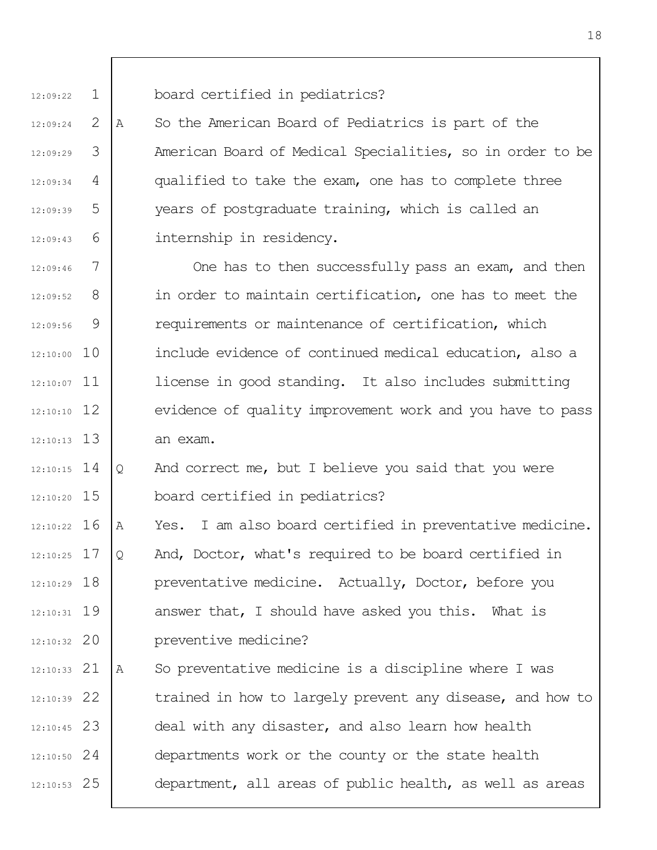1 12:09:22

12:09:24

12:09:29

12:09:34

12:09:39

12:09:43

2

3

4

5

6

A So the American Board of Pediatrics is part of the American Board of Medical Specialities, so in order to be qualified to take the exam, one has to complete three years of postgraduate training, which is called an internship in residency.

board certified in pediatrics?

7 8 9 12:10:00 10 12:10:07 11 12 12:10:10 13 12:10:13 12:09:46 12:09:52 12:09:56 One has to then successfully pass an exam, and then in order to maintain certification, one has to meet the requirements or maintenance of certification, which include evidence of continued medical education, also a license in good standing. It also includes submitting evidence of quality improvement work and you have to pass an exam.

14 12:10:15 15 12:10:20 Q And correct me, but I believe you said that you were board certified in pediatrics?

12:10:22 16 17 12:10:25 12:10:29 18 19 12:10:31 12:10:32 20 A Yes. I am also board certified in preventative medicine. Q And, Doctor, what's required to be board certified in preventative medicine. Actually, Doctor, before you answer that, I should have asked you this. What is preventive medicine?

21 12:10:33 22 12:10:39 23 12:10:45 24 12:10:50 25 12:10:53 A So preventative medicine is a discipline where I was trained in how to largely prevent any disease, and how to deal with any disaster, and also learn how health departments work or the county or the state health department, all areas of public health, as well as areas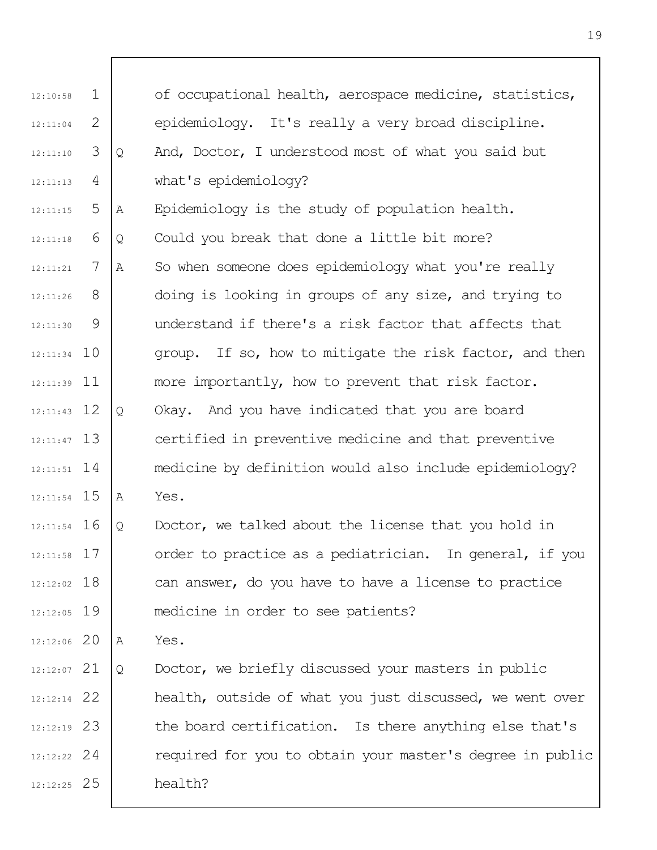| 12:10:58      | $\mathbf 1$ |   | of occupational health, aerospace medicine, statistics,   |
|---------------|-------------|---|-----------------------------------------------------------|
| 12:11:04      | 2           |   | epidemiology. It's really a very broad discipline.        |
| 12:11:10      | 3           | Q | And, Doctor, I understood most of what you said but       |
| 12:11:13      | 4           |   | what's epidemiology?                                      |
| 12:11:15      | 5           | Α | Epidemiology is the study of population health.           |
| 12:11:18      | 6           | Q | Could you break that done a little bit more?              |
| 12:11:21      | 7           | Α | So when someone does epidemiology what you're really      |
| 12:11:26      | 8           |   | doing is looking in groups of any size, and trying to     |
| 12:11:30      | 9           |   | understand if there's a risk factor that affects that     |
| $12:11:34$ 10 |             |   | group. If so, how to mitigate the risk factor, and then   |
| $12:11:39$ 11 |             |   | more importantly, how to prevent that risk factor.        |
| $12:11:43$ 12 |             | Q | Okay. And you have indicated that you are board           |
| $12:11:47$ 13 |             |   | certified in preventive medicine and that preventive      |
| $12:11:51$ 14 |             |   | medicine by definition would also include epidemiology?   |
| $12:11:54$ 15 |             | Α | Yes.                                                      |
| $12:11:54$ 16 |             | Q | Doctor, we talked about the license that you hold in      |
| $12:11:58$ 17 |             |   | order to practice as a pediatrician. In general, if you   |
| $12:12:02$ 18 |             |   | can answer, do you have to have a license to practice     |
| $12:12:05$ 19 |             |   | medicine in order to see patients?                        |
| $12:12:06$ 20 |             | Α | Yes.                                                      |
| $12:12:07$ 21 |             | Q | Doctor, we briefly discussed your masters in public       |
| $12:12:14$ 22 |             |   | health, outside of what you just discussed, we went over  |
| $12:12:19$ 23 |             |   | the board certification. Is there anything else that's    |
| $12:12:22$ 24 |             |   | required for you to obtain your master's degree in public |
| $12:12:25$ 25 |             |   | health?                                                   |
|               |             |   |                                                           |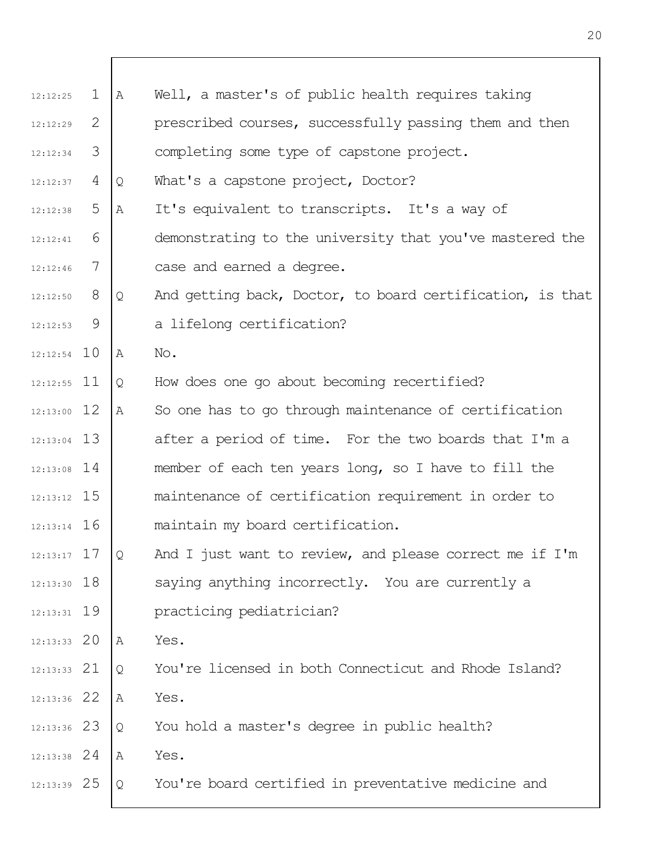| 12:12:25      | $\mathbf 1$ | Α | Well, a master's of public health requires taking         |
|---------------|-------------|---|-----------------------------------------------------------|
| 12:12:29      | 2           |   | prescribed courses, successfully passing them and then    |
| 12:12:34      | 3           |   | completing some type of capstone project.                 |
| 12:12:37      | 4           | Q | What's a capstone project, Doctor?                        |
| 12:12:38      | 5           | Α | It's equivalent to transcripts. It's a way of             |
| 12:12:41      | 6           |   | demonstrating to the university that you've mastered the  |
| 12:12:46      | 7           |   | case and earned a degree.                                 |
| 12:12:50      | 8           | Q | And getting back, Doctor, to board certification, is that |
| 12:12:53      | 9           |   | a lifelong certification?                                 |
| $12:12:54$ 10 |             | Α | No.                                                       |
| $12:12:55$ 11 |             | Q | How does one go about becoming recertified?               |
| $12:13:00$ 12 |             | Α | So one has to go through maintenance of certification     |
| $12:13:04$ 13 |             |   | after a period of time. For the two boards that I'm a     |
| $12:13:08$ 14 |             |   | member of each ten years long, so I have to fill the      |
| $12:13:12$ 15 |             |   | maintenance of certification requirement in order to      |
| $12:13:14$ 16 |             |   | maintain my board certification.                          |
| $12:13:17$ 17 |             | Q | And I just want to review, and please correct me if I'm   |
| $12:13:30$ 18 |             |   | saying anything incorrectly. You are currently a          |
| $12:13:31$ 19 |             |   | practicing pediatrician?                                  |
| $12:13:33$ 20 |             | Α | Yes.                                                      |
| $12:13:33$ 21 |             | Q | You're licensed in both Connecticut and Rhode Island?     |
| $12:13:36$ 22 |             | Α | Yes.                                                      |
| $12:13:36$ 23 |             | Q | You hold a master's degree in public health?              |
| $12:13:38$ 24 |             | Α | Yes.                                                      |
| $12:13:39$ 25 |             | Q | You're board certified in preventative medicine and       |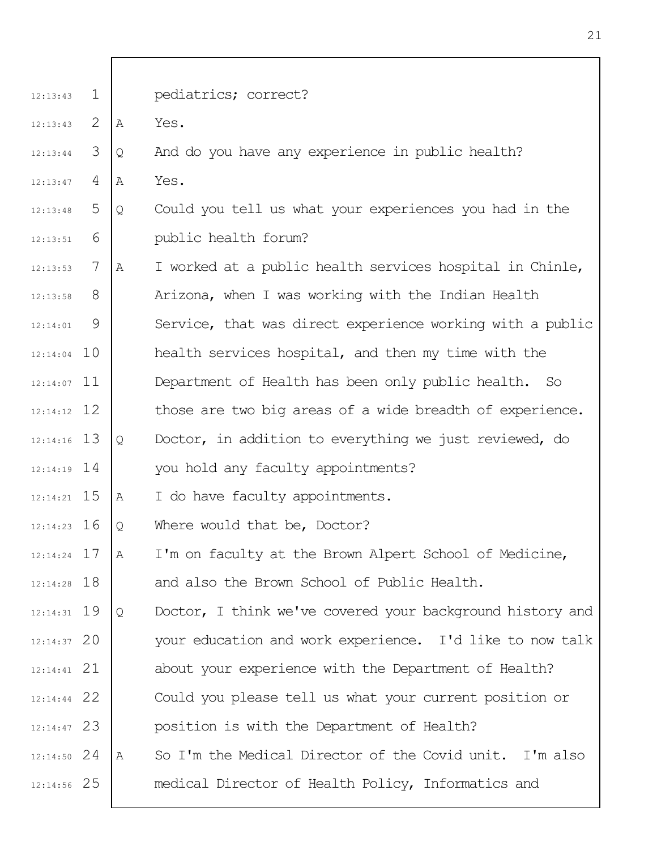| 12:13:43      | $\mathbf{1}$ |   | pediatrics; correct?                                      |
|---------------|--------------|---|-----------------------------------------------------------|
| 12:13:43      | 2            | Α | Yes.                                                      |
| 12:13:44      | 3            | Q | And do you have any experience in public health?          |
| 12:13:47      | 4            | Α | Yes.                                                      |
| 12:13:48      | 5            | Q | Could you tell us what your experiences you had in the    |
| 12:13:51      | 6            |   | public health forum?                                      |
| 12:13:53      | 7            | Α | I worked at a public health services hospital in Chinle,  |
| 12:13:58      | 8            |   | Arizona, when I was working with the Indian Health        |
| 12:14:01      | 9            |   | Service, that was direct experience working with a public |
| $12:14:04$ 10 |              |   | health services hospital, and then my time with the       |
| $12:14:07$ 11 |              |   | Department of Health has been only public health. So      |
| $12:14:12$ 12 |              |   | those are two big areas of a wide breadth of experience.  |
| $12:14:16$ 13 |              | Q | Doctor, in addition to everything we just reviewed, do    |
| $12:14:19$ 14 |              |   | you hold any faculty appointments?                        |
| $12:14:21$ 15 |              | Α | I do have faculty appointments.                           |
| $12:14:23$ 16 |              | Q | Where would that be, Doctor?                              |
| $12:14:24$ 17 |              | A | I'm on faculty at the Brown Alpert School of Medicine,    |
| $12:14:28$ 18 |              |   | and also the Brown School of Public Health.               |
| $12:14:31$ 19 |              | Q | Doctor, I think we've covered your background history and |
| $12:14:37$ 20 |              |   | your education and work experience. I'd like to now talk  |
| $12:14:41$ 21 |              |   | about your experience with the Department of Health?      |
| $12:14:44$ 22 |              |   | Could you please tell us what your current position or    |
| 12:14:47 23   |              |   | position is with the Department of Health?                |
| $12:14:50$ 24 |              | Α | So I'm the Medical Director of the Covid unit. I'm also   |
| $12:14:56$ 25 |              |   | medical Director of Health Policy, Informatics and        |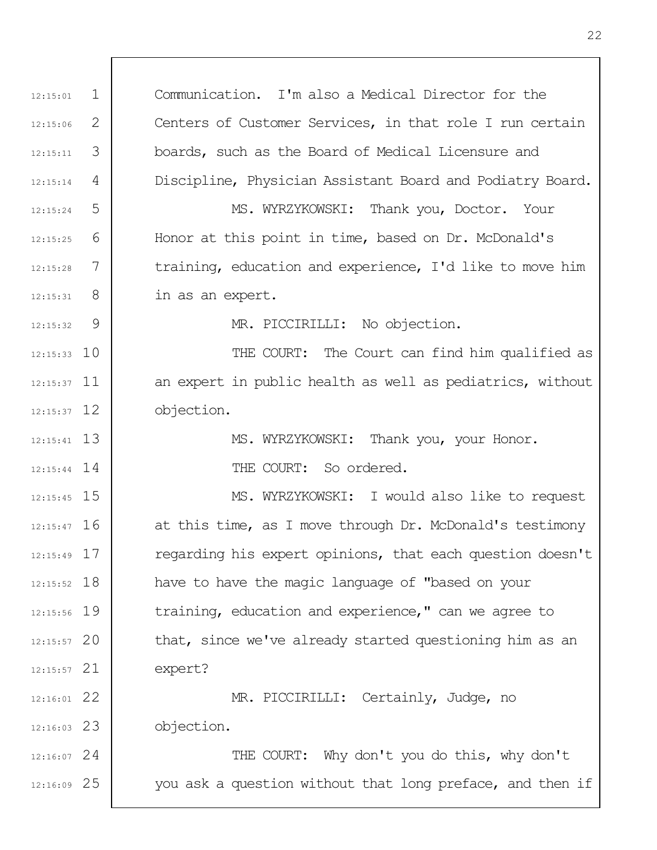1 2 3 4 5 6 7 8  $\mathsf{Q}$ 10 12:15:37 11 12 12:15:37 13 12:15:41 12:15:44 14 12:15:45 15 12:15:47 16 17 12:15:49 12:15:52 18 19 12:15:56 20 12:15:57 21 12:15:57 22 12:16:01 23 12:16:03 24 12:16:07 25 12:16:09 12:15:01  $12.15:06$ 12:15:11 12:15:14 12:15:24 12:15:25 12:15:28 12:15:31  $12:15:32$ Communication. I'm also a Medical Director for the Centers of Customer Services, in that role I run certain boards, such as the Board of Medical Licensure and Discipline, Physician Assistant Board and Podiatry Board. MS. WYRZYKOWSKI: Thank you, Doctor. Your Honor at this point in time, based on Dr. McDonald's training, education and experience, I'd like to move him in as an expert. MR. PICCIRILLI: No objection. THE COURT: The Court can find him qualified as an expert in public health as well as pediatrics, without objection. MS. WYRZYKOWSKI: Thank you, your Honor. THE COURT: So ordered. MS. WYRZYKOWSKI: I would also like to request at this time, as I move through Dr. McDonald's testimony regarding his expert opinions, that each question doesn't have to have the magic language of "based on your training, education and experience," can we agree to that, since we've already started questioning him as an expert? MR. PICCIRILLI: Certainly, Judge, no objection. THE COURT: Why don't you do this, why don't you ask a question without that long preface, and then if

22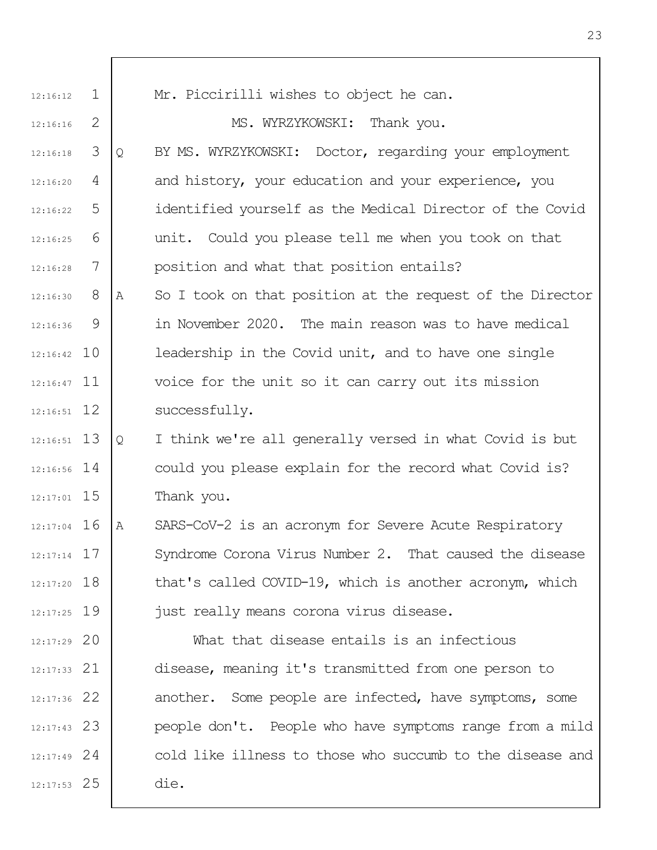| 12:16:12      | $\mathbf{1}$ | Mr. Piccirilli wishes to object he can.                        |
|---------------|--------------|----------------------------------------------------------------|
| 12:16:16      | 2            | MS. WYRZYKOWSKI: Thank you.                                    |
| 12:16:18      | 3            | BY MS. WYRZYKOWSKI: Doctor, regarding your employment<br>Q     |
| 12:16:20      | 4            | and history, your education and your experience, you           |
| 12:16:22      | 5            | identified yourself as the Medical Director of the Covid       |
| 12:16:25      | 6            | unit. Could you please tell me when you took on that           |
| 12:16:28      | 7            | position and what that position entails?                       |
| 12:16:30      | 8            | So I took on that position at the request of the Director<br>Α |
| 12:16:36      | 9            | in November 2020. The main reason was to have medical          |
| $12:16:42$ 10 |              | leadership in the Covid unit, and to have one single           |
| $12:16:47$ 11 |              | voice for the unit so it can carry out its mission             |
| $12:16:51$ 12 |              | successfully.                                                  |
| $12:16:51$ 13 |              | I think we're all generally versed in what Covid is but<br>Q   |
| $12:16:56$ 14 |              | could you please explain for the record what Covid is?         |
| $12:17:01$ 15 |              | Thank you.                                                     |
| $12:17:04$ 16 |              | SARS-CoV-2 is an acronym for Severe Acute Respiratory<br>Α     |
| $12:17:14$ 17 |              | Syndrome Corona Virus Number 2. That caused the disease        |
| $12:17:20$ 18 |              | that's called COVID-19, which is another acronym, which        |
| $12:17:25$ 19 |              | just really means corona virus disease.                        |
| $12:17:29$ 20 |              | What that disease entails is an infectious                     |
| $12:17:33$ 21 |              | disease, meaning it's transmitted from one person to           |
| $12:17:36$ 22 |              | another. Some people are infected, have symptoms, some         |
| $12:17:43$ 23 |              | people don't. People who have symptoms range from a mild       |
| $12:17:49$ 24 |              | cold like illness to those who succumb to the disease and      |
| $12:17:53$ 25 |              | die.                                                           |
|               |              |                                                                |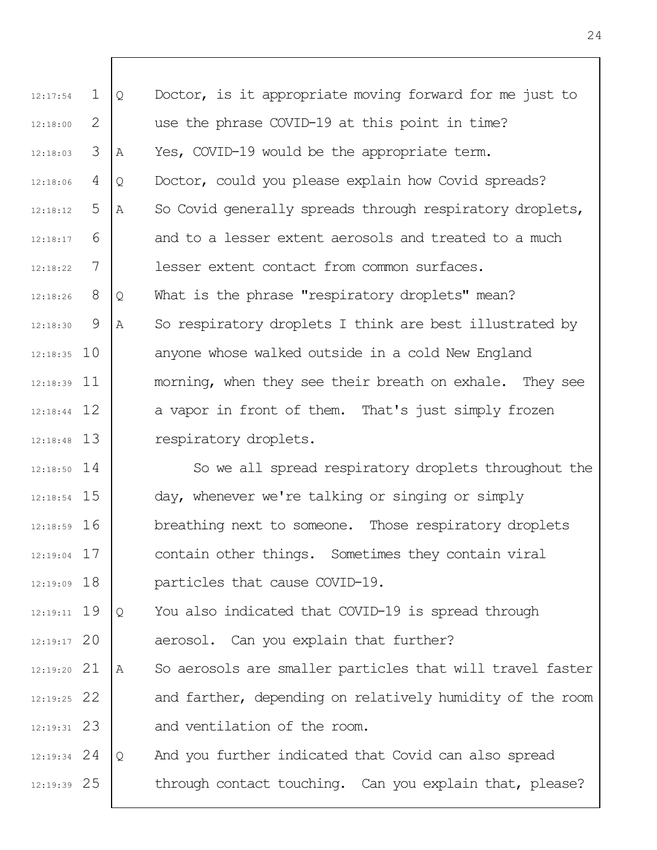| 12:17:54      | $\mathbf{1}$ | Q | Doctor, is it appropriate moving forward for me just to   |
|---------------|--------------|---|-----------------------------------------------------------|
| 12:18:00      | 2            |   | use the phrase COVID-19 at this point in time?            |
| 12:18:03      | 3            | Α | Yes, COVID-19 would be the appropriate term.              |
| 12:18:06      | 4            | Q | Doctor, could you please explain how Covid spreads?       |
| 12:18:12      | 5            | Α | So Covid generally spreads through respiratory droplets,  |
| 12:18:17      | 6            |   | and to a lesser extent aerosols and treated to a much     |
| 12:18:22      | 7            |   | lesser extent contact from common surfaces.               |
| 12:18:26      | 8            | Q | What is the phrase "respiratory droplets" mean?           |
| 12:18:30      | 9            | Α | So respiratory droplets I think are best illustrated by   |
| $12:18:35$ 10 |              |   | anyone whose walked outside in a cold New England         |
| $12:18:39$ 11 |              |   | morning, when they see their breath on exhale. They see   |
| $12:18:44$ 12 |              |   | a vapor in front of them. That's just simply frozen       |
| $12:18:48$ 13 |              |   | respiratory droplets.                                     |
| $12:18:50$ 14 |              |   | So we all spread respiratory droplets throughout the      |
| 12:18:54 15   |              |   | day, whenever we're talking or singing or simply          |
| $12:18:59$ 16 |              |   | breathing next to someone. Those respiratory droplets     |
| $12:19:04$ 17 |              |   | contain other things. Sometimes they contain viral        |
| $12:19:09$ 18 |              |   | particles that cause COVID-19.                            |
| $12:19:11$ 19 |              | Q | You also indicated that COVID-19 is spread through        |
| $12:19:17$ 20 |              |   | aerosol. Can you explain that further?                    |
| $12:19:20$ 21 |              | Α | So aerosols are smaller particles that will travel faster |
| $12:19:25$ 22 |              |   | and farther, depending on relatively humidity of the room |
| $12:19:31$ 23 |              |   | and ventilation of the room.                              |
| $12:19:34$ 24 |              | Q | And you further indicated that Covid can also spread      |
| $12:19:39$ 25 |              |   | through contact touching. Can you explain that, please?   |
|               |              |   |                                                           |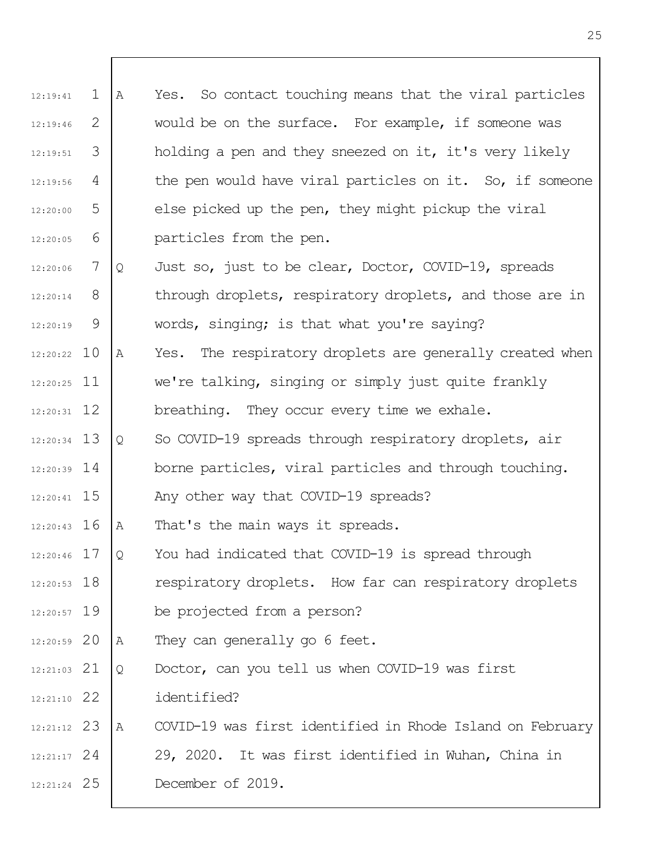| 12:19:41      | $\mathbf 1$ | Α | Yes. So contact touching means that the viral particles   |
|---------------|-------------|---|-----------------------------------------------------------|
| 12:19:46      | 2           |   | would be on the surface. For example, if someone was      |
| 12:19:51      | 3           |   | holding a pen and they sneezed on it, it's very likely    |
| 12:19:56      | 4           |   | the pen would have viral particles on it. So, if someone  |
| 12:20:00      | 5           |   | else picked up the pen, they might pickup the viral       |
| 12:20:05      | 6           |   | particles from the pen.                                   |
| 12:20:06      | 7           | Q | Just so, just to be clear, Doctor, COVID-19, spreads      |
| 12:20:14      | 8           |   | through droplets, respiratory droplets, and those are in  |
| 12:20:19      | 9           |   | words, singing; is that what you're saying?               |
| $12:20:22$ 10 |             | Α | Yes. The respiratory droplets are generally created when  |
| $12:20:25$ 11 |             |   | we're talking, singing or simply just quite frankly       |
| $12:20:31$ 12 |             |   | breathing. They occur every time we exhale.               |
| $12:20:34$ 13 |             | Q | So COVID-19 spreads through respiratory droplets, air     |
| $12:20:39$ 14 |             |   | borne particles, viral particles and through touching.    |
| $12:20:41$ 15 |             |   | Any other way that COVID-19 spreads?                      |
| $12:20:43$ 16 |             | A | That's the main ways it spreads.                          |
| $12:20:46$ 17 |             | Q | You had indicated that COVID-19 is spread through         |
| $12:20:53$ 18 |             |   | respiratory droplets. How far can respiratory droplets    |
| $12:20:57$ 19 |             |   | be projected from a person?                               |
| $12:20:59$ 20 |             | Α | They can generally go 6 feet.                             |
| $12:21:03$ 21 |             | Q | Doctor, can you tell us when COVID-19 was first           |
| $12:21:10$ 22 |             |   | identified?                                               |
| $12:21:12$ 23 |             | A | COVID-19 was first identified in Rhode Island on February |
| $12:21:17$ 24 |             |   | 29, 2020. It was first identified in Wuhan, China in      |
| $12:21:24$ 25 |             |   | December of 2019.                                         |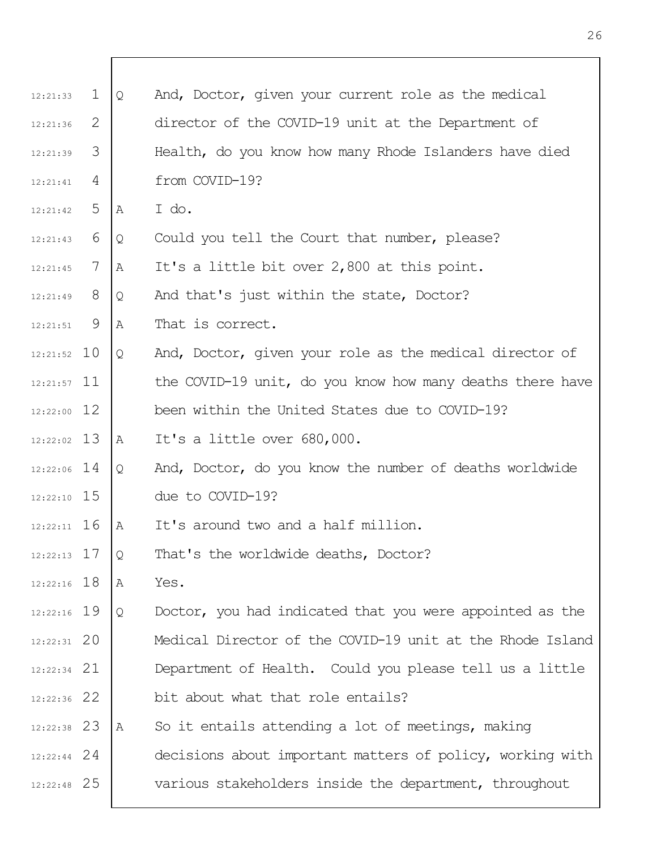| 12:21:33      | $\mathbf{1}$ | Q | And, Doctor, given your current role as the medical       |
|---------------|--------------|---|-----------------------------------------------------------|
| 12:21:36      | 2            |   | director of the COVID-19 unit at the Department of        |
| 12:21:39      | 3            |   | Health, do you know how many Rhode Islanders have died    |
| 12:21:41      | 4            |   | from COVID-19?                                            |
| 12:21:42      | 5            | A | I do.                                                     |
| 12:21:43      | 6            | Q | Could you tell the Court that number, please?             |
| 12:21:45      | 7            | Α | It's a little bit over 2,800 at this point.               |
| 12:21:49      | 8            | Q | And that's just within the state, Doctor?                 |
| 12:21:51      | - 9          | Α | That is correct.                                          |
| $12:21:52$ 10 |              | Q | And, Doctor, given your role as the medical director of   |
| $12:21:57$ 11 |              |   | the COVID-19 unit, do you know how many deaths there have |
| $12:22:00$ 12 |              |   | been within the United States due to COVID-19?            |
| $12:22:02$ 13 |              | A | It's a little over 680,000.                               |
| $12:22:06$ 14 |              | Q | And, Doctor, do you know the number of deaths worldwide   |
| $12:22:10$ 15 |              |   | due to COVID-19?                                          |
| $12:22:11$ 16 |              | A | It's around two and a half million.                       |
| $12:22:13$ 17 |              | Q | That's the worldwide deaths, Doctor?                      |
| $12:22:16$ 18 |              | A | Yes.                                                      |
| $12:22:16$ 19 |              | Q | Doctor, you had indicated that you were appointed as the  |
| $12:22:31$ 20 |              |   | Medical Director of the COVID-19 unit at the Rhode Island |
| $12:22:34$ 21 |              |   | Department of Health. Could you please tell us a little   |
| $12:22:36$ 22 |              |   | bit about what that role entails?                         |
| $12:22:38$ 23 |              | A | So it entails attending a lot of meetings, making         |
| $12:22:44$ 24 |              |   | decisions about important matters of policy, working with |
| $12:22:48$ 25 |              |   | various stakeholders inside the department, throughout    |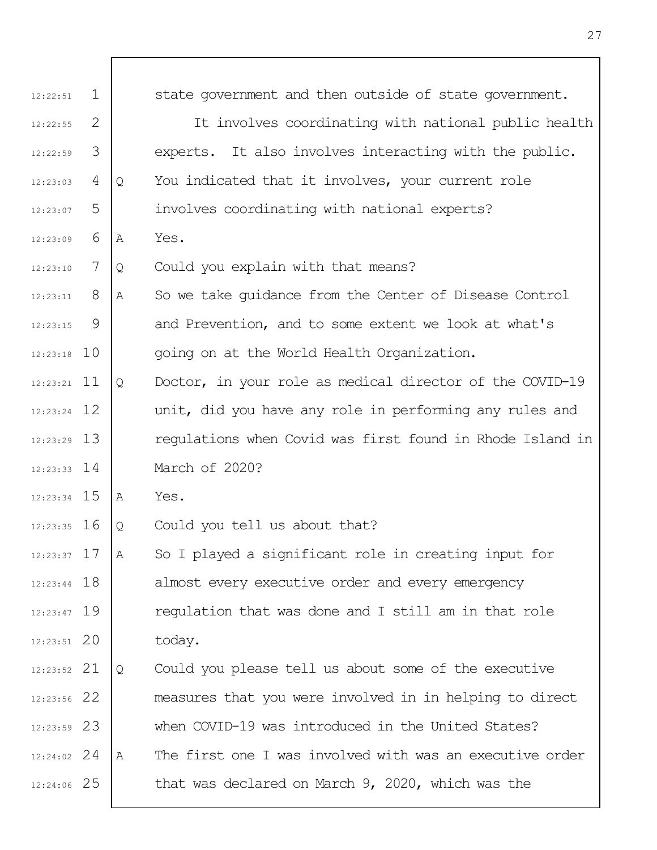| 12:22:51      | $\mathbf 1$ |   | state government and then outside of state government.    |
|---------------|-------------|---|-----------------------------------------------------------|
| 12:22:55      | 2           |   | It involves coordinating with national public health      |
| 12:22:59      | 3           |   | experts. It also involves interacting with the public.    |
| 12:23:03      | 4           | Q | You indicated that it involves, your current role         |
| 12:23:07      | 5           |   | involves coordinating with national experts?              |
| 12:23:09      | 6           | Α | Yes.                                                      |
| 12:23:10      | 7           | Q | Could you explain with that means?                        |
| 12:23:11      | 8           | Α | So we take quidance from the Center of Disease Control    |
| 12:23:15      | 9           |   | and Prevention, and to some extent we look at what's      |
| $12:23:18$ 10 |             |   | going on at the World Health Organization.                |
| $12:23:21$ 11 |             | Q | Doctor, in your role as medical director of the COVID-19  |
| $12:23:24$ 12 |             |   | unit, did you have any role in performing any rules and   |
| $12:23:29$ 13 |             |   | regulations when Covid was first found in Rhode Island in |
| $12:23:33$ 14 |             |   | March of 2020?                                            |
| $12:23:34$ 15 |             | Α | Yes.                                                      |
| $12:23:35$ 16 |             | Q | Could you tell us about that?                             |
| $12:23:37$ 17 |             | Α | So I played a significant role in creating input for      |
| $12:23:44$ 18 |             |   | almost every executive order and every emergency          |
| $12:23:47$ 19 |             |   | regulation that was done and I still am in that role      |
| $12:23:51$ 20 |             |   | today.                                                    |
| $12:23:52$ 21 |             | Q | Could you please tell us about some of the executive      |
| 12:23:56 22   |             |   | measures that you were involved in in helping to direct   |
| $12:23:59$ 23 |             |   | when COVID-19 was introduced in the United States?        |
| $12:24:02$ 24 |             | Α | The first one I was involved with was an executive order  |
| 12:24:06 25   |             |   | that was declared on March 9, 2020, which was the         |

 $\overline{\phantom{a}}$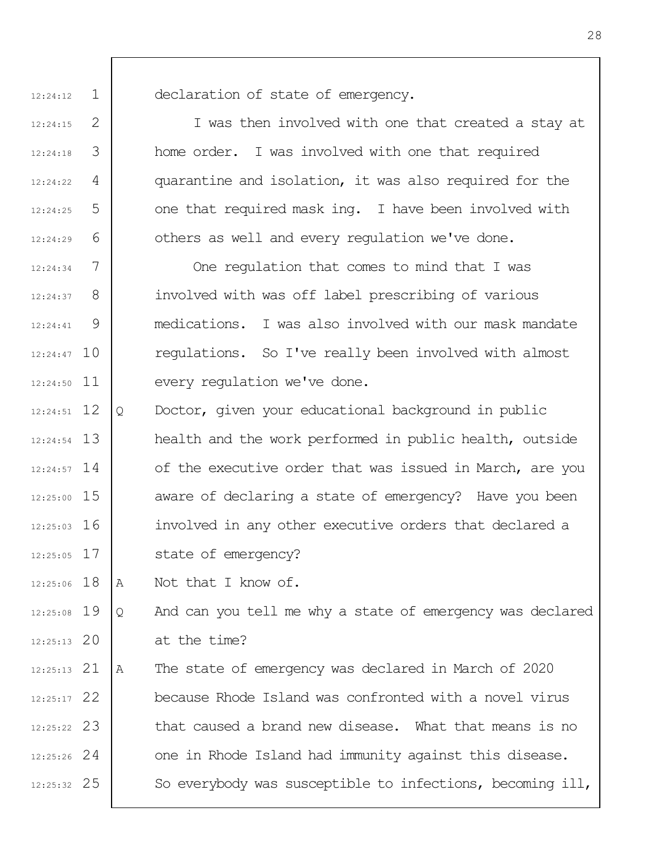12:24:12

 $12.24.15$ 

12:24:18

12:24:22

 $12.24.25$ 

12:24:29

1

2

3

4

5

6

declaration of state of emergency.

I was then involved with one that created a stay at home order. I was involved with one that required quarantine and isolation, it was also required for the one that required mask ing. I have been involved with others as well and every regulation we've done.

7 8  $\mathsf{Q}$ 12:24:47 10 12:24:50 11 12:24:34 12:24:37 12:24:41 One regulation that comes to mind that I was involved with was off label prescribing of various medications. I was also involved with our mask mandate regulations. So I've really been involved with almost every regulation we've done.

12 12:24:51 13 12:24:54 12:24:57 14 12:25:00 15 12:25:03 16 17 12:25:05 Q Doctor, given your educational background in public health and the work performed in public health, outside of the executive order that was issued in March, are you aware of declaring a state of emergency? Have you been involved in any other executive orders that declared a state of emergency?

12:25:06 18 A Not that I know of.

12:25:08 19 20 12:25:13 Q And can you tell me why a state of emergency was declared at the time?

21 12:25:13 22 12:25:17 23 12:25:22 24 12:25:26 25 12:25:32 A The state of emergency was declared in March of 2020 because Rhode Island was confronted with a novel virus that caused a brand new disease. What that means is no one in Rhode Island had immunity against this disease. So everybody was susceptible to infections, becoming ill,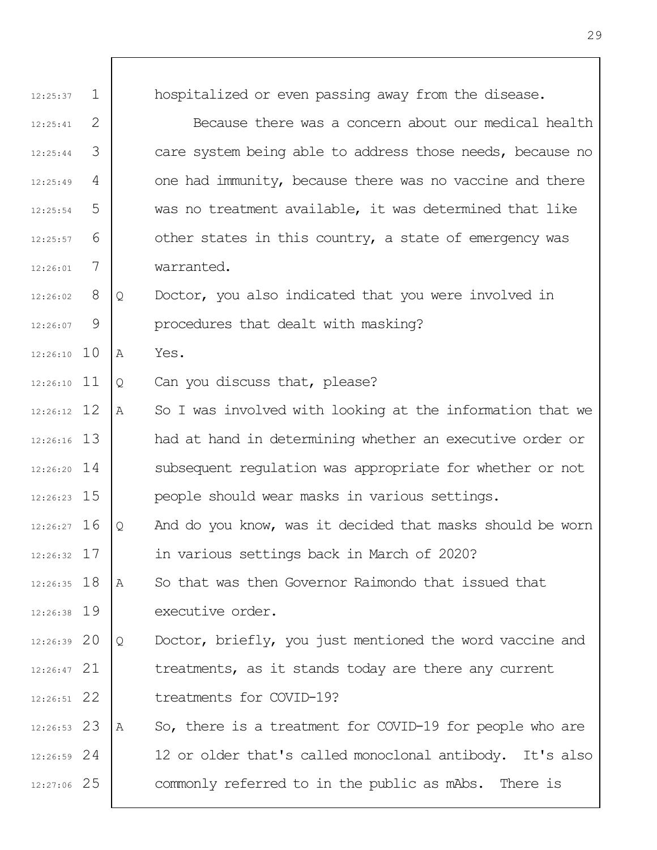| 12:25:37      | $\mathbf{1}$ |   | hospitalized or even passing away from the disease.       |
|---------------|--------------|---|-----------------------------------------------------------|
| 12:25:41      | 2            |   | Because there was a concern about our medical health      |
| 12:25:44      | 3            |   | care system being able to address those needs, because no |
| 12:25:49      | 4            |   | one had immunity, because there was no vaccine and there  |
| 12:25:54      | 5            |   | was no treatment available, it was determined that like   |
| 12:25:57      | 6            |   | other states in this country, a state of emergency was    |
| 12:26:01      | 7            |   | warranted.                                                |
| 12:26:02      | 8            | Q | Doctor, you also indicated that you were involved in      |
| 12:26:07      | 9            |   | procedures that dealt with masking?                       |
| $12:26:10$ 10 |              | Α | Yes.                                                      |
| $12:26:10$ 11 |              | Q | Can you discuss that, please?                             |
| $12:26:12$ 12 |              | Α | So I was involved with looking at the information that we |
| $12:26:16$ 13 |              |   | had at hand in determining whether an executive order or  |
| $12:26:20$ 14 |              |   | subsequent regulation was appropriate for whether or not  |
| $12:26:23$ 15 |              |   | people should wear masks in various settings.             |
| $12:26:27$ 16 |              | Q | And do you know, was it decided that masks should be worn |
| $12:26:32$ 17 |              |   | in various settings back in March of 2020?                |
| $12:26:35$ 18 |              | A | So that was then Governor Raimondo that issued that       |
| $12:26:38$ 19 |              |   | executive order.                                          |
| $12:26:39$ 20 |              | Q | Doctor, briefly, you just mentioned the word vaccine and  |
| $12:26:47$ 21 |              |   | treatments, as it stands today are there any current      |
| $12:26:51$ 22 |              |   | treatments for COVID-19?                                  |
| $12:26:53$ 23 |              | Α | So, there is a treatment for COVID-19 for people who are  |
| $12:26:59$ 24 |              |   | 12 or older that's called monoclonal antibody. It's also  |
| 12:27:06 25   |              |   | commonly referred to in the public as mAbs. There is      |

 $\overline{\Gamma}$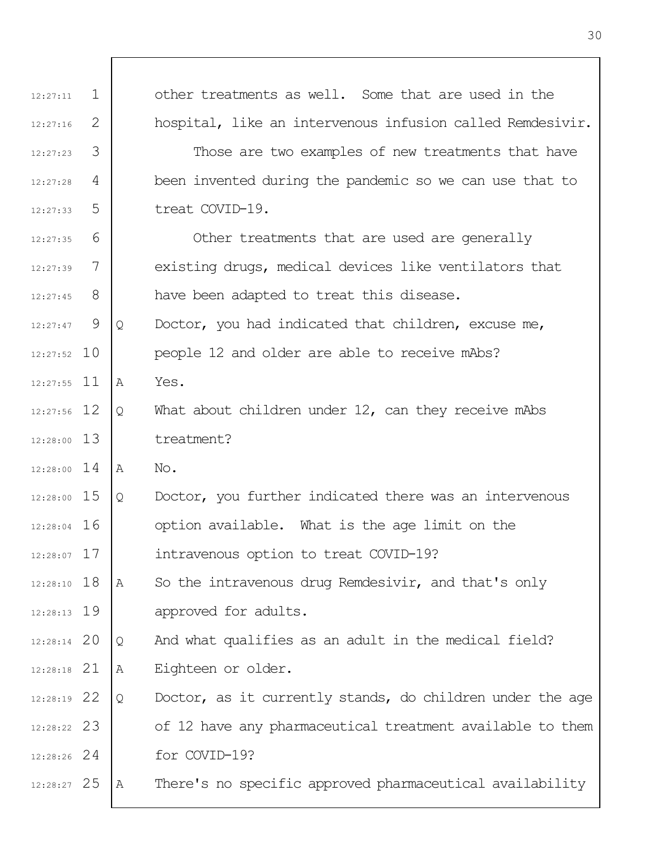| 12:27:11      | $\mathbf{1}$ |   | other treatments as well. Some that are used in the       |
|---------------|--------------|---|-----------------------------------------------------------|
| 12:27:16      | 2            |   | hospital, like an intervenous infusion called Remdesivir. |
| 12:27:23      | 3            |   | Those are two examples of new treatments that have        |
| 12:27:28      | 4            |   | been invented during the pandemic so we can use that to   |
| 12:27:33      | 5            |   | treat COVID-19.                                           |
| 12:27:35      | 6            |   | Other treatments that are used are generally              |
| 12:27:39      | 7            |   | existing drugs, medical devices like ventilators that     |
| 12:27:45      | 8            |   | have been adapted to treat this disease.                  |
| 12:27:47      | 9            | Q | Doctor, you had indicated that children, excuse me,       |
| $12:27:52$ 10 |              |   | people 12 and older are able to receive mAbs?             |
| $12:27:55$ 11 |              | Α | Yes.                                                      |
| $12:27:56$ 12 |              | Q | What about children under $12$ , can they receive mAbs    |
| 12:28:00 13   |              |   | treatment?                                                |
| $12:28:00$ 14 |              | A | No.                                                       |
| 12:28:00 15   |              | Q | Doctor, you further indicated there was an intervenous    |
| $12:28:04$ 16 |              |   | option available. What is the age limit on the            |
| $12:28:07$ 17 |              |   | intravenous option to treat COVID-19?                     |
| $12:28:10$ 18 |              | Α | So the intravenous drug Remdesivir, and that's only       |
| $12:28:13$ 19 |              |   | approved for adults.                                      |
| $12:28:14$ 20 |              | Q | And what qualifies as an adult in the medical field?      |
| $12:28:18$ 21 |              | Α | Eighteen or older.                                        |
| 12:28:19 22   |              | Q | Doctor, as it currently stands, do children under the age |
| $12:28:22$ 23 |              |   | of 12 have any pharmaceutical treatment available to them |
| $12:28:26$ 24 |              |   | for COVID-19?                                             |
| 12:28:27 25   |              | Α | There's no specific approved pharmaceutical availability  |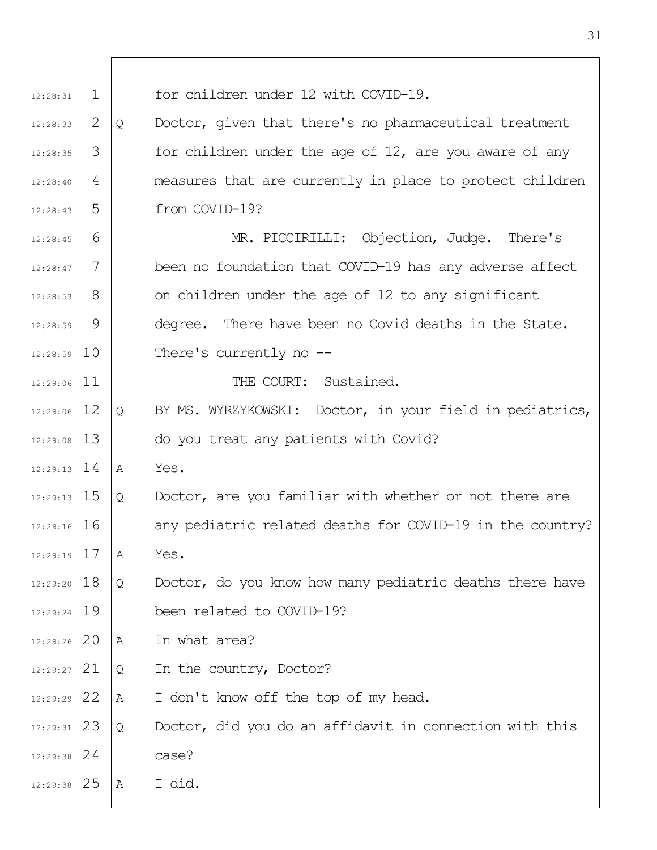1 2 3 4 5 6 7 8 9 12:28:59 10 12:29:06 11 12 12:29:06 13 12:29:08 12:29:13 14 12:29:13 15 12:29:16 16 17 12:29:19 12:29:20 18 19 12:29:24 12:29:26 20 21 12:29:27 22 12:29:29 23 12:29:31 24 12:29:38 25 12:29:38 12:28:31 12:28:33 12:28:35 12:28:40 12:28:43 12:28:45 12:28:47 12:28:53 12:28:59 for children under 12 with COVID-19. Q Doctor, given that there's no pharmaceutical treatment for children under the age of 12, are you aware of any measures that are currently in place to protect children from COVID-19? MR. PICCIRILLI: Objection, Judge. There's been no foundation that COVID-19 has any adverse affect on children under the age of 12 to any significant degree. There have been no Covid deaths in the State. There's currently no -- THE COURT: Sustained. Q BY MS. WYRZYKOWSKI: Doctor, in your field in pediatrics, do you treat any patients with Covid? A Yes. Q Doctor, are you familiar with whether or not there are any pediatric related deaths for COVID-19 in the country? A Yes. Q Doctor, do you know how many pediatric deaths there have been related to COVID-19? A In what area? Q In the country, Doctor? A I don't know off the top of my head. Q Doctor, did you do an affidavit in connection with this case? A I did.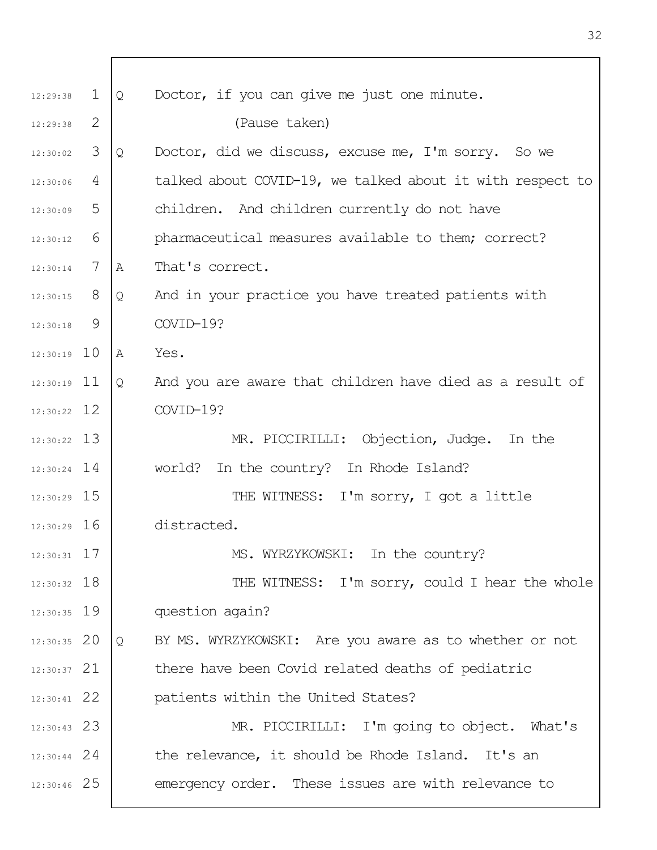| 12:29:38      | $\mathbf{1}$ | Q              | Doctor, if you can give me just one minute.               |
|---------------|--------------|----------------|-----------------------------------------------------------|
| 12:29:38      | 2            |                | (Pause taken)                                             |
| 12:30:02      | 3            | Q              | Doctor, did we discuss, excuse me, I'm sorry. So we       |
| 12:30:06      | 4            |                | talked about COVID-19, we talked about it with respect to |
| 12:30:09      | 5            |                | children. And children currently do not have              |
| 12:30:12      | 6            |                | pharmaceutical measures available to them; correct?       |
| 12:30:14      | 7            | $\mathbb{A}$   | That's correct.                                           |
| $12:30:15$ 8  |              | Q              | And in your practice you have treated patients with       |
| 12:30:18      | 9            |                | COVID-19?                                                 |
| $12:30:19$ 10 |              | $\overline{A}$ | Yes.                                                      |
| $12:30:19$ 11 |              | Q              | And you are aware that children have died as a result of  |
| $12:30:22$ 12 |              |                | COVID-19?                                                 |
| $12:30:22$ 13 |              |                | MR. PICCIRILLI: Objection, Judge. In the                  |
| $12:30:24$ 14 |              |                | world? In the country? In Rhode Island?                   |
| $12:30:29$ 15 |              |                | THE WITNESS: I'm sorry, I got a little                    |
| $12:30:29$ 16 |              |                | distracted.                                               |
| $12:30:31$ 17 |              |                | MS. WYRZYKOWSKI: In the country?                          |
| $12:30:32$ 18 |              |                | THE WITNESS: I'm sorry, could I hear the whole            |
| $12:30:35$ 19 |              |                | question again?                                           |
| $12:30:35$ 20 |              | Q              | BY MS. WYRZYKOWSKI: Are you aware as to whether or not    |
| $12:30:37$ 21 |              |                | there have been Covid related deaths of pediatric         |
| $12:30:41$ 22 |              |                | patients within the United States?                        |
| $12:30:43$ 23 |              |                | MR. PICCIRILLI: I'm going to object. What's               |
| $12:30:44$ 24 |              |                | the relevance, it should be Rhode Island. It's an         |
| $12:30:46$ 25 |              |                | emergency order. These issues are with relevance to       |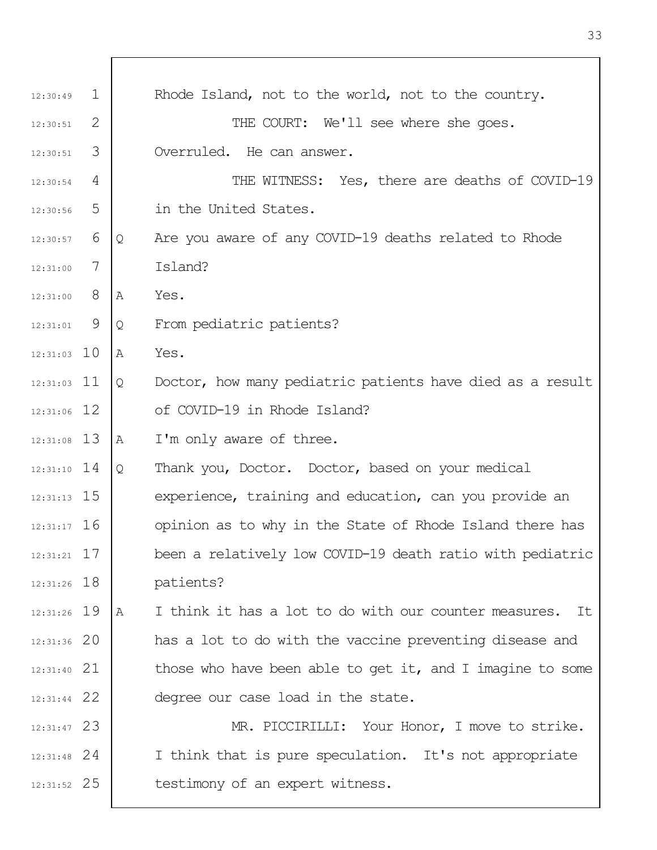| 12:30:49      | $\mathbf 1$ |   | Rhode Island, not to the world, not to the country.         |
|---------------|-------------|---|-------------------------------------------------------------|
| 12:30:51      | 2           |   | THE COURT: We'll see where she goes.                        |
| 12:30:51      | 3           |   | Overruled. He can answer.                                   |
| 12:30:54      | 4           |   | THE WITNESS: Yes, there are deaths of COVID-19              |
| 12:30:56      | 5           |   | in the United States.                                       |
| 12:30:57      | 6           | Q | Are you aware of any COVID-19 deaths related to Rhode       |
| 12:31:00      | 7           |   | Island?                                                     |
| 12:31:00      | 8           | Α | Yes.                                                        |
| 12:31:01      | 9           | Q | From pediatric patients?                                    |
| $12:31:03$ 10 |             | Α | Yes.                                                        |
| $12:31:03$ 11 |             | Q | Doctor, how many pediatric patients have died as a result   |
| $12:31:06$ 12 |             |   | of COVID-19 in Rhode Island?                                |
| $12:31:08$ 13 |             | Α | I'm only aware of three.                                    |
| $12:31:10$ 14 |             | Q | Thank you, Doctor. Doctor, based on your medical            |
| $12:31:13$ 15 |             |   | experience, training and education, can you provide an      |
| $12:31:17$ 16 |             |   | opinion as to why in the State of Rhode Island there has    |
| $12:31:21$ 17 |             |   | been a relatively low COVID-19 death ratio with pediatric   |
| $12:31:26$ 18 |             |   | patients?                                                   |
| 12:31:26 19   |             | Α | I think it has a lot to do with our counter measures.<br>It |
| 12:31:36 20   |             |   | has a lot to do with the vaccine preventing disease and     |
| $12:31:40$ 21 |             |   | those who have been able to get it, and I imagine to some   |
| $12:31:44$ 22 |             |   | degree our case load in the state.                          |
| $12:31:47$ 23 |             |   | MR. PICCIRILLI: Your Honor, I move to strike.               |
| $12:31:48$ 24 |             |   | I think that is pure speculation. It's not appropriate      |
| $12:31:52$ 25 |             |   | testimony of an expert witness.                             |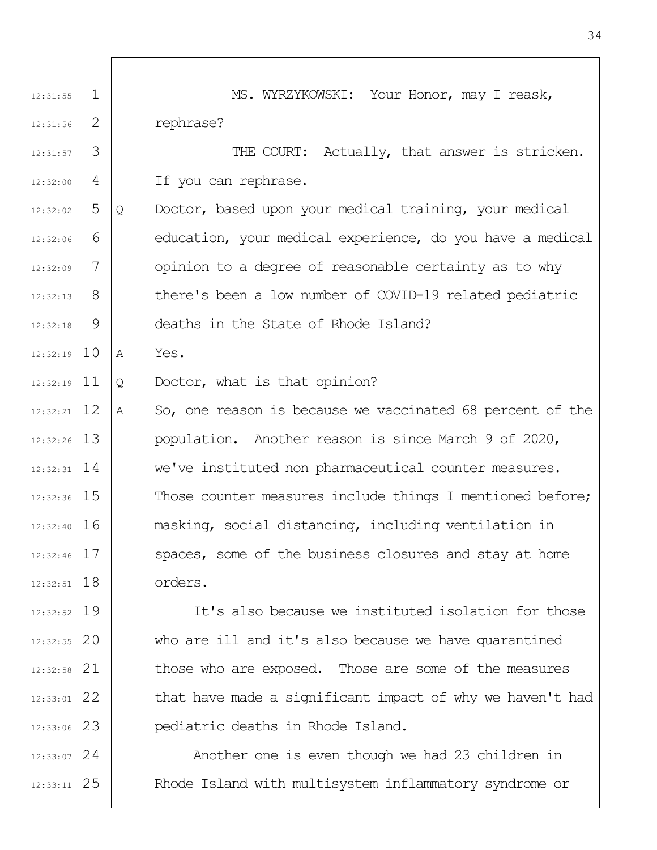1 2 3 4 5 6 7 8  $\mathsf{Q}$ 12:32:19 10 12:32:19 11 12 12:32:21 13 12:32:26 14 12:32:31 12:32:36 15 12:32:40 16 17 12:32:46 12:32:51 18 19 12:32:52 20 12:32:55 21 12:32:58 22 12:33:01 23 12:33:06 24 12:33:07 25 12:33:11 12:31:55 12:31:56 12:31:57 12:32:00  $12.32.02$ 12:32:06 12:32:09 12:32:13 12:32:18 MS. WYRZYKOWSKI: Your Honor, may I reask, rephrase? THE COURT: Actually, that answer is stricken. If you can rephrase. Q Doctor, based upon your medical training, your medical education, your medical experience, do you have a medical opinion to a degree of reasonable certainty as to why there's been a low number of COVID-19 related pediatric deaths in the State of Rhode Island? A Yes. Q Doctor, what is that opinion? A So, one reason is because we vaccinated 68 percent of the population. Another reason is since March 9 of 2020, we've instituted non pharmaceutical counter measures. Those counter measures include things I mentioned before; masking, social distancing, including ventilation in spaces, some of the business closures and stay at home orders. It's also because we instituted isolation for those who are ill and it's also because we have quarantined those who are exposed. Those are some of the measures that have made a significant impact of why we haven't had pediatric deaths in Rhode Island. Another one is even though we had 23 children in Rhode Island with multisystem inflammatory syndrome or

34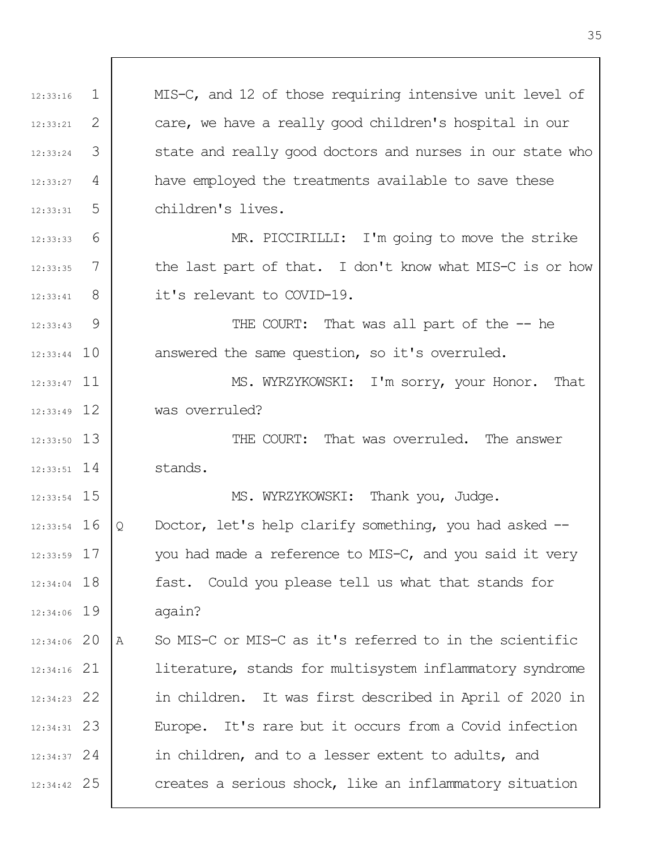| 12:33:16      | $\mathbf 1$ | MIS-C, and 12 of those requiring intensive unit level of     |
|---------------|-------------|--------------------------------------------------------------|
| 12:33:21      | 2           | care, we have a really good children's hospital in our       |
| 12:33:24      | 3           | state and really good doctors and nurses in our state who    |
| 12:33:27      | 4           | have employed the treatments available to save these         |
| 12:33:31      | 5           | children's lives.                                            |
| 12:33:33      | 6           | MR. PICCIRILLI: I'm going to move the strike                 |
| 12:33:35      | 7           | the last part of that. I don't know what MIS-C is or how     |
| 12:33:41      | - 8         | it's relevant to COVID-19.                                   |
| 12:33:43      | 9           | THE COURT: That was all part of the -- he                    |
| $12:33:44$ 10 |             | answered the same question, so it's overruled.               |
| $12:33:47$ 11 |             | MS. WYRZYKOWSKI: I'm sorry, your Honor. That                 |
| $12:33:49$ 12 |             | was overruled?                                               |
| $12:33:50$ 13 |             | THE COURT: That was overruled. The answer                    |
| $12:33:51$ 14 |             | stands.                                                      |
| $12:33:54$ 15 |             | MS. WYRZYKOWSKI: Thank you, Judge.                           |
| $12:33:54$ 16 |             | Doctor, let's help clarify something, you had asked --<br>Q  |
| 12:33:59 17   |             | you had made a reference to MIS-C, and you said it very      |
| 12:34:04 18   |             | fast. Could you please tell us what that stands for          |
| 12:34:06 19   |             | again?                                                       |
| 12:34:06 20   |             | So MIS-C or MIS-C as it's referred to in the scientific<br>A |
| $12:34:16$ 21 |             | literature, stands for multisystem inflammatory syndrome     |
| $12:34:23$ 22 |             | in children. It was first described in April of 2020 in      |
| $12:34:31$ 23 |             | Europe. It's rare but it occurs from a Covid infection       |
| $12:34:37$ 24 |             | in children, and to a lesser extent to adults, and           |
| 12:34:42 25   |             | creates a serious shock, like an inflammatory situation      |

 $\overline{\phantom{a}}$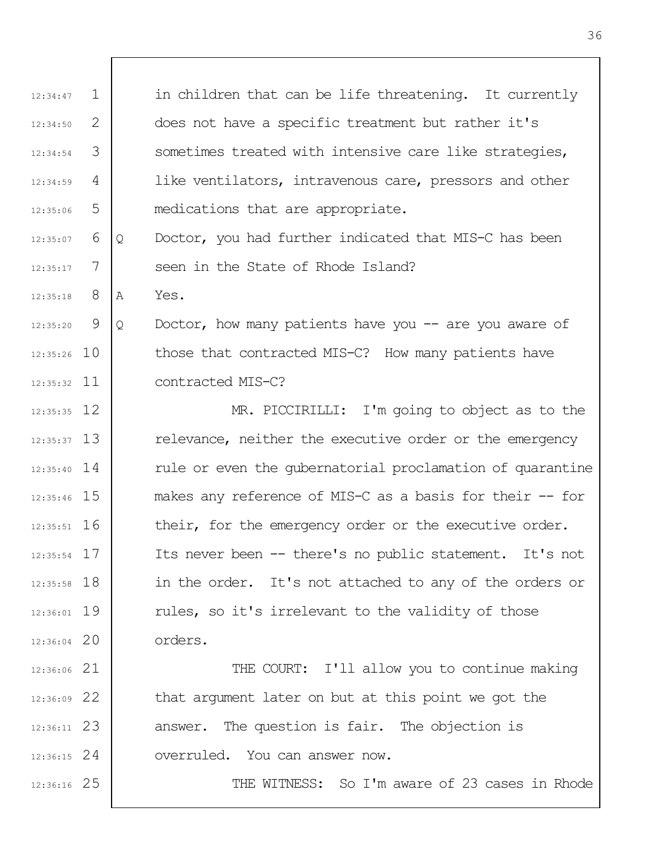1 2 3 4 5 6 7 8  $\mathsf{Q}$ 12:35:26 10 12:35:32 11 12 12:35:35 13 12:35:37 12:35:40 14 12:35:46 15 12:35:51 16 17 12:35:54 12:35:58 18 19 12:36:01 12:36:04 20 21 12:36:06 22 12:36:09 23 12:36:11 24 12:36:15 25 12:36:16 12:34:47 12:34:50 12:34:54 12:34:59  $12.35.06$ 12:35:07 12:35:17 12:35:18 12:35:20 in children that can be life threatening. It currently does not have a specific treatment but rather it's sometimes treated with intensive care like strategies, like ventilators, intravenous care, pressors and other medications that are appropriate. Q Doctor, you had further indicated that MIS-C has been seen in the State of Rhode Island? A Yes. Q Doctor, how many patients have you -- are you aware of those that contracted MIS-C? How many patients have contracted MIS-C? MR. PICCIRILLI: I'm going to object as to the relevance, neither the executive order or the emergency rule or even the gubernatorial proclamation of quarantine makes any reference of MIS-C as a basis for their -- for their, for the emergency order or the executive order. Its never been -- there's no public statement. It's not in the order. It's not attached to any of the orders or rules, so it's irrelevant to the validity of those orders. THE COURT: I'll allow you to continue making that argument later on but at this point we got the answer. The question is fair. The objection is overruled. You can answer now. THE WITNESS: So I'm aware of 23 cases in Rhode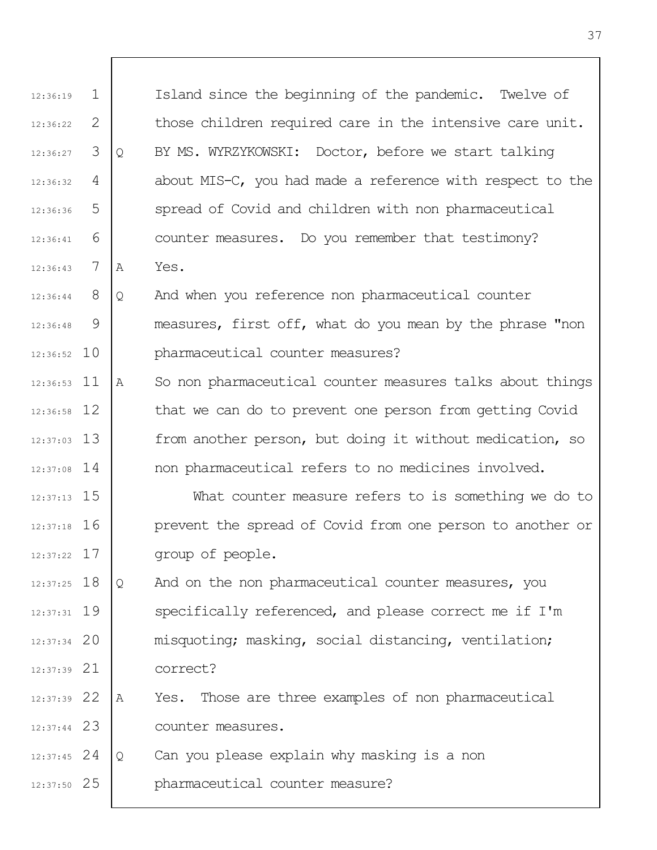| 12:36:19      | $\mathbf 1$ |   | Island since the beginning of the pandemic. Twelve of     |
|---------------|-------------|---|-----------------------------------------------------------|
| 12:36:22      | 2           |   | those children required care in the intensive care unit.  |
| 12:36:27      | 3           | Q | BY MS. WYRZYKOWSKI: Doctor, before we start talking       |
| 12:36:32      | 4           |   | about MIS-C, you had made a reference with respect to the |
| 12:36:36      | 5           |   | spread of Covid and children with non pharmaceutical      |
| 12:36:41      | 6           |   | counter measures. Do you remember that testimony?         |
| 12:36:43      | 7           | A | Yes.                                                      |
| 12:36:44      | 8           | Q | And when you reference non pharmaceutical counter         |
| 12:36:48      | 9           |   | measures, first off, what do you mean by the phrase "non  |
| $12:36:52$ 10 |             |   | pharmaceutical counter measures?                          |
| $12:36:53$ 11 |             | Α | So non pharmaceutical counter measures talks about things |
| $12:36:58$ 12 |             |   | that we can do to prevent one person from getting Covid   |
| $12:37:03$ 13 |             |   | from another person, but doing it without medication, so  |
| $12:37:08$ 14 |             |   | non pharmaceutical refers to no medicines involved.       |
| $12:37:13$ 15 |             |   | What counter measure refers to is something we do to      |
| $12:37:18$ 16 |             |   | prevent the spread of Covid from one person to another or |
| $12:37:22$ 17 |             |   | group of people.                                          |
| $12:37:25$ 18 |             | Q | And on the non pharmaceutical counter measures, you       |
| $12:37:31$ 19 |             |   | specifically referenced, and please correct me if I'm     |
| $12:37:34$ 20 |             |   | misquoting; masking, social distancing, ventilation;      |
| $12:37:39$ 21 |             |   | correct?                                                  |
| 12:37:39 22   |             | A | Yes. Those are three examples of non pharmaceutical       |
| $12:37:44$ 23 |             |   | counter measures.                                         |
| $12:37:45$ 24 |             | Q | Can you please explain why masking is a non               |
| $12:37:50$ 25 |             |   | pharmaceutical counter measure?                           |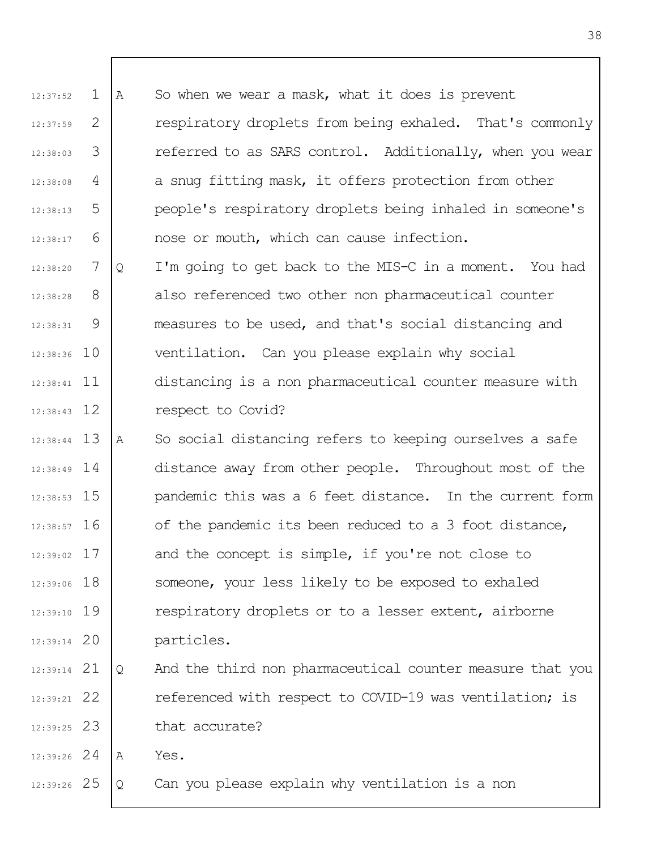| 12:37:52      | $\mathbf 1$ | Α | So when we wear a mask, what it does is prevent           |
|---------------|-------------|---|-----------------------------------------------------------|
| 12:37:59      | 2           |   | respiratory droplets from being exhaled. That's commonly  |
| 12:38:03      | 3           |   | referred to as SARS control. Additionally, when you wear  |
| 12:38:08      | 4           |   | a snug fitting mask, it offers protection from other      |
| 12:38:13      | 5           |   | people's respiratory droplets being inhaled in someone's  |
| 12:38:17      | 6           |   | nose or mouth, which can cause infection.                 |
| 12:38:20      | 7           | Q | I'm going to get back to the MIS-C in a moment. You had   |
| 12:38:28      | 8           |   | also referenced two other non pharmaceutical counter      |
| 12:38:31      | 9           |   | measures to be used, and that's social distancing and     |
| $12:38:36$ 10 |             |   | ventilation. Can you please explain why social            |
| $12:38:41$ 11 |             |   | distancing is a non pharmaceutical counter measure with   |
| $12:38:43$ 12 |             |   | respect to Covid?                                         |
| $12:38:44$ 13 |             | Α | So social distancing refers to keeping ourselves a safe   |
| $12:38:49$ 14 |             |   | distance away from other people. Throughout most of the   |
| $12:38:53$ 15 |             |   | pandemic this was a 6 feet distance. In the current form  |
| $12:38:57$ 16 |             |   | of the pandemic its been reduced to a 3 foot distance,    |
| $12:39:02$ 17 |             |   | and the concept is simple, if you're not close to         |
| $12:39:06$ 18 |             |   | someone, your less likely to be exposed to exhaled        |
| $12:39:10$ 19 |             |   | respiratory droplets or to a lesser extent, airborne      |
| $12:39:14$ 20 |             |   | particles.                                                |
| $12:39:14$ 21 |             | Q | And the third non pharmaceutical counter measure that you |
| $12:39:21$ 22 |             |   | referenced with respect to COVID-19 was ventilation; is   |
| $12:39:25$ 23 |             |   | that accurate?                                            |
| $12:39:26$ 24 |             | Α | Yes.                                                      |
| 12:39:26 25   |             | Q | Can you please explain why ventilation is a non           |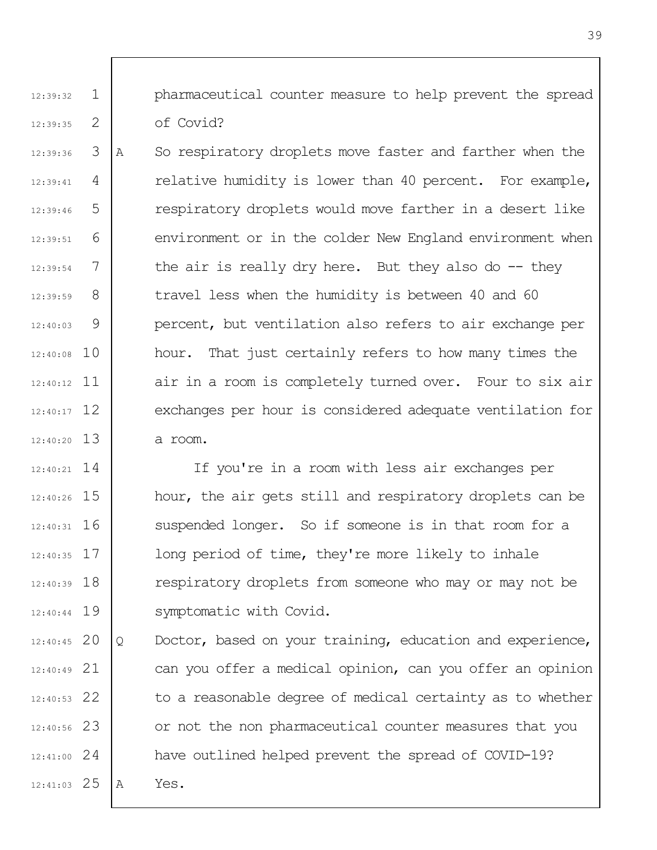1 2 pharmaceutical counter measure to help prevent the spread of Covid?

12:39:32

12:39:35

3 4 5 6 7 8 9 12:40:08 10 12:40:12 11 12 12:40:17 13 12:40:20 12:39:36 12:39:41 12:39:46 12:39:51 12:39:54 12:39:59 12:40:03 A So respiratory droplets move faster and farther when the relative humidity is lower than 40 percent. For example, respiratory droplets would move farther in a desert like environment or in the colder New England environment when the air is really dry here. But they also do  $-$  they travel less when the humidity is between 40 and 60 percent, but ventilation also refers to air exchange per hour. That just certainly refers to how many times the air in a room is completely turned over. Four to six air exchanges per hour is considered adequate ventilation for a room.

14 12:40:21 15 12:40:26 12:40:31 16 17 12:40:35 12:40:39 18 12:40:44 19 If you're in a room with less air exchanges per hour, the air gets still and respiratory droplets can be suspended longer. So if someone is in that room for a long period of time, they're more likely to inhale respiratory droplets from someone who may or may not be symptomatic with Covid.

12:40:45 20 21 12:40:49 22 12:40:53 23 12:40:56 24 12:41:00 25 12:41:03 Q Doctor, based on your training, education and experience, can you offer a medical opinion, can you offer an opinion to a reasonable degree of medical certainty as to whether or not the non pharmaceutical counter measures that you have outlined helped prevent the spread of COVID-19? A Yes.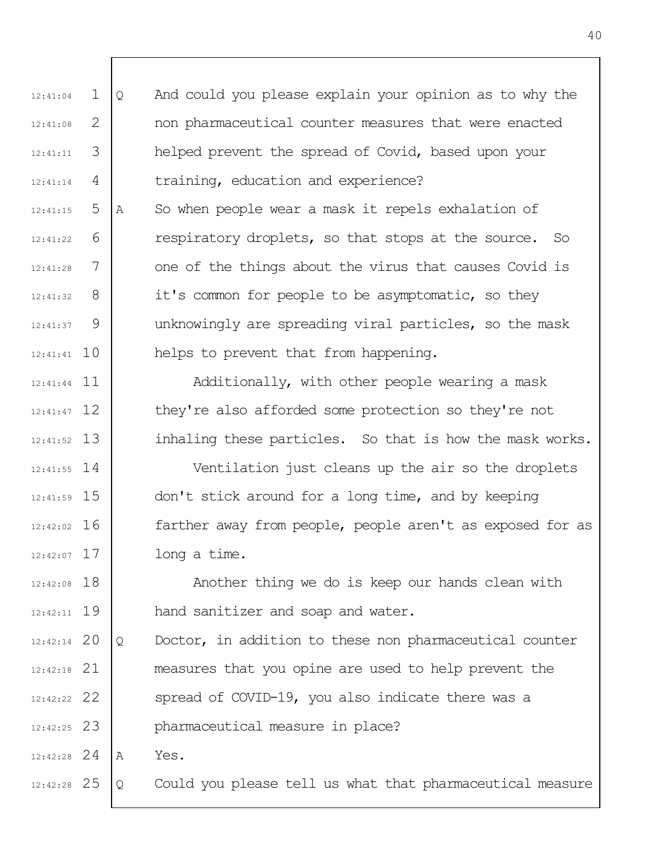1 2 3 4 12:41:04 12:41:08 12:41:11 12:41:14 Q And could you please explain your opinion as to why the non pharmaceutical counter measures that were enacted helped prevent the spread of Covid, based upon your training, education and experience?

5 6 7 8 9 12:41:41 10 12:41:15  $12:41:22$ 12:41:28 12:41:32 12:41:37 A So when people wear a mask it repels exhalation of respiratory droplets, so that stops at the source. So one of the things about the virus that causes Covid is it's common for people to be asymptomatic, so they unknowingly are spreading viral particles, so the mask helps to prevent that from happening.

12:41:44 11 12 12:41:47 13 12:41:52 Additionally, with other people wearing a mask they're also afforded some protection so they're not inhaling these particles. So that is how the mask works.

14 12:41:55 15 12:41:59 12:42:02 16 17 12:42:07 Ventilation just cleans up the air so the droplets don't stick around for a long time, and by keeping farther away from people, people aren't as exposed for as long a time.

12:42:08 18 19 12:42:11 Another thing we do is keep our hands clean with hand sanitizer and soap and water.

12:42:14 20 21 12:42:18 22 12:42:22 23 12:42:25 Q Doctor, in addition to these non pharmaceutical counter measures that you opine are used to help prevent the spread of COVID-19, you also indicate there was a pharmaceutical measure in place?

24 12:42:28 A Yes.

25 12:42:28 Q Could you please tell us what that pharmaceutical measure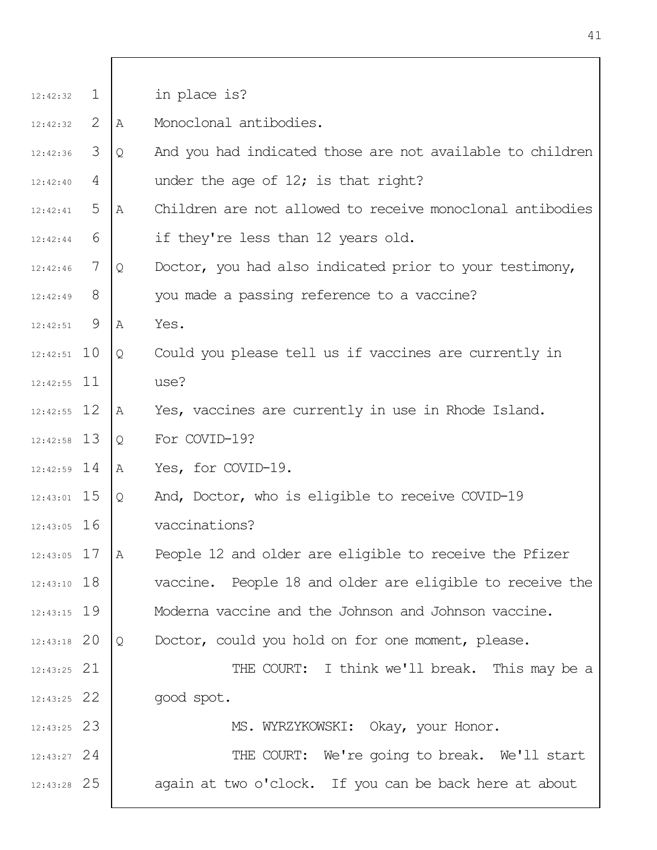| 12:42:32      | $\mathbf{1}$ |              | in place is?                                              |
|---------------|--------------|--------------|-----------------------------------------------------------|
| 12:42:32      | 2            | A            | Monoclonal antibodies.                                    |
| 12:42:36      | 3            | Q            | And you had indicated those are not available to children |
| 12:42:40      | 4            |              | under the age of $12$ ; is that right?                    |
| 12:42:41      | 5            | $\mathbb{A}$ | Children are not allowed to receive monoclonal antibodies |
| 12:42:44      | 6            |              | if they're less than 12 years old.                        |
| 12:42:46      | 7            | Q            | Doctor, you had also indicated prior to your testimony,   |
| 12:42:49      | 8            |              | you made a passing reference to a vaccine?                |
| 12:42:51      | 9            | A            | Yes.                                                      |
| $12:42:51$ 10 |              | Q            | Could you please tell us if vaccines are currently in     |
| $12:42:55$ 11 |              |              | use?                                                      |
| $12:42:55$ 12 |              | Α            | Yes, vaccines are currently in use in Rhode Island.       |
| $12:42:58$ 13 |              | Q            | For COVID-19?                                             |
| $12:42:59$ 14 |              | Α            | Yes, for COVID-19.                                        |
| $12:43:01$ 15 |              | Q            | And, Doctor, who is eligible to receive COVID-19          |
| $12:43:05$ 16 |              |              | vaccinations?                                             |
| $12:43:05$ 17 |              | Α            | People 12 and older are eligible to receive the Pfizer    |
| $12:43:10$ 18 |              |              | vaccine. People 18 and older are eligible to receive the  |
| $12:43:15$ 19 |              |              | Moderna vaccine and the Johnson and Johnson vaccine.      |
| $12:43:18$ 20 |              | Q            | Doctor, could you hold on for one moment, please.         |
| $12:43:25$ 21 |              |              | THE COURT: I think we'll break. This may be a             |
| $12:43:25$ 22 |              |              | good spot.                                                |
| $12:43:25$ 23 |              |              | MS. WYRZYKOWSKI: Okay, your Honor.                        |
| $12:43:27$ 24 |              |              | THE COURT: We're going to break. We'll start              |
| $12:43:28$ 25 |              |              | again at two o'clock. If you can be back here at about    |
|               |              |              |                                                           |

٦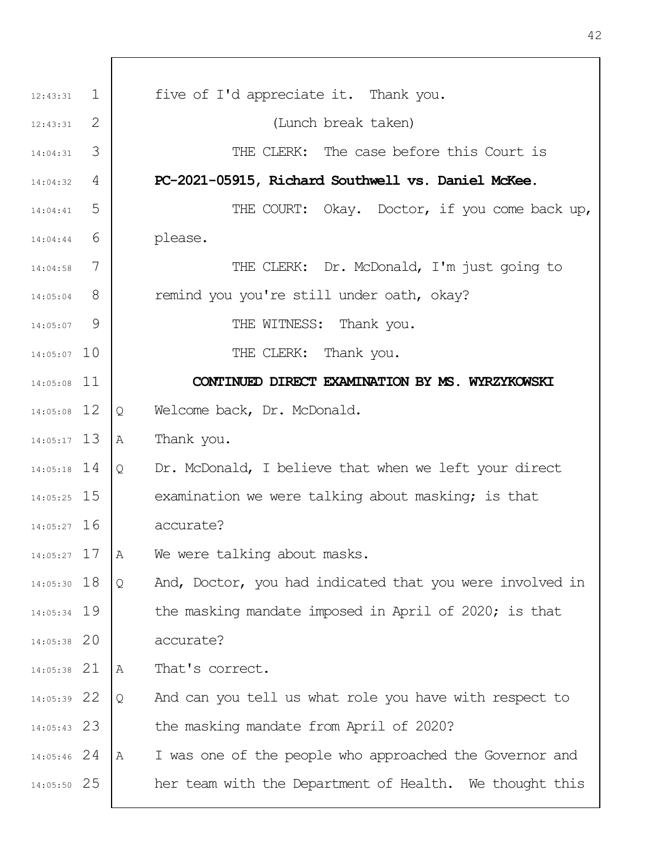| 12:43:31      | $\perp$ |   | five of I'd appreciate it. Thank you.                    |
|---------------|---------|---|----------------------------------------------------------|
| 12:43:31      | 2       |   | (Lunch break taken)                                      |
| 14:04:31      | 3       |   | THE CLERK: The case before this Court is                 |
| 14:04:32      | 4       |   | PC-2021-05915, Richard Southwell vs. Daniel McKee.       |
| 14:04:41      | 5       |   | THE COURT: Okay. Doctor, if you come back up,            |
| 14:04:44      | 6       |   | please.                                                  |
| 14:04:58      | 7       |   | THE CLERK: Dr. McDonald, I'm just going to               |
| 14:05:04      | 8       |   | remind you you're still under oath, okay?                |
| 14:05:07      | 9       |   | THE WITNESS: Thank you.                                  |
| $14:05:07$ 10 |         |   | THE CLERK: Thank you.                                    |
| 14:05:08 11   |         |   | CONTINUED DIRECT EXAMINATION BY MS. WYRZYKOWSKI          |
| 14:05:08 12   |         | Q | Welcome back, Dr. McDonald.                              |
| $14:05:17$ 13 |         | Α | Thank you.                                               |
| $14:05:18$ 14 |         | Q | Dr. McDonald, I believe that when we left your direct    |
| $14:05:25$ 15 |         |   | examination we were talking about masking; is that       |
| $14:05:27$ 16 |         |   | accurate?                                                |
| $14:05:27$ 17 |         | Α | We were talking about masks.                             |
| 14:05:30 18   |         | Q | And, Doctor, you had indicated that you were involved in |
| 14:05:34 19   |         |   | the masking mandate imposed in April of 2020; is that    |
| $14:05:38$ 20 |         |   | accurate?                                                |
| $14:05:38$ 21 |         | Α | That's correct.                                          |
| 14:05:39 22   |         | Q | And can you tell us what role you have with respect to   |
| $14:05:43$ 23 |         |   | the masking mandate from April of 2020?                  |
| $14:05:46$ 24 |         | Α | I was one of the people who approached the Governor and  |
| 14:05:50 25   |         |   | her team with the Department of Health. We thought this  |
|               |         |   |                                                          |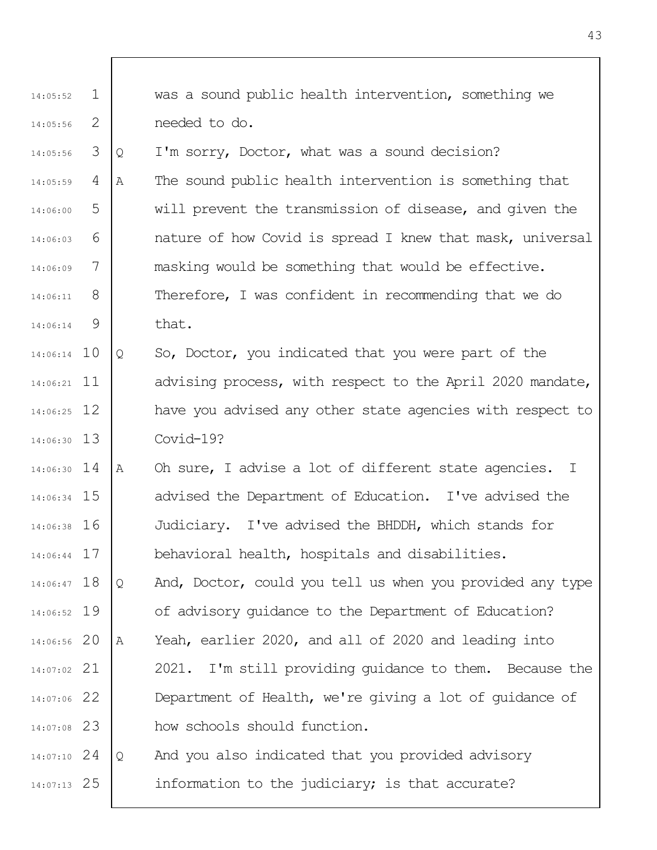1 2 14:05:52 14:05:56 was a sound public health intervention, something we needed to do.

3 4 5 6 7 8 9 14:05:56 14:05:59 14:06:00 14:06:03 14:06:09 14:06:11 14:06:14 Q I'm sorry, Doctor, what was a sound decision? A The sound public health intervention is something that will prevent the transmission of disease, and given the nature of how Covid is spread I knew that mask, universal masking would be something that would be effective. Therefore, I was confident in recommending that we do that.

14:06:14 10 11 14:06:21 12 14:06:25 13 14:06:30 Q So, Doctor, you indicated that you were part of the advising process, with respect to the April 2020 mandate, have you advised any other state agencies with respect to Covid-19?

14 14:06:30 15 14:06:34 16 14:06:38 17 14:06:44 A Oh sure, I advise a lot of different state agencies. I advised the Department of Education. I've advised the Judiciary. I've advised the BHDDH, which stands for behavioral health, hospitals and disabilities.

14:06:47 18 19 14:06:52 20 14:06:56 21 14:07:02 22 14:07:06 23 14:07:08 Q And, Doctor, could you tell us when you provided any type of advisory guidance to the Department of Education? A Yeah, earlier 2020, and all of 2020 and leading into 2021. I'm still providing guidance to them. Because the Department of Health, we're giving a lot of guidance of how schools should function.

24 14:07:10 25 14:07:13 Q And you also indicated that you provided advisory information to the judiciary; is that accurate?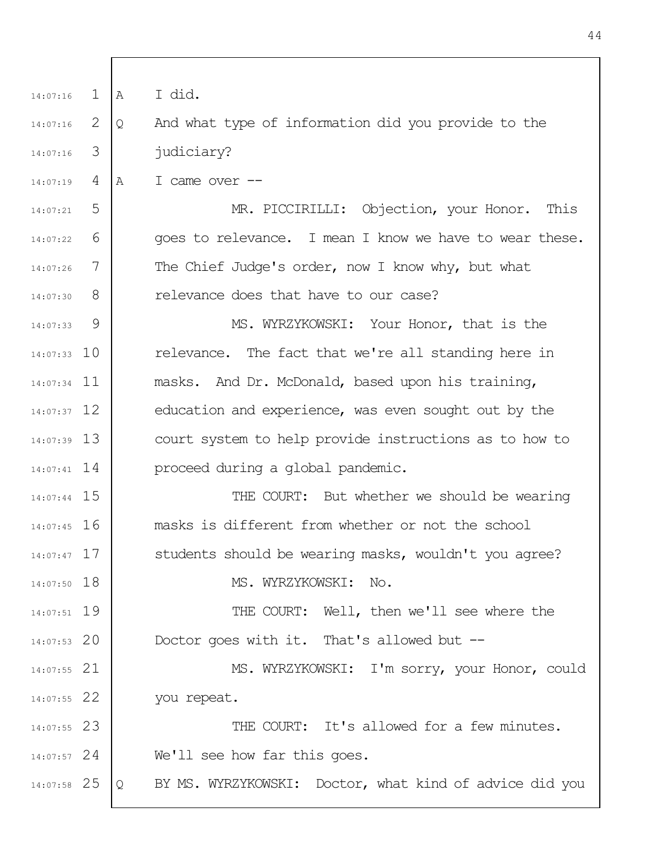1 2 3 4 5 6 7 8  $\mathsf{Q}$ 14:07:33 10 11 14:07:34 12 14:07:37 13 14:07:39 14 14:07:41 14:07:44 15 14:07:45 16 14:07:47 17 18 14:07:50 19 14:07:51 20 14:07:53 21 14:07:55 22 14:07:55 23 14:07:55 24 14:07:57 25 14:07:58 14:07:16 14:07:16 14:07:16 14:07:19 14:07:21 14:07:22 14:07:26 14:07:30 14:07:33 A I did. Q And what type of information did you provide to the judiciary? A I came over --MR. PICCIRILLI: Objection, your Honor. This goes to relevance. I mean I know we have to wear these. The Chief Judge's order, now I know why, but what relevance does that have to our case? MS. WYRZYKOWSKI: Your Honor, that is the relevance. The fact that we're all standing here in masks. And Dr. McDonald, based upon his training, education and experience, was even sought out by the court system to help provide instructions as to how to proceed during a global pandemic. THE COURT: But whether we should be wearing masks is different from whether or not the school students should be wearing masks, wouldn't you agree? MS. WYRZYKOWSKI: No. THE COURT: Well, then we'll see where the Doctor goes with it. That's allowed but -- MS. WYRZYKOWSKI: I'm sorry, your Honor, could you repeat. THE COURT: It's allowed for a few minutes. We'll see how far this goes. Q BY MS. WYRZYKOWSKI: Doctor, what kind of advice did you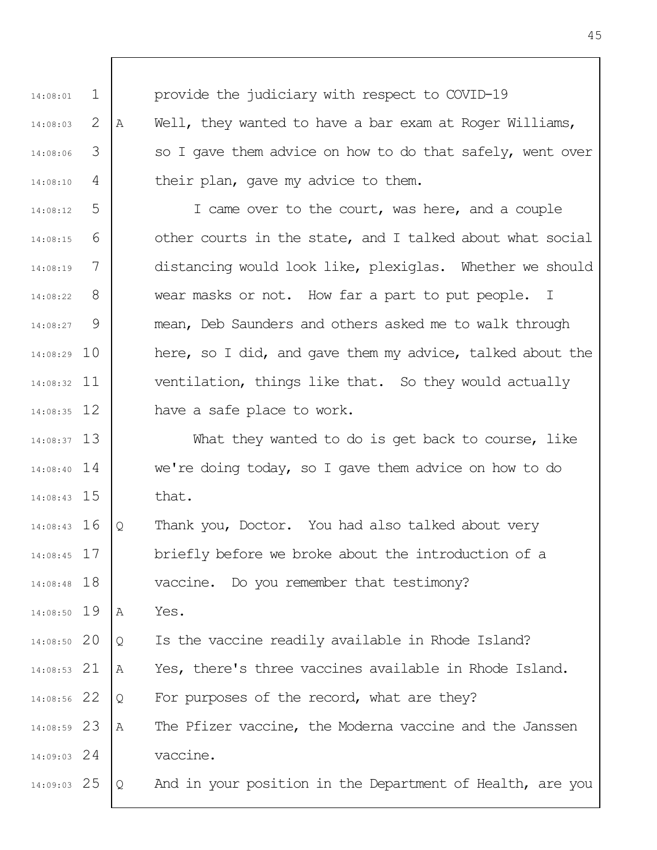| 14:08:01      | $\mathbf 1$ |   | provide the judiciary with respect to COVID-19            |
|---------------|-------------|---|-----------------------------------------------------------|
| 14:08:03      | 2           | Α | Well, they wanted to have a bar exam at Roger Williams,   |
| 14:08:06      | 3           |   | so I gave them advice on how to do that safely, went over |
| 14:08:10      | 4           |   | their plan, gave my advice to them.                       |
| 14:08:12      | 5           |   | I came over to the court, was here, and a couple          |
| 14:08:15      | 6           |   | other courts in the state, and I talked about what social |
| 14:08:19      | 7           |   | distancing would look like, plexiglas. Whether we should  |
| 14:08:22      | 8           |   | wear masks or not. How far a part to put people. I        |
| $14:08:27$ 9  |             |   | mean, Deb Saunders and others asked me to walk through    |
| 14:08:29 10   |             |   | here, so I did, and gave them my advice, talked about the |
| $14:08:32$ 11 |             |   | ventilation, things like that. So they would actually     |
| $14:08:35$ 12 |             |   | have a safe place to work.                                |
| $14:08:37$ 13 |             |   | What they wanted to do is get back to course, like        |
| $14:08:40$ 14 |             |   | we're doing today, so I gave them advice on how to do     |
| $14:08:43$ 15 |             |   | that.                                                     |
| $14:08:43$ 16 |             | Q | Thank you, Doctor. You had also talked about very         |
| $14:08:45$ 17 |             |   | briefly before we broke about the introduction of a       |
| 14:08:48 18   |             |   | vaccine. Do you remember that testimony?                  |
| 14:08:50 19   |             | Α | Yes.                                                      |
| 14:08:50 20   |             | Q | Is the vaccine readily available in Rhode Island?         |
| 14:08:53 21   |             | Α | Yes, there's three vaccines available in Rhode Island.    |
| 14:08:56 22   |             | Q | For purposes of the record, what are they?                |
| 14:08:59 23   |             | Α | The Pfizer vaccine, the Moderna vaccine and the Janssen   |
| $14:09:03$ 24 |             |   | vaccine.                                                  |
| $14:09:03$ 25 |             | Q | And in your position in the Department of Health, are you |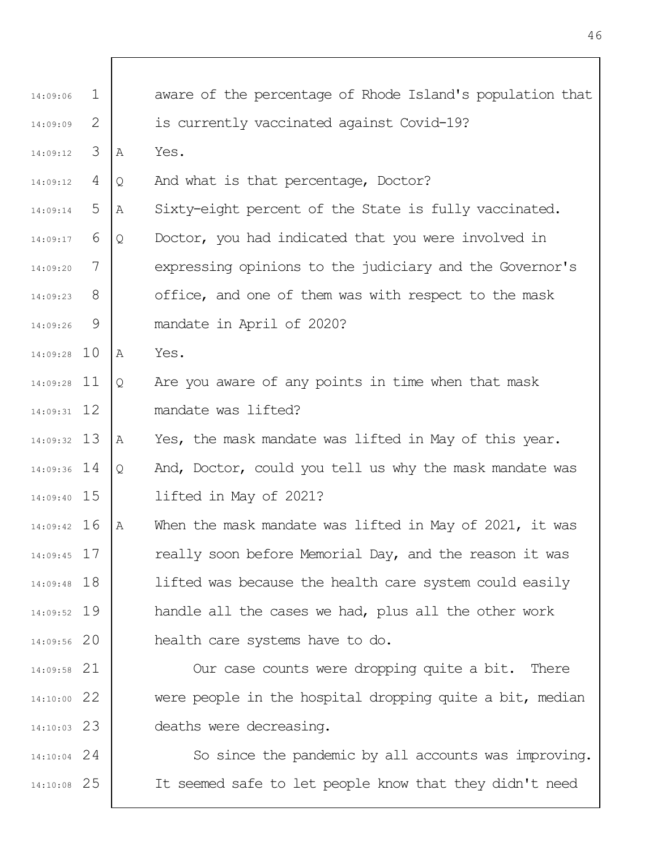| 14:09:06      | $\mathbf{1}$ |   | aware of the percentage of Rhode Island's population that |
|---------------|--------------|---|-----------------------------------------------------------|
| 14:09:09      | 2            |   | is currently vaccinated against Covid-19?                 |
| 14:09:12      | 3            | Α | Yes.                                                      |
| 14:09:12      | 4            | Q | And what is that percentage, Doctor?                      |
| 14:09:14      | 5            | Α | Sixty-eight percent of the State is fully vaccinated.     |
| 14:09:17      | 6            | Q | Doctor, you had indicated that you were involved in       |
| 14:09:20      | 7            |   | expressing opinions to the judiciary and the Governor's   |
| 14:09:23      | 8            |   | office, and one of them was with respect to the mask      |
| 14:09:26      | 9            |   | mandate in April of 2020?                                 |
| 14:09:28 10   |              | A | Yes.                                                      |
| $14:09:28$ 11 |              | Q | Are you aware of any points in time when that mask        |
| $14:09:31$ 12 |              |   | mandate was lifted?                                       |
| $14:09:32$ 13 |              | Α | Yes, the mask mandate was lifted in May of this year.     |
| 14:09:36 14   |              | Q | And, Doctor, could you tell us why the mask mandate was   |
| 14:09:40 15   |              |   | lifted in May of 2021?                                    |
| $14:09:42$ 16 |              | Α | When the mask mandate was lifted in May of 2021, it was   |
| $14:09:45$ 17 |              |   | really soon before Memorial Day, and the reason it was    |
| 14:09:48 18   |              |   | lifted was because the health care system could easily    |
| 14:09:52 19   |              |   | handle all the cases we had, plus all the other work      |
| $14:09:56$ 20 |              |   | health care systems have to do.                           |
| $14:09:58$ 21 |              |   | Our case counts were dropping quite a bit. There          |
| $14:10:00$ 22 |              |   | were people in the hospital dropping quite a bit, median  |
| $14:10:03$ 23 |              |   | deaths were decreasing.                                   |
| $14:10:04$ 24 |              |   | So since the pandemic by all accounts was improving.      |
| $14:10:08$ 25 |              |   | It seemed safe to let people know that they didn't need   |
|               |              |   |                                                           |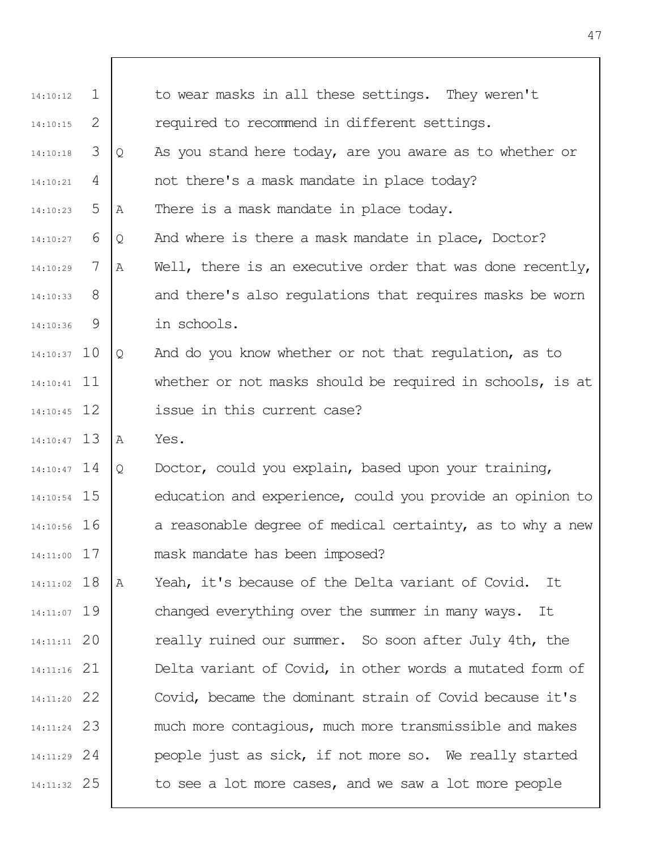| 14:10:12      | $\mathbf{1}$ |   | to wear masks in all these settings. They weren't         |
|---------------|--------------|---|-----------------------------------------------------------|
| 14:10:15      | 2            |   | required to recommend in different settings.              |
| 14:10:18      | 3            | Q | As you stand here today, are you aware as to whether or   |
| 14:10:21      | 4            |   | not there's a mask mandate in place today?                |
| 14:10:23      | 5            | Α | There is a mask mandate in place today.                   |
| 14:10:27      | 6            | Q | And where is there a mask mandate in place, Doctor?       |
| 14:10:29      | 7            | Α | Well, there is an executive order that was done recently, |
| 14:10:33      | 8            |   | and there's also regulations that requires masks be worn  |
| 14:10:36      | 9            |   | in schools.                                               |
| $14:10:37$ 10 |              | Q | And do you know whether or not that regulation, as to     |
| $14:10:41$ 11 |              |   | whether or not masks should be required in schools, is at |
| $14:10:45$ 12 |              |   | issue in this current case?                               |
| $14:10:47$ 13 |              | Α | Yes.                                                      |
| $14:10:47$ 14 |              | Q | Doctor, could you explain, based upon your training,      |
| $14:10:54$ 15 |              |   | education and experience, could you provide an opinion to |
| 14:10:56 16   |              |   | a reasonable degree of medical certainty, as to why a new |
| $14:11:00$ 17 |              |   | mask mandate has been imposed?                            |
| 14:11:02 18   |              | Α | Yeah, it's because of the Delta variant of Covid.<br>It   |
| 14:11:07 19   |              |   | changed everything over the summer in many ways. It       |
| $14:11:11$ 20 |              |   | really ruined our summer. So soon after July 4th, the     |
| $14:11:16$ 21 |              |   | Delta variant of Covid, in other words a mutated form of  |
| 14:11:20 22   |              |   | Covid, became the dominant strain of Covid because it's   |
| 14:11:24 23   |              |   | much more contagious, much more transmissible and makes   |
| $14:11:29$ 24 |              |   | people just as sick, if not more so. We really started    |
|               |              |   |                                                           |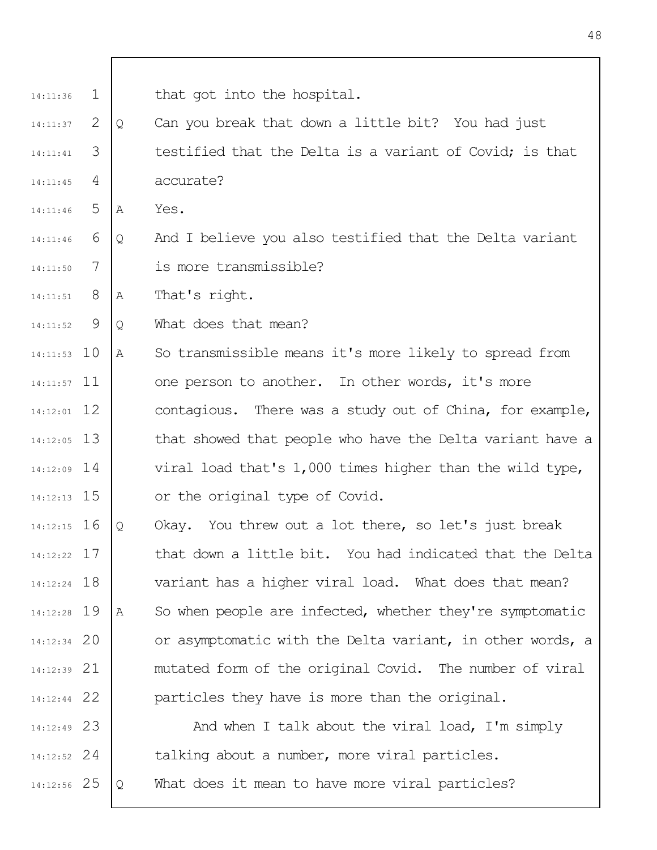- 2 3 4 14:11:37 14:11:41 14:11:45 Q Can you break that down a little bit? You had just testified that the Delta is a variant of Covid; is that accurate?
- 5 14:11:46 A Yes.
- 6 7 14:11:46 14:11:50 Q And I believe you also testified that the Delta variant is more transmissible?
- 8 14:11:51 A That's right.
- $\mathsf{Q}$ 14:11:52 Q What does that mean?
- 10 14:11:53 14:11:57 11 12 14:12:01 13 14:12:05 14 14:12:09 15 14:12:13 A So transmissible means it's more likely to spread from one person to another. In other words, it's more contagious. There was a study out of China, for example, that showed that people who have the Delta variant have a viral load that's 1,000 times higher than the wild type, or the original type of Covid.
- 16 14:12:15 17 14:12:22 18 14:12:24 19 14:12:28 20 14:12:34 21 14:12:39 22 14:12:44 Q Okay. You threw out a lot there, so let's just break that down a little bit. You had indicated that the Delta variant has a higher viral load. What does that mean? A So when people are infected, whether they're symptomatic or asymptomatic with the Delta variant, in other words, a mutated form of the original Covid. The number of viral particles they have is more than the original.

23 14:12:49 24 14:12:52 25 14:12:56 And when I talk about the viral load, I'm simply talking about a number, more viral particles. Q What does it mean to have more viral particles?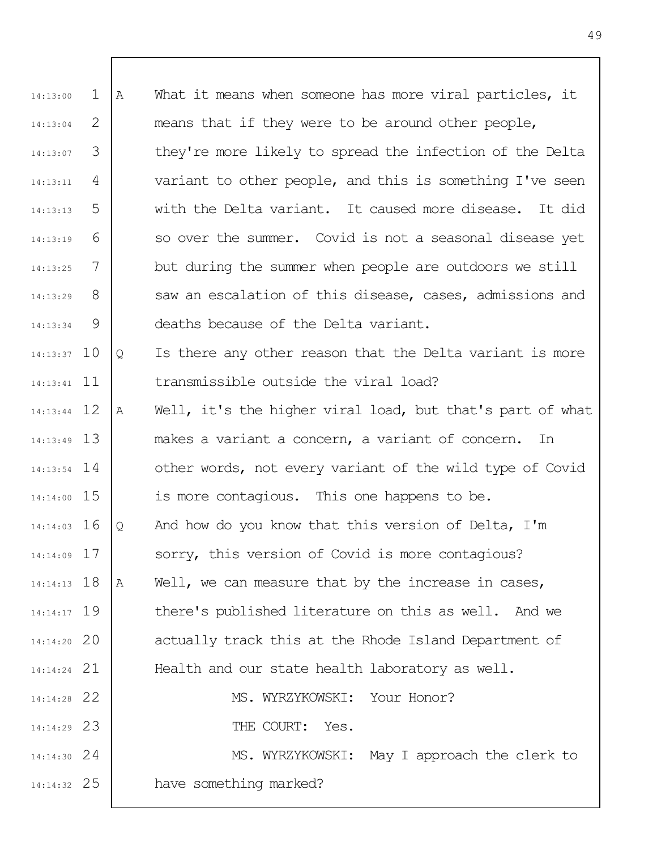| 14:13:00      | 1 | Α | What it means when someone has more viral particles, it   |
|---------------|---|---|-----------------------------------------------------------|
| 14:13:04      | 2 |   | means that if they were to be around other people,        |
| 14:13:07      | 3 |   | they're more likely to spread the infection of the Delta  |
| 14:13:11      | 4 |   | variant to other people, and this is something I've seen  |
| 14:13:13      | 5 |   | with the Delta variant. It caused more disease.<br>It did |
| 14:13:19      | 6 |   | so over the summer. Covid is not a seasonal disease yet   |
| 14:13:25      | 7 |   | but during the summer when people are outdoors we still   |
| 14:13:29      | 8 |   | saw an escalation of this disease, cases, admissions and  |
| 14:13:34      | 9 |   | deaths because of the Delta variant.                      |
| $14:13:37$ 10 |   | Q | Is there any other reason that the Delta variant is more  |
| $14:13:41$ 11 |   |   | transmissible outside the viral load?                     |
| $14:13:44$ 12 |   | A | Well, it's the higher viral load, but that's part of what |
| $14:13:49$ 13 |   |   | makes a variant a concern, a variant of concern.<br>In    |
| $14:13:54$ 14 |   |   | other words, not every variant of the wild type of Covid  |
| 14:14:00 15   |   |   | is more contagious. This one happens to be.               |
| $14:14:03$ 16 |   | Q | And how do you know that this version of Delta, I'm       |
| $14:14:09$ 17 |   |   | sorry, this version of Covid is more contagious?          |
| $14:14:13$ 18 |   | Α | Well, we can measure that by the increase in cases,       |
| 14:14:17 19   |   |   | there's published literature on this as well. And we      |
| 14:14:20 20   |   |   | actually track this at the Rhode Island Department of     |
| $14:14:24$ 21 |   |   | Health and our state health laboratory as well.           |
| 14:14:28 22   |   |   | MS. WYRZYKOWSKI: Your Honor?                              |
| 14:14:29 23   |   |   | THE COURT: Yes.                                           |
| $14:14:30$ 24 |   |   | MS. WYRZYKOWSKI: May I approach the clerk to              |
| 14:14:32 25   |   |   | have something marked?                                    |
|               |   |   |                                                           |

 $\mathbf I$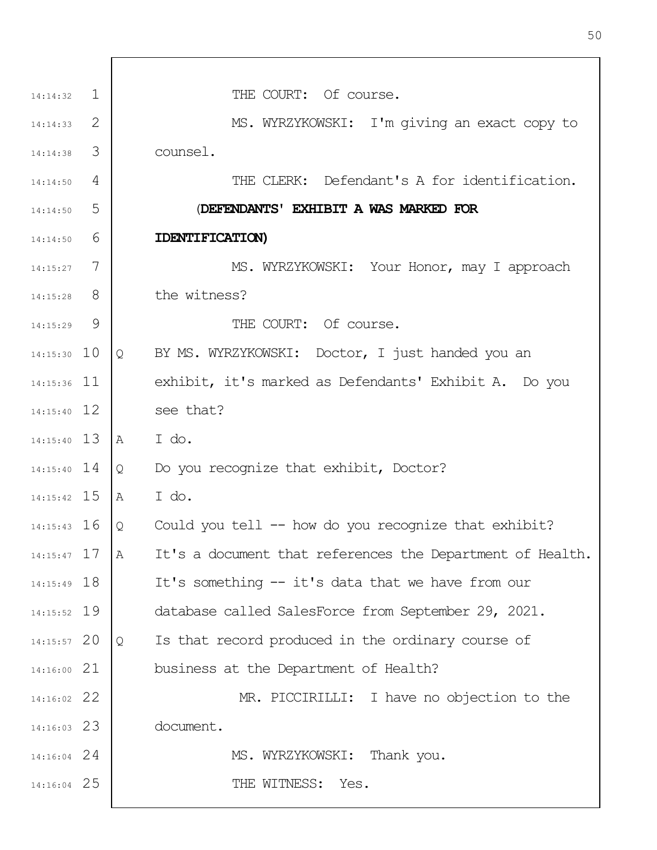| $14:14:32$ 1  |   | THE COURT: Of course.                                          |
|---------------|---|----------------------------------------------------------------|
| 14:14:33      | 2 | MS. WYRZYKOWSKI: I'm giving an exact copy to                   |
| 14:14:38      | 3 | counsel.                                                       |
| 14:14:50      | 4 | THE CLERK: Defendant's A for identification.                   |
| 14:14:50      | 5 | (DEFENDANTS' EXHIBIT A WAS MARKED FOR                          |
| 14:14:50      | 6 | IDENTIFICATION)                                                |
| $14:15:27$ 7  |   | MS. WYRZYKOWSKI: Your Honor, may I approach                    |
| 14:15:28      | 8 | the witness?                                                   |
| 14:15:29      | 9 | THE COURT: Of course.                                          |
| $14:15:30$ 10 |   | BY MS. WYRZYKOWSKI: Doctor, I just handed you an<br>Q          |
| $14:15:36$ 11 |   | exhibit, it's marked as Defendants' Exhibit A. Do you          |
| $14:15:40$ 12 |   | see that?                                                      |
| 14:15:40 13   |   | I do.<br>$\mathbb A$                                           |
| $14:15:40$ 14 |   | Do you recognize that exhibit, Doctor?<br>Q                    |
| $14:15:42$ 15 |   | I do.<br>A                                                     |
| $14:15:43$ 16 |   | Could you tell $--$ how do you recognize that exhibit?<br>Q    |
| $14:15:47$ 17 |   | It's a document that references the Department of Health.<br>Α |
| 14:15:49 18   |   | It's something -- it's data that we have from our              |
| 14:15:52 19   |   | database called SalesForce from September 29, 2021.            |
| 14:15:57 20   |   | Is that record produced in the ordinary course of<br>Q         |
| 14:16:00 21   |   | business at the Department of Health?                          |
| 14:16:02 22   |   | MR. PICCIRILLI: I have no objection to the                     |
| $14:16:03$ 23 |   | document.                                                      |
| 14:16:04 24   |   | MS. WYRZYKOWSKI: Thank you.                                    |
| 14:16:04 25   |   | THE WITNESS: Yes.                                              |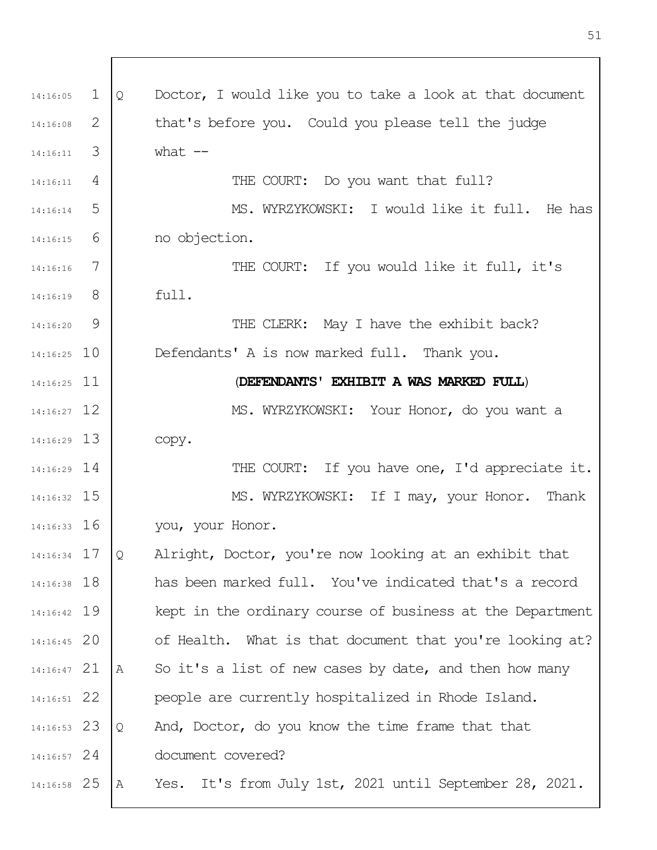1 2 3 4 5 6 7 8  $\mathsf{Q}$ 14:16:25 10 14:16:25 11 12 14:16:27 13 14:16:29 14 14:16:29 15 14:16:32 14:16:33 16 17 14:16:34 14:16:38 18 19 14:16:42 20 14:16:45 21 14:16:47 22 14:16:51 23 14:16:53 24 14:16:57 25 14:16:58 14:16:05 14:16:08 14:16:11 14:16:11 14:16:14 14:16:15 14:16:16 14:16:19 14:16:20 Q Doctor, I would like you to take a look at that document that's before you. Could you please tell the judge what  $--$ THE COURT: Do you want that full? MS. WYRZYKOWSKI: I would like it full. He has no objection. THE COURT: If you would like it full, it's full. THE CLERK: May I have the exhibit back? Defendants' A is now marked full. Thank you. (**DEFENDANTS' EXHIBIT A WAS MARKED FULL**) MS. WYRZYKOWSKI: Your Honor, do you want a copy. THE COURT: If you have one, I'd appreciate it. MS. WYRZYKOWSKI: If I may, your Honor. Thank you, your Honor. Q Alright, Doctor, you're now looking at an exhibit that has been marked full. You've indicated that's a record kept in the ordinary course of business at the Department of Health. What is that document that you're looking at? A So it's a list of new cases by date, and then how many people are currently hospitalized in Rhode Island. Q And, Doctor, do you know the time frame that that document covered? A Yes. It's from July 1st, 2021 until September 28, 2021.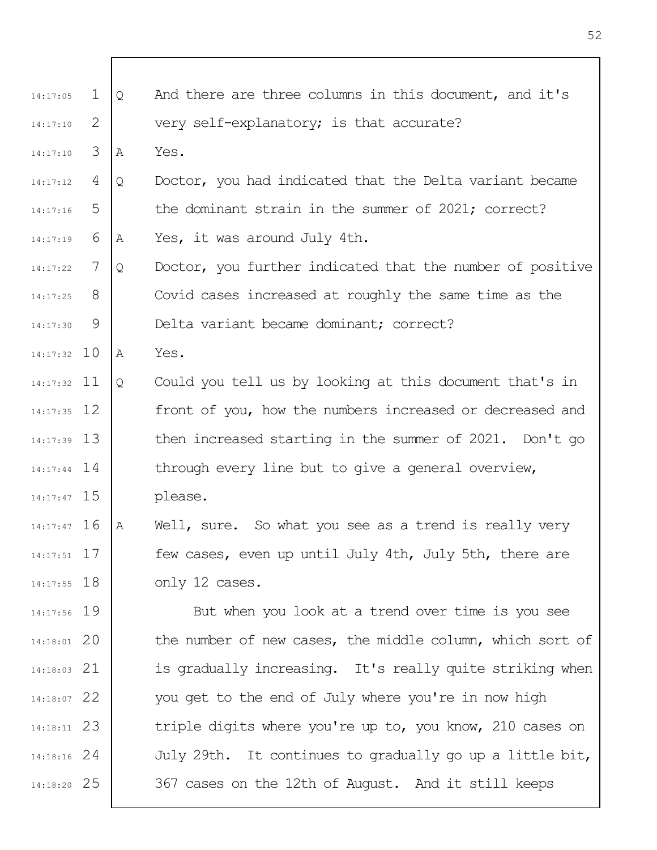| 14:17:05      | $\mathbf 1$ | $\mathsf{Q}$ | And there are three columns in this document, and it's    |
|---------------|-------------|--------------|-----------------------------------------------------------|
| 14:17:10      | 2           |              | very self-explanatory; is that accurate?                  |
| 14:17:10      | 3           | Α            | Yes.                                                      |
| 14:17:12      | 4           | Q            | Doctor, you had indicated that the Delta variant became   |
| 14:17:16      | 5           |              | the dominant strain in the summer of 2021; correct?       |
| 14:17:19      | 6           | A            | Yes, it was around July 4th.                              |
| 14:17:22      | 7           | Q            | Doctor, you further indicated that the number of positive |
| 14:17:25      | 8           |              | Covid cases increased at roughly the same time as the     |
| 14:17:30      | 9           |              | Delta variant became dominant; correct?                   |
| $14:17:32$ 10 |             | Α            | Yes.                                                      |
| $14:17:32$ 11 |             | $\mathsf{Q}$ | Could you tell us by looking at this document that's in   |
| $14:17:35$ 12 |             |              | front of you, how the numbers increased or decreased and  |
| $14:17:39$ 13 |             |              | then increased starting in the summer of 2021. Don't go   |
| $14:17:44$ 14 |             |              | through every line but to give a general overview,        |
| $14:17:47$ 15 |             |              | please.                                                   |
| $14:17:47$ 16 |             | $\mathbb{A}$ | Well, sure. So what you see as a trend is really very     |
| $14:17:51$ 17 |             |              | few cases, even up until July 4th, July 5th, there are    |
| $14:17:55$ 18 |             |              | only 12 cases.                                            |
| 14:17:56 19   |             |              | But when you look at a trend over time is you see         |
| 14:18:01 20   |             |              | the number of new cases, the middle column, which sort of |
| $14:18:03$ 21 |             |              | is gradually increasing. It's really quite striking when  |
| 14:18:07 22   |             |              | you get to the end of July where you're in now high       |
| 14:18:11 23   |             |              | triple digits where you're up to, you know, 210 cases on  |
| $14:18:16$ 24 |             |              | July 29th. It continues to gradually go up a little bit,  |
| 14:18:20 25   |             |              | 367 cases on the 12th of August. And it still keeps       |
|               |             |              |                                                           |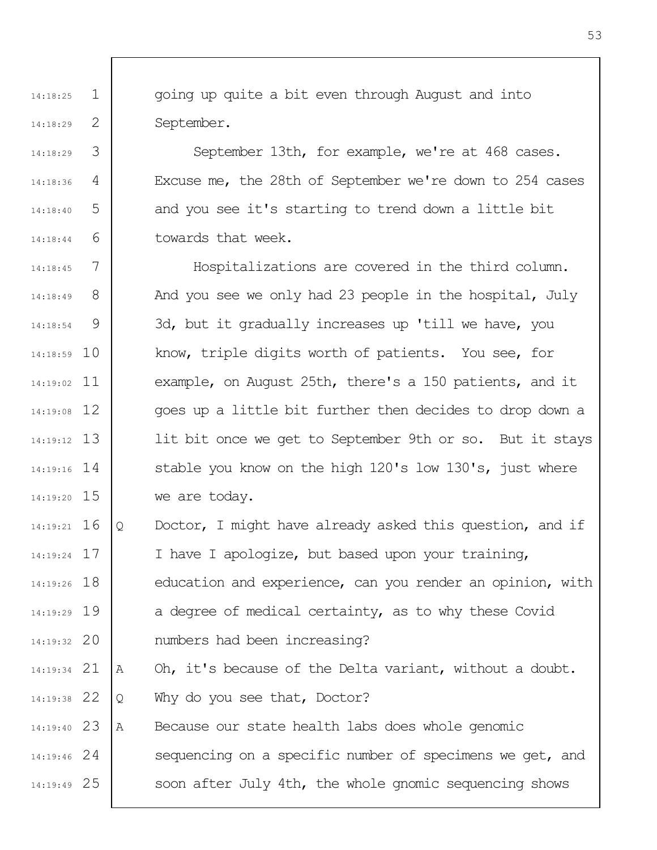going up quite a bit even through August and into September.

1

14:18:25

14:18:29

14:18:29

14:18:36

14:18:40

14:18:44

2

3

4

5

6

September 13th, for example, we're at 468 cases. Excuse me, the 28th of September we're down to 254 cases and you see it's starting to trend down a little bit towards that week.

7 8 9 10 14:18:59 11 14:19:02 12 14:19:08 13 14:19:12 14 14:19:16 15 14:19:20 14:18:45 14:18:49 14:18:54 Hospitalizations are covered in the third column. And you see we only had 23 people in the hospital, July 3d, but it gradually increases up 'till we have, you know, triple digits worth of patients. You see, for example, on August 25th, there's a 150 patients, and it goes up a little bit further then decides to drop down a lit bit once we get to September 9th or so. But it stays stable you know on the high 120's low 130's, just where we are today.

16 14:19:21 17 14:19:24 18 14:19:26 19 14:19:29 20 14:19:32 Q Doctor, I might have already asked this question, and if I have I apologize, but based upon your training, education and experience, can you render an opinion, with a degree of medical certainty, as to why these Covid numbers had been increasing?

21 14:19:34 22 14:19:38 A Oh, it's because of the Delta variant, without a doubt. Q Why do you see that, Doctor?

23 14:19:40 24 14:19:46 25 14:19:49 A Because our state health labs does whole genomic sequencing on a specific number of specimens we get, and soon after July 4th, the whole gnomic sequencing shows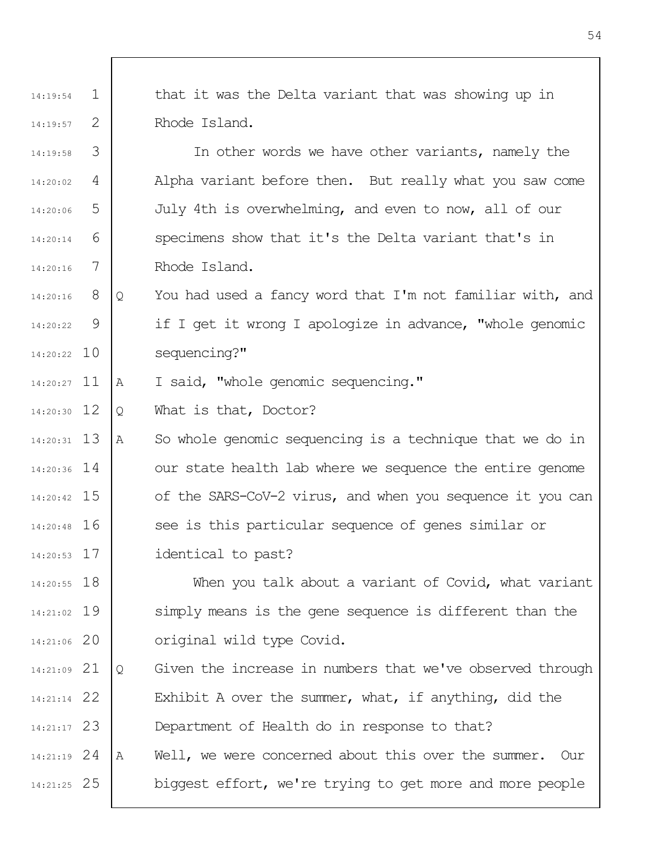1 2 14:19:54 14:19:57 that it was the Delta variant that was showing up in Rhode Island.

3 4 5 6 7 14:19:58 14:20:02 14:20:06 14:20:14 14:20:16 In other words we have other variants, namely the Alpha variant before then. But really what you saw come July 4th is overwhelming, and even to now, all of our specimens show that it's the Delta variant that's in Rhode Island.

8 9 10 14:20:22 14:20:16 14:20:22 Q You had used a fancy word that I'm not familiar with, and if I get it wrong I apologize in advance, "whole genomic sequencing?"

14:20:27 11 A I said, "whole genomic sequencing."

12 14:20:30 Q What is that, Doctor?

13 14:20:31 14 14:20:36 15 14:20:42 16 14:20:48 A So whole genomic sequencing is a technique that we do in our state health lab where we sequence the entire genome of the SARS-CoV-2 virus, and when you sequence it you can see is this particular sequence of genes similar or

17 14:20:53 identical to past?

18 14:20:55 19 14:21:02 20 14:21:06 When you talk about a variant of Covid, what variant simply means is the gene sequence is different than the original wild type Covid.

21 14:21:09 22 14:21:14 23 14:21:17 24 14:21:19 25 14:21:25 Q Given the increase in numbers that we've observed through Exhibit A over the summer, what, if anything, did the Department of Health do in response to that? A Well, we were concerned about this over the summer. Our biggest effort, we're trying to get more and more people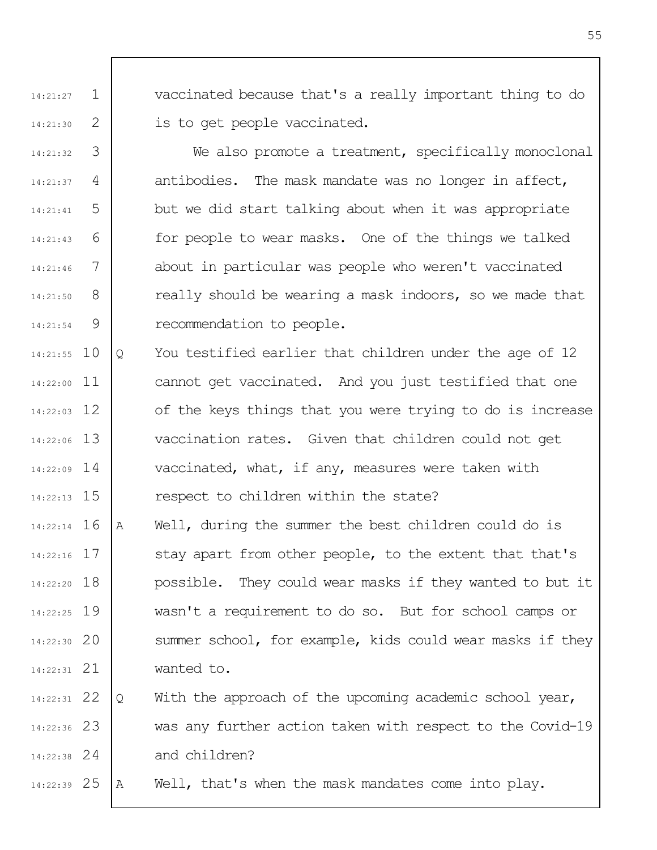vaccinated because that's a really important thing to do is to get people vaccinated.

3 4 5 6 7 8 9 14:21:32 14:21:37 14:21:41 14:21:43 14:21:46 14:21:50 14:21:54 We also promote a treatment, specifically monoclonal antibodies. The mask mandate was no longer in affect, but we did start talking about when it was appropriate for people to wear masks. One of the things we talked about in particular was people who weren't vaccinated really should be wearing a mask indoors, so we made that recommendation to people.

1

14:21:27

14:21:30

2

10 14:21:55 11 14:22:00 12 14:22:03 13 14:22:06 14 14:22:09 14:22:13 15 Q You testified earlier that children under the age of 12 cannot get vaccinated. And you just testified that one of the keys things that you were trying to do is increase vaccination rates. Given that children could not get vaccinated, what, if any, measures were taken with respect to children within the state?

16 14:22:14 17 14:22:16 14:22:20 18 19 14:22:25 20 14:22:30 21 14:22:31 A Well, during the summer the best children could do is stay apart from other people, to the extent that that's possible. They could wear masks if they wanted to but it wasn't a requirement to do so. But for school camps or summer school, for example, kids could wear masks if they wanted to.

22 14:22:31 23 14:22:36 24 14:22:38 Q With the approach of the upcoming academic school year, was any further action taken with respect to the Covid-19 and children?

25 14:22:39 A Well, that's when the mask mandates come into play.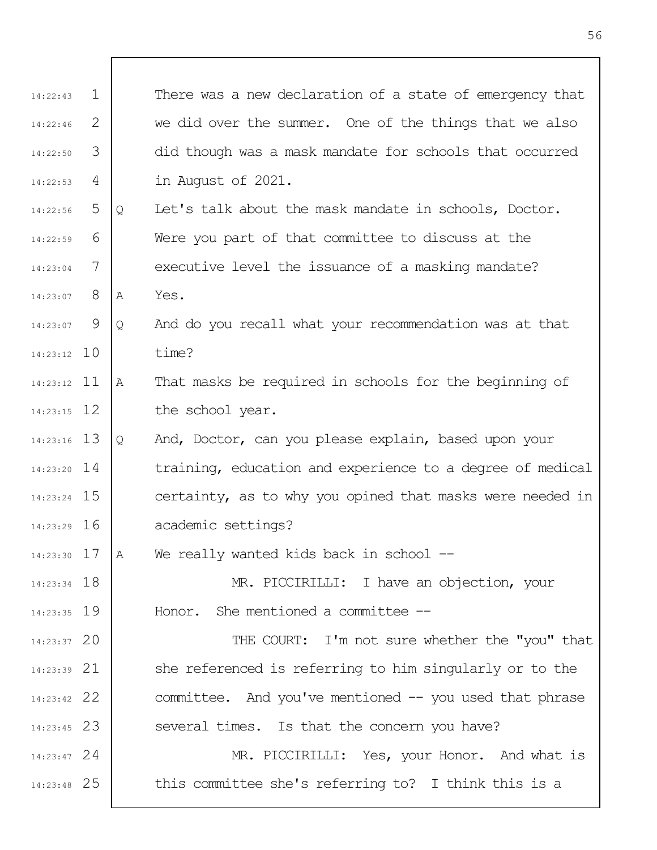| 14:22:43      | 1 |   | There was a new declaration of a state of emergency that  |
|---------------|---|---|-----------------------------------------------------------|
| 14:22:46      | 2 |   | we did over the summer. One of the things that we also    |
| 14:22:50      | 3 |   | did though was a mask mandate for schools that occurred   |
| 14:22:53      | 4 |   | in August of 2021.                                        |
| 14:22:56      | 5 | Q | Let's talk about the mask mandate in schools, Doctor.     |
| 14:22:59      | 6 |   | Were you part of that committee to discuss at the         |
| 14:23:04      | 7 |   | executive level the issuance of a masking mandate?        |
| 14:23:07      | 8 | Α | Yes.                                                      |
| 14:23:07      | 9 | Q | And do you recall what your recommendation was at that    |
| $14:23:12$ 10 |   |   | time?                                                     |
| $14:23:12$ 11 |   | Α | That masks be required in schools for the beginning of    |
| $14:23:15$ 12 |   |   | the school year.                                          |
| $14:23:16$ 13 |   | Q | And, Doctor, can you please explain, based upon your      |
| $14:23:20$ 14 |   |   | training, education and experience to a degree of medical |
| 14:23:24 15   |   |   | certainty, as to why you opined that masks were needed in |
| 14:23:29 16   |   |   | academic settings?                                        |
| $14:23:30$ 17 |   | Α | We really wanted kids back in school --                   |
| $14:23:34$ 18 |   |   | MR. PICCIRILLI: I have an objection, your                 |
| $14:23:35$ 19 |   |   | Honor. She mentioned a committee --                       |
| 14:23:37 20   |   |   | THE COURT: I'm not sure whether the "you" that            |
| $14:23:39$ 21 |   |   | she referenced is referring to him singularly or to the   |
| 14:23:42 22   |   |   | committee. And you've mentioned -- you used that phrase   |
| $14:23:45$ 23 |   |   | several times. Is that the concern you have?              |
| $14:23:47$ 24 |   |   | MR. PICCIRILLI: Yes, your Honor. And what is              |
| 14:23:48 25   |   |   | this committee she's referring to? I think this is a      |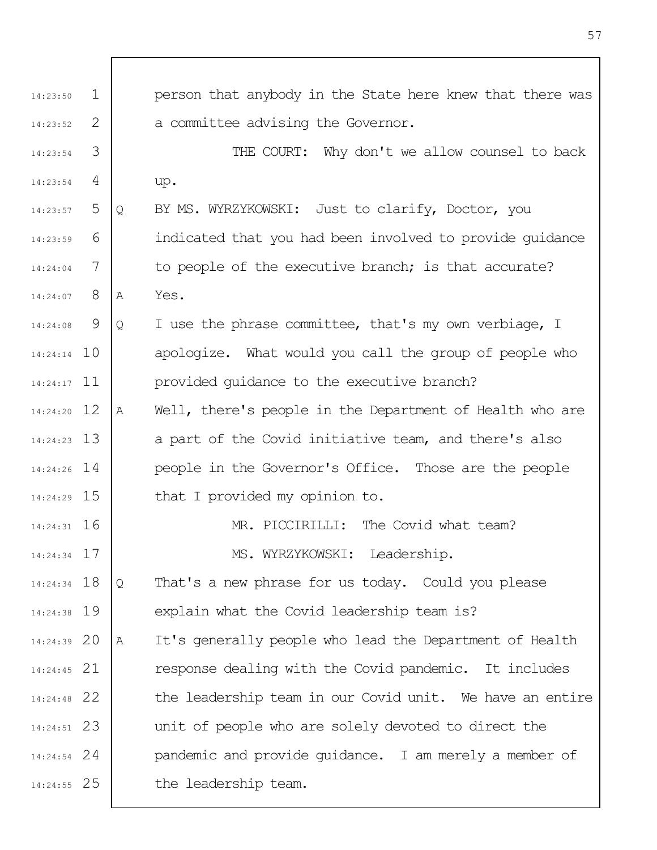| 14:23:50      | $\mathbf{1}$ |   | person that anybody in the State here knew that there was |
|---------------|--------------|---|-----------------------------------------------------------|
| 14:23:52      | 2            |   | a committee advising the Governor.                        |
| 14:23:54      | 3            |   | THE COURT: Why don't we allow counsel to back             |
| 14:23:54      | 4            |   | up.                                                       |
| 14:23:57      | 5            | Q | BY MS. WYRZYKOWSKI: Just to clarify, Doctor, you          |
| 14:23:59      | 6            |   | indicated that you had been involved to provide quidance  |
| 14:24:04      | 7            |   | to people of the executive branch; is that accurate?      |
| 14:24:07      | 8            | A | Yes.                                                      |
| 14:24:08      | 9            | Q | I use the phrase committee, that's my own verbiage, I     |
| $14:24:14$ 10 |              |   | apologize. What would you call the group of people who    |
| $14:24:17$ 11 |              |   | provided quidance to the executive branch?                |
| 14:24:20 12   |              | Α | Well, there's people in the Department of Health who are  |
| $14:24:23$ 13 |              |   | a part of the Covid initiative team, and there's also     |
| $14:24:26$ 14 |              |   | people in the Governor's Office. Those are the people     |
| 14:24:29 15   |              |   | that I provided my opinion to.                            |
| $14:24:31$ 16 |              |   | MR. PICCIRILLI: The Covid what team?                      |
| 14:24:34 17   |              |   | MS. WYRZYKOWSKI: Leadership.                              |
| 14:24:34 18   |              | Q | That's a new phrase for us today. Could you please        |
| 14:24:38 19   |              |   | explain what the Covid leadership team is?                |
| 14:24:39 20   |              | Α | It's generally people who lead the Department of Health   |
| $14:24:45$ 21 |              |   | response dealing with the Covid pandemic. It includes     |
| 14:24:48 22   |              |   | the leadership team in our Covid unit. We have an entire  |
| $14:24:51$ 23 |              |   | unit of people who are solely devoted to direct the       |
| $14:24:54$ 24 |              |   | pandemic and provide guidance. I am merely a member of    |
| 14:24:55 25   |              |   | the leadership team.                                      |

 $\mathsf I$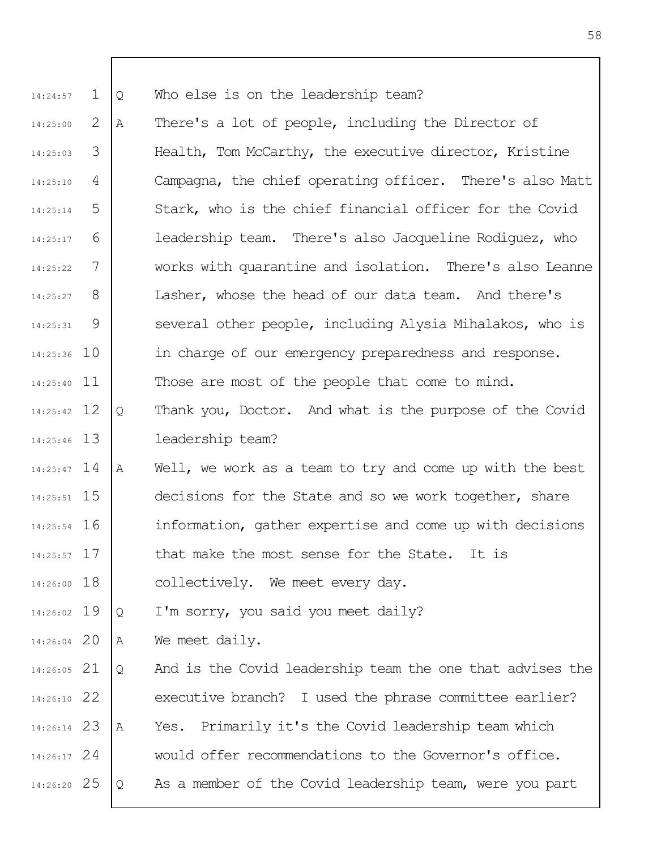1 14:24:57 Q Who else is on the leadership team?

2 3 4 5 6 7 8 9 14:25:36 10 14:25:40 11 14:25:00 14:25:03 14:25:10 14:25:14 14:25:17 14:25:22 14:25:27 14:25:31 A There's a lot of people, including the Director of Health, Tom McCarthy, the executive director, Kristine Campagna, the chief operating officer. There's also Matt Stark, who is the chief financial officer for the Covid leadership team. There's also Jacqueline Rodiguez, who works with quarantine and isolation. There's also Leanne Lasher, whose the head of our data team. And there's several other people, including Alysia Mihalakos, who is in charge of our emergency preparedness and response. Those are most of the people that come to mind.

12 14:25:42 13 14:25:46 Q Thank you, Doctor. And what is the purpose of the Covid leadership team?

14 14:25:47 14:25:51 15 16 14:25:54 17 14:25:57 A Well, we work as a team to try and come up with the best decisions for the State and so we work together, share information, gather expertise and come up with decisions that make the most sense for the State. It is

14:26:00 18 collectively. We meet every day.

19 14:26:02 Q I'm sorry, you said you meet daily?

20 14:26:04 A We meet daily.

21 14:26:05 22 14:26:10 23 14:26:14 24 14:26:17 25 14:26:20 Q And is the Covid leadership team the one that advises the executive branch? I used the phrase committee earlier? A Yes. Primarily it's the Covid leadership team which would offer recommendations to the Governor's office. Q As a member of the Covid leadership team, were you part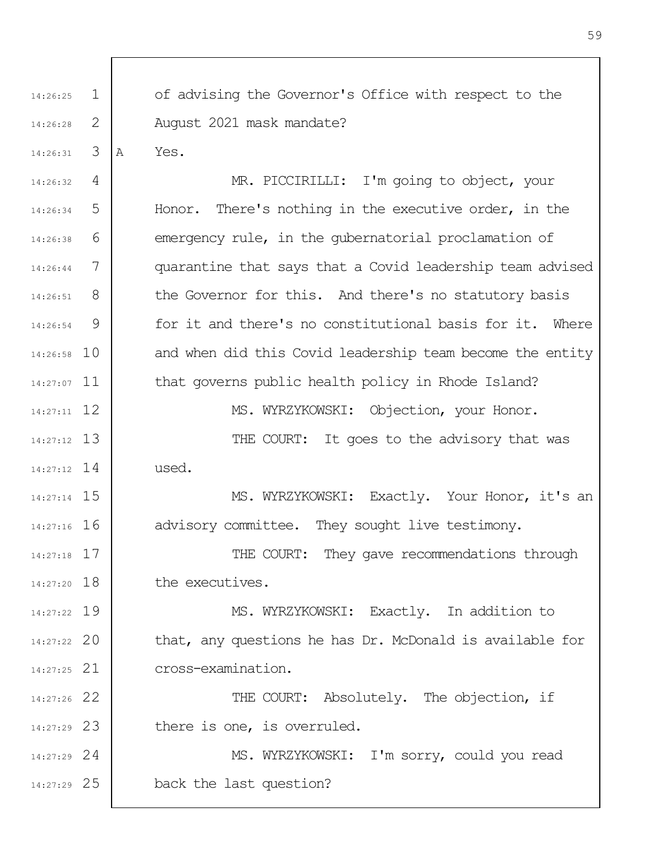1 2 3 4 5 6 7 8 9 10 14:26:58 14:27:07 11 12 14:27:11 13 14:27:12 14 14:27:12 14:27:14 15 14:27:16 16 17 14:27:18 14:27:20 18 19 14:27:22 20 14:27:22 21 14:27:25 22 14:27:26 23 14:27:29 24 14:27:29 25 14:27:29 14:26:25 14:26:28 14:26:31 14:26:32 14:26:34 14:26:38 14:26:44 14:26:51 14:26:54 of advising the Governor's Office with respect to the August 2021 mask mandate? A Yes. MR. PICCIRILLI: I'm going to object, your Honor. There's nothing in the executive order, in the emergency rule, in the gubernatorial proclamation of quarantine that says that a Covid leadership team advised the Governor for this. And there's no statutory basis for it and there's no constitutional basis for it. Where and when did this Covid leadership team become the entity that governs public health policy in Rhode Island? MS. WYRZYKOWSKI: Objection, your Honor. THE COURT: It goes to the advisory that was used. MS. WYRZYKOWSKI: Exactly. Your Honor, it's an advisory committee. They sought live testimony. THE COURT: They gave recommendations through the executives. MS. WYRZYKOWSKI: Exactly. In addition to that, any questions he has Dr. McDonald is available for cross-examination. THE COURT: Absolutely. The objection, if there is one, is overruled. MS. WYRZYKOWSKI: I'm sorry, could you read back the last question?

59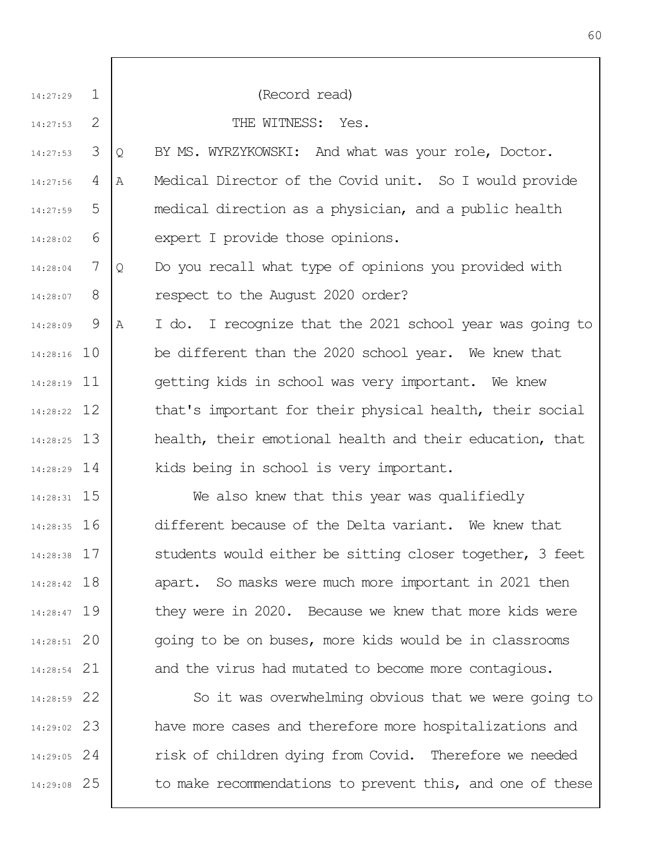| 14:27:29      | $\mathbf 1$ | (Record read)                                                 |
|---------------|-------------|---------------------------------------------------------------|
| 14:27:53      | 2           | THE WITNESS: Yes.                                             |
| 14:27:53      | 3           | BY MS. WYRZYKOWSKI: And what was your role, Doctor.<br>Q      |
| 14:27:56      | 4           | Medical Director of the Covid unit. So I would provide<br>A   |
| 14:27:59      | 5           | medical direction as a physician, and a public health         |
| 14:28:02      | 6           | expert I provide those opinions.                              |
| 14:28:04      | 7           | Do you recall what type of opinions you provided with<br>Q    |
| 14:28:07      | 8           | respect to the August 2020 order?                             |
| 14:28:09      | - 9         | I do. I recognize that the 2021 school year was going to<br>A |
| 14:28:16 10   |             | be different than the 2020 school year. We knew that          |
| 14:28:19 11   |             | getting kids in school was very important. We knew            |
| 14:28:22 12   |             | that's important for their physical health, their social      |
| $14:28:25$ 13 |             | health, their emotional health and their education, that      |
| $14:28:29$ 14 |             | kids being in school is very important.                       |
| 14:28:31 15   |             | We also knew that this year was qualifiedly                   |
| $14:28:35$ 16 |             | different because of the Delta variant. We knew that          |
| $14:28:38$ 17 |             | students would either be sitting closer together, 3 feet      |
| 14:28:42 18   |             | apart. So masks were much more important in 2021 then         |
| 14:28:47 19   |             | they were in 2020. Because we knew that more kids were        |
| 14:28:51 20   |             | going to be on buses, more kids would be in classrooms        |
| 14:28:54 21   |             | and the virus had mutated to become more contagious.          |
| 14:28:59 22   |             | So it was overwhelming obvious that we were going to          |
| 14:29:02 23   |             | have more cases and therefore more hospitalizations and       |
| $14:29:05$ 24 |             | risk of children dying from Covid. Therefore we needed        |
| 14:29:08 25   |             | to make recommendations to prevent this, and one of these     |
|               |             |                                                               |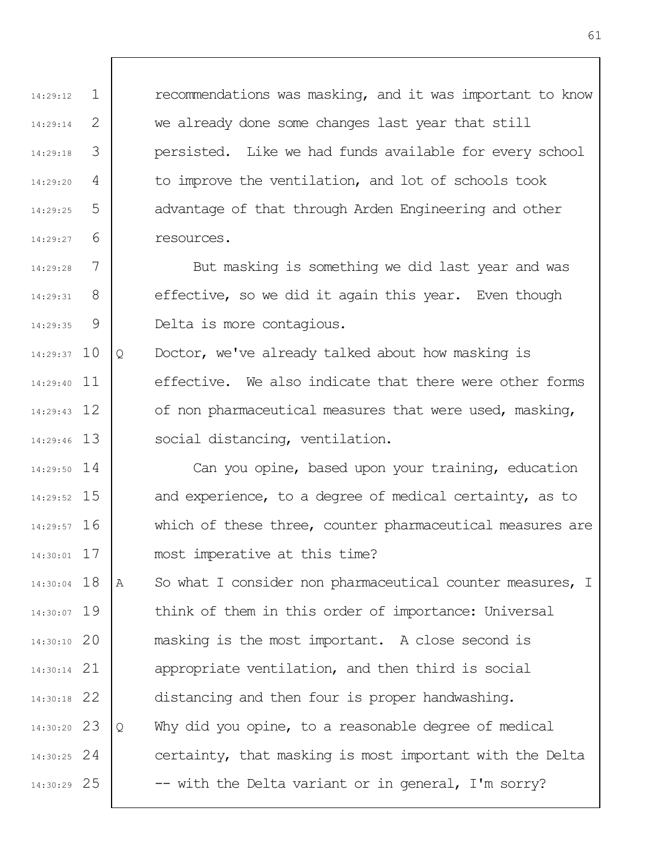recommendations was masking, and it was important to know we already done some changes last year that still persisted. Like we had funds available for every school to improve the ventilation, and lot of schools took advantage of that through Arden Engineering and other resources.

7 8 9 14:29:28 14:29:31 14:29:35 But masking is something we did last year and was effective, so we did it again this year. Even though Delta is more contagious.

1

14:29:12

14:29:14

14:29:18

14:29:20

14:29:25

14:29:27

2

3

4

5

6

14:29:37 10 14:29:40 11 12 14:29:43 13 14:29:46 Q Doctor, we've already talked about how masking is effective. We also indicate that there were other forms of non pharmaceutical measures that were used, masking, social distancing, ventilation.

14 14:29:50 14:29:52 15 16 14:29:57 17 14:30:01 Can you opine, based upon your training, education and experience, to a degree of medical certainty, as to which of these three, counter pharmaceutical measures are most imperative at this time?

14:30:04 18 14:30:07 19 20 14:30:10 21 14:30:14 22 14:30:18 23 14:30:20 24 14:30:25 25 14:30:29 A So what I consider non pharmaceutical counter measures, I think of them in this order of importance: Universal masking is the most important. A close second is appropriate ventilation, and then third is social distancing and then four is proper handwashing. Q Why did you opine, to a reasonable degree of medical certainty, that masking is most important with the Delta -- with the Delta variant or in general, I'm sorry?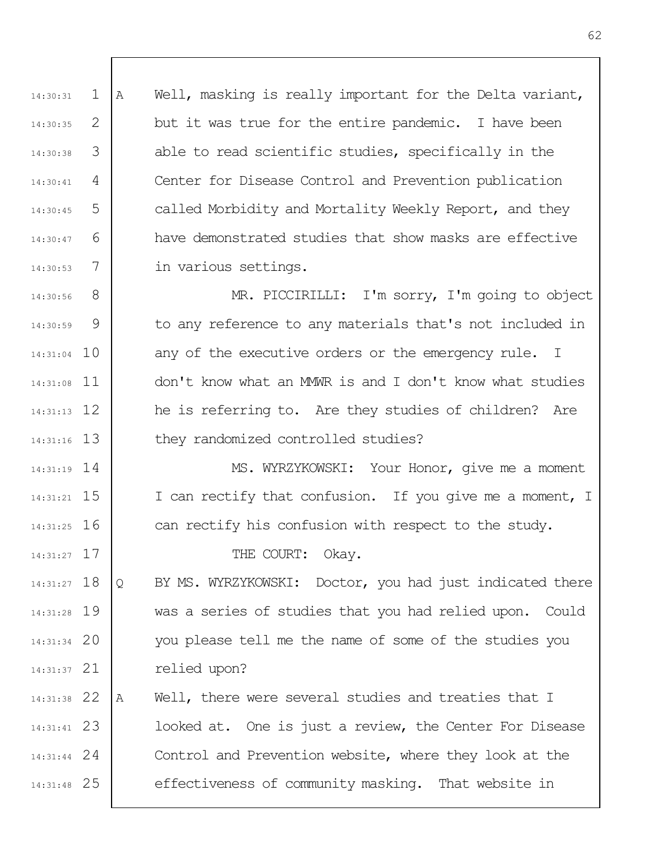1 2 3 4 5 6 7 14:30:31 14:30:35 14:30:38 14:30:41 14:30:45 14:30:47 14:30:53 A Well, masking is really important for the Delta variant, but it was true for the entire pandemic. I have been able to read scientific studies, specifically in the Center for Disease Control and Prevention publication called Morbidity and Mortality Weekly Report, and they have demonstrated studies that show masks are effective in various settings.

8 9 14:31:04 10 14:31:08 11 12 14:31:13 13 14:31:16 14:30:56 14:30:59 MR. PICCIRILLI: I'm sorry, I'm going to object to any reference to any materials that's not included in any of the executive orders or the emergency rule. I don't know what an MMWR is and I don't know what studies he is referring to. Are they studies of children? Are they randomized controlled studies?

14 14:31:19 15 14:31:21 16 14:31:25 MS. WYRZYKOWSKI: Your Honor, give me a moment I can rectify that confusion. If you give me a moment, I can rectify his confusion with respect to the study.

THE COURT: Okay.

17 14:31:27

14:31:27 18 19 14:31:28 20 14:31:34 21 14:31:37 Q BY MS. WYRZYKOWSKI: Doctor, you had just indicated there was a series of studies that you had relied upon. Could you please tell me the name of some of the studies you relied upon?

22 14:31:38 23 14:31:41 24 14:31:44 25 14:31:48 A Well, there were several studies and treaties that I looked at. One is just a review, the Center For Disease Control and Prevention website, where they look at the effectiveness of community masking. That website in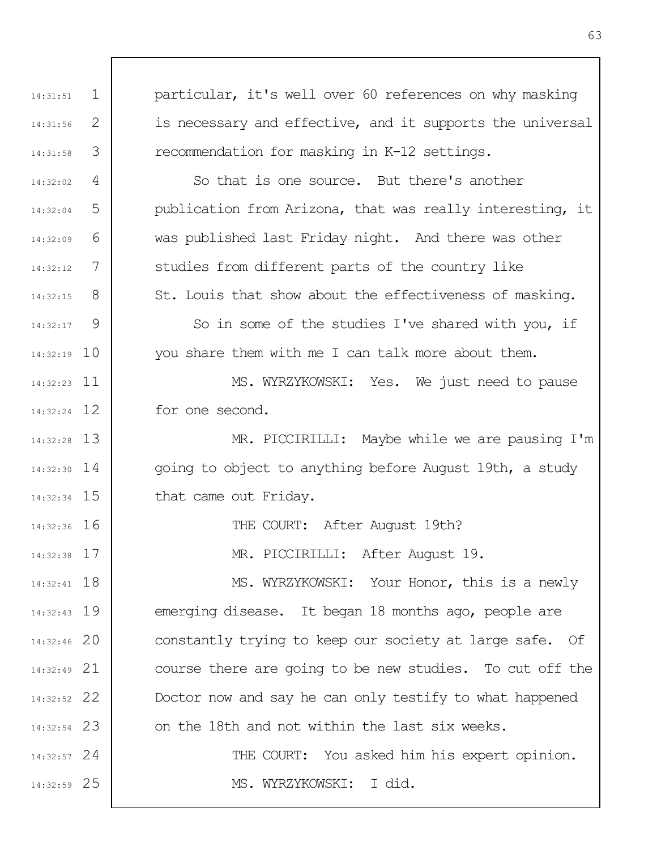1 2 3 4 5 6 7 8  $\mathsf{Q}$ 14:32:19 10 11 14:32:23 12 14:32:24 13 14:32:28 14 14:32:30 14:32:34 15 14:32:36 16 17 14:32:38 18 14:32:41 19 14:32:43 20 14:32:46 21 14:32:49 22 14:32:52 23 14:32:54 24 14:32:57 25 14:32:59 14:31:51 14:31:56 14:31:58 14:32:02 14:32:04 14:32:09 14:32:12 14:32:15 14:32:17 particular, it's well over 60 references on why masking is necessary and effective, and it supports the universal recommendation for masking in K-12 settings. So that is one source. But there's another publication from Arizona, that was really interesting, it was published last Friday night. And there was other studies from different parts of the country like St. Louis that show about the effectiveness of masking. So in some of the studies I've shared with you, if you share them with me I can talk more about them. MS. WYRZYKOWSKI: Yes. We just need to pause for one second. MR. PICCIRILLI: Maybe while we are pausing I'm going to object to anything before August 19th, a study that came out Friday. THE COURT: After August 19th? MR. PICCIRILLI: After August 19. MS. WYRZYKOWSKI: Your Honor, this is a newly emerging disease. It began 18 months ago, people are constantly trying to keep our society at large safe. Of course there are going to be new studies. To cut off the Doctor now and say he can only testify to what happened on the 18th and not within the last six weeks. THE COURT: You asked him his expert opinion. MS. WYRZYKOWSKI: I did.

63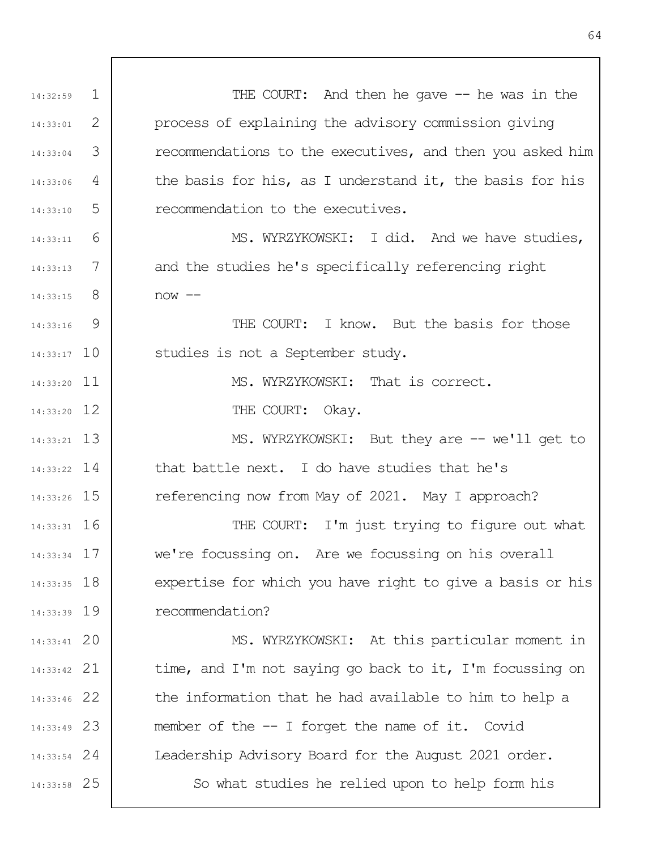1 2 3 4 5 6 7 8  $\mathsf{Q}$ 14:33:17 10 14:33:20 11 14:33:20 12 13 14:33:21 14 14:33:22 14:33:26 15 16 14:33:31 17 14:33:34 14:33:35 18 14:33:39 19 20 14:33:41 21 14:33:42 22 14:33:46 23 14:33:49 24 14:33:54 25 14:33:58 14:32:59 14:33:01 14:33:04 14:33:06 14:33:10 14:33:11 14:33:13 14:33:15 14:33:16 THE COURT: And then he gave -- he was in the process of explaining the advisory commission giving recommendations to the executives, and then you asked him the basis for his, as I understand it, the basis for his recommendation to the executives. MS. WYRZYKOWSKI: I did. And we have studies, and the studies he's specifically referencing right  $now --$ THE COURT: I know. But the basis for those studies is not a September study. MS. WYRZYKOWSKI: That is correct. THE COURT: Okay. MS. WYRZYKOWSKI: But they are -- we'll get to that battle next. I do have studies that he's referencing now from May of 2021. May I approach? THE COURT: I'm just trying to figure out what we're focussing on. Are we focussing on his overall expertise for which you have right to give a basis or his recommendation? MS. WYRZYKOWSKI: At this particular moment in time, and I'm not saying go back to it, I'm focussing on the information that he had available to him to help a member of the -- I forget the name of it. Covid Leadership Advisory Board for the August 2021 order. So what studies he relied upon to help form his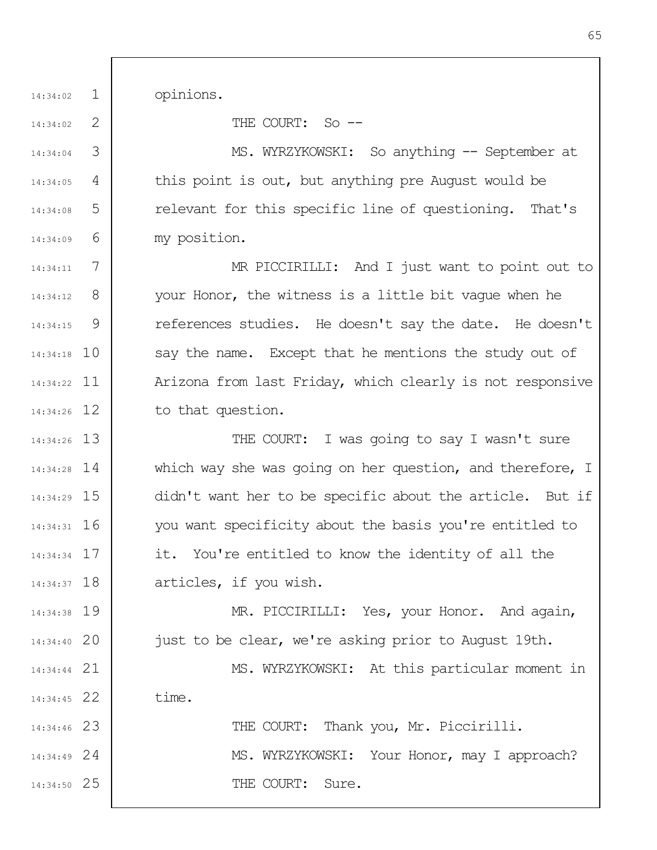opinions.

1

14:34:02

14:34:02

14:34:04

14:34:05

14:34:08

14:34:09

2

3

4

5

6

21 14:34:44

22 14:34:45

THE COURT: So --

MS. WYRZYKOWSKI: So anything -- September at this point is out, but anything pre August would be relevant for this specific line of questioning. That's my position.

7 8 9 14:34:18 10 11 14:34:22 12 14:34:26 14:34:11 14:34:12 14:34:15 MR PICCIRILLI: And I just want to point out to your Honor, the witness is a little bit vague when he references studies. He doesn't say the date. He doesn't say the name. Except that he mentions the study out of Arizona from last Friday, which clearly is not responsive to that question.

13 14:34:26 14 14:34:28 15 14:34:29 16 14:34:31 17 14:34:34 14:34:37 18 THE COURT: I was going to say I wasn't sure which way she was going on her question, and therefore, I didn't want her to be specific about the article. But if you want specificity about the basis you're entitled to it. You're entitled to know the identity of all the articles, if you wish.

19 14:34:38 20 14:34:40 MR. PICCIRILLI: Yes, your Honor. And again, just to be clear, we're asking prior to August 19th.

> MS. WYRZYKOWSKI: At this particular moment in time.

23 14:34:46 24 14:34:49 25 14:34:50 THE COURT: Thank you, Mr. Piccirilli. MS. WYRZYKOWSKI: Your Honor, may I approach? THE COURT: Sure.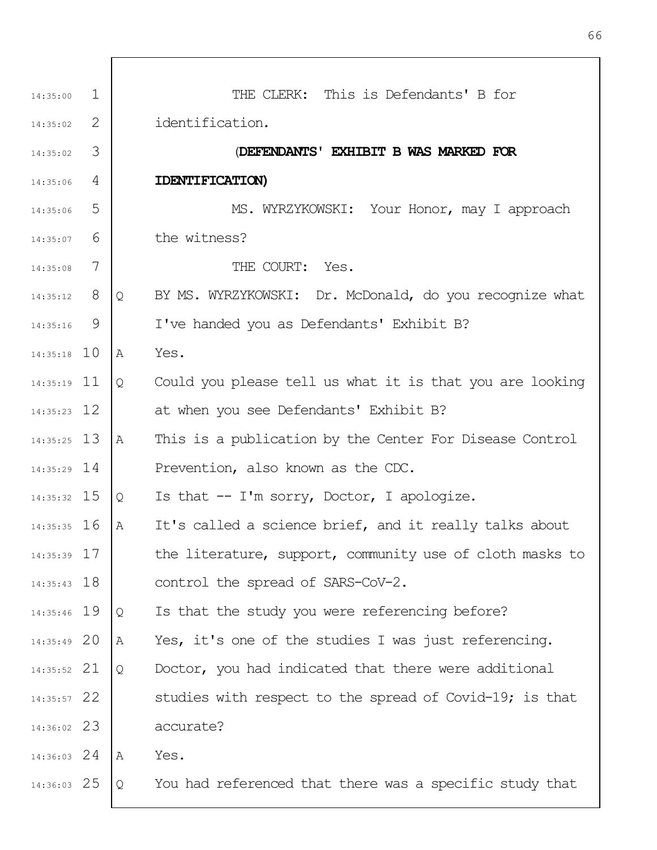| 14:35:00      | $\mathbf{1}$ |   | THE CLERK: This is Defendants' B for                     |
|---------------|--------------|---|----------------------------------------------------------|
| 14:35:02      | 2            |   | identification.                                          |
| 14:35:02      | 3            |   | (DEFENDANTS' EXHIBIT B WAS MARKED FOR                    |
| 14:35:06      | 4            |   | IDENTIFICATION)                                          |
| 14:35:06      | 5            |   | MS. WYRZYKOWSKI: Your Honor, may I approach              |
| 14:35:07      | 6            |   | the witness?                                             |
| 14:35:08      | 7            |   | THE COURT: Yes.                                          |
| 14:35:12      | 8            | Q | BY MS. WYRZYKOWSKI: Dr. McDonald, do you recognize what  |
| 14:35:16      | 9            |   | I've handed you as Defendants' Exhibit B?                |
| $14:35:18$ 10 |              | Α | Yes.                                                     |
| $14:35:19$ 11 |              | Q | Could you please tell us what it is that you are looking |
| $14:35:23$ 12 |              |   | at when you see Defendants' Exhibit B?                   |
| $14:35:25$ 13 |              | A | This is a publication by the Center For Disease Control  |
| $14:35:29$ 14 |              |   | Prevention, also known as the CDC.                       |
| 14:35:32 15   |              | Q | Is that $-$ I'm sorry, Doctor, I apologize.              |
| $14:35:35$ 16 |              | A | It's called a science brief, and it really talks about   |
| 14:35:39 17   |              |   | the literature, support, community use of cloth masks to |
| $14:35:43$ 18 |              |   | control the spread of SARS-CoV-2.                        |
| 14:35:46 19   |              | Q | Is that the study you were referencing before?           |
| 14:35:49 20   |              | Α | Yes, it's one of the studies I was just referencing.     |
| 14:35:52 21   |              | Q | Doctor, you had indicated that there were additional     |
| 14:35:57 22   |              |   | studies with respect to the spread of Covid-19; is that  |
| 14:36:02 23   |              |   | accurate?                                                |
| 14:36:03 24   |              | Α | Yes.                                                     |
| 14:36:03 25   |              | Q | You had referenced that there was a specific study that  |

 $\Gamma$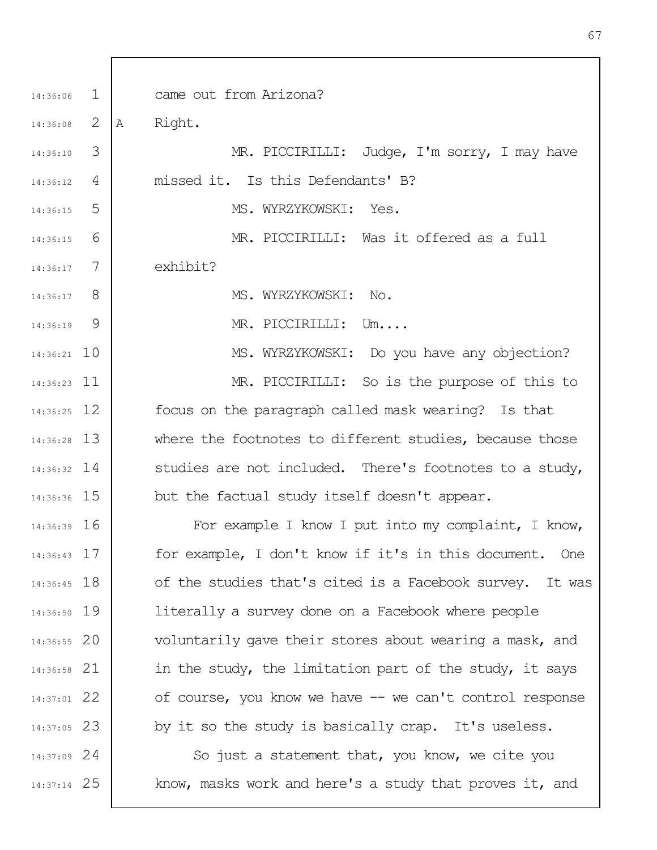| 14:36:06      | $\mathbf{1}$ | came out from Arizona?                                   |
|---------------|--------------|----------------------------------------------------------|
| 14:36:08      | 2            | Right.<br>A                                              |
| 14:36:10      | 3            | MR. PICCIRILLI: Judge, I'm sorry, I may have             |
| 14:36:12      | 4            | missed it. Is this Defendants' B?                        |
| 14:36:15      | 5            | MS. WYRZYKOWSKI: Yes.                                    |
| 14:36:15      | 6            | MR. PICCIRILLI: Was it offered as a full                 |
| 14:36:17      | 7            | exhibit?                                                 |
| $14:36:17$ 8  |              | MS. WYRZYKOWSKI: No.                                     |
| 14:36:19      | 9            | MR. PICCIRILLI: Um                                       |
| $14:36:21$ 10 |              | MS. WYRZYKOWSKI: Do you have any objection?              |
| 14:36:23 11   |              | MR. PICCIRILLI: So is the purpose of this to             |
| $14:36:25$ 12 |              | focus on the paragraph called mask wearing? Is that      |
| 14:36:28 13   |              | where the footnotes to different studies, because those  |
| $14:36:32$ 14 |              | studies are not included. There's footnotes to a study,  |
| 14:36:36 15   |              | but the factual study itself doesn't appear.             |
| $14:36:39$ 16 |              | For example I know I put into my complaint, I know,      |
| 14:36:43 17   |              | for example, I don't know if it's in this document. One  |
| $14:36:45$ 18 |              | of the studies that's cited is a Facebook survey. It was |
| 14:36:50 19   |              | literally a survey done on a Facebook where people       |
| 14:36:55 20   |              | voluntarily gave their stores about wearing a mask, and  |
| 14:36:58 21   |              | in the study, the limitation part of the study, it says  |
| 14:37:01 22   |              | of course, you know we have -- we can't control response |
| 14:37:05 23   |              | by it so the study is basically crap. It's useless.      |
| 14:37:09 24   |              | So just a statement that, you know, we cite you          |
| 14:37:14 25   |              | know, masks work and here's a study that proves it, and  |
|               |              |                                                          |

 $\overline{1}$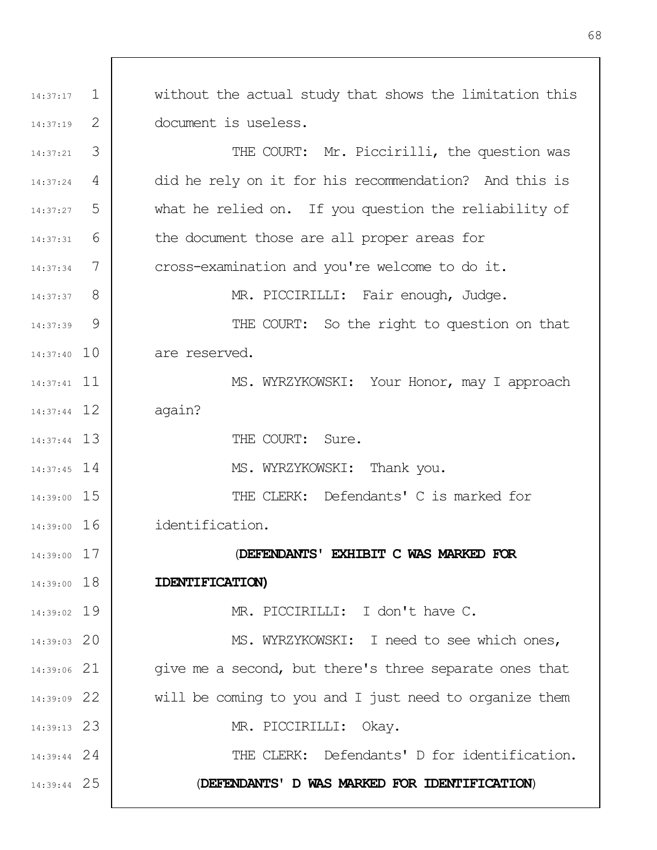1 2 3 4 5 6 7 8 9 14:37:40 10 14:37:41 11 12 14:37:44 13 14:37:44 14 14:37:45 14:39:00 15 14:39:00 16 17 14:39:00 14:39:00 18 14:39:02 19 20 14:39:03 21 14:39:06 22 14:39:09 23 14:39:13 24 14:39:44 25 14:39:44 14:37:17 14:37:19 14:37:21 14:37:24 14:37:27 14:37:31 14:37:34 14:37:37 14:37:39 without the actual study that shows the limitation this document is useless. THE COURT: Mr. Piccirilli, the question was did he rely on it for his recommendation? And this is what he relied on. If you question the reliability of the document those are all proper areas for cross-examination and you're welcome to do it. MR. PICCIRILLI: Fair enough, Judge. THE COURT: So the right to question on that are reserved. MS. WYRZYKOWSKI: Your Honor, may I approach again? THE COURT: Sure. MS. WYRZYKOWSKI: Thank you. THE CLERK: Defendants' C is marked for identification. (**DEFENDANTS' EXHIBIT C WAS MARKED FOR IDENTIFICATION)** MR. PICCIRILLI: I don't have C. MS. WYRZYKOWSKI: I need to see which ones, give me a second, but there's three separate ones that will be coming to you and I just need to organize them MR. PICCIRILLI: Okay. THE CLERK: Defendants' D for identification. (**DEFENDANTS' D WAS MARKED FOR IDENTIFICATION**)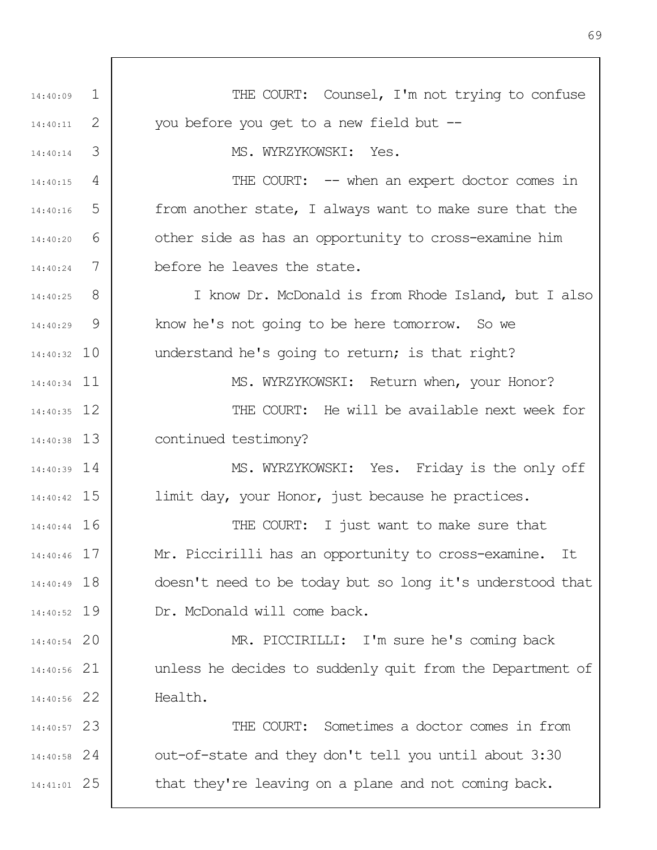| 14:40:09      | $\mathbf{1}$ | THE COURT: Counsel, I'm not trying to confuse             |
|---------------|--------------|-----------------------------------------------------------|
| 14:40:11      | 2            | you before you get to a new field but --                  |
| 14:40:14      | 3            | MS. WYRZYKOWSKI: Yes.                                     |
| 14:40:15      | 4            | THE COURT: $--$ when an expert doctor comes in            |
| 14:40:16      | 5            | from another state, I always want to make sure that the   |
| 14:40:20      | 6            | other side as has an opportunity to cross-examine him     |
| 14:40:24      | 7            | before he leaves the state.                               |
| 14:40:25      | 8            | I know Dr. McDonald is from Rhode Island, but I also      |
| 14:40:29      | 9            | know he's not going to be here tomorrow. So we            |
| $14:40:32$ 10 |              | understand he's going to return; is that right?           |
| $14:40:34$ 11 |              | MS. WYRZYKOWSKI: Return when, your Honor?                 |
| $14:40:35$ 12 |              | THE COURT: He will be available next week for             |
| $14:40:38$ 13 |              | continued testimony?                                      |
| $14:40:39$ 14 |              | MS. WYRZYKOWSKI: Yes. Friday is the only off              |
| $14:40:42$ 15 |              | limit day, your Honor, just because he practices.         |
| $14:40:44$ 16 |              | THE COURT: I just want to make sure that                  |
| 14:40:46 17   |              | Mr. Piccirilli has an opportunity to cross-examine.<br>It |
| 14:40:49 18   |              | doesn't need to be today but so long it's understood that |
| 14:40:52 19   |              | Dr. McDonald will come back.                              |
| $14:40:54$ 20 |              | MR. PICCIRILLI: I'm sure he's coming back                 |
| $14:40:56$ 21 |              | unless he decides to suddenly quit from the Department of |
| 14:40:56 22   |              | Health.                                                   |
| 14:40:57 23   |              | THE COURT: Sometimes a doctor comes in from               |
| $14:40:58$ 24 |              | out-of-state and they don't tell you until about 3:30     |
| 14:41:01 25   |              | that they're leaving on a plane and not coming back.      |
|               |              |                                                           |

69

٦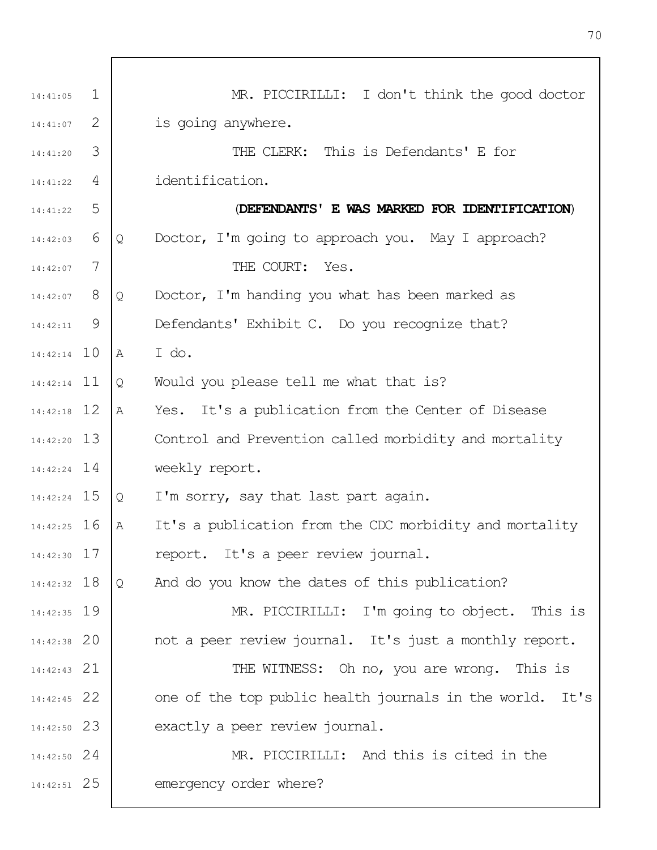| 14:41:05      | $\mathbf 1$ |   | MR. PICCIRILLI: I don't think the good doctor            |
|---------------|-------------|---|----------------------------------------------------------|
| 14:41:07      | 2           |   | is going anywhere.                                       |
| 14:41:20      | 3           |   | THE CLERK: This is Defendants' E for                     |
| 14:41:22      | 4           |   | identification.                                          |
| 14:41:22      | 5           |   | (DEFENDANTS' E WAS MARKED FOR IDENTIFICATION)            |
| 14:42:03      | 6           | Q | Doctor, I'm going to approach you. May I approach?       |
| 14:42:07      | 7           |   | THE COURT:<br>Yes.                                       |
| 14:42:07      | 8           | Q | Doctor, I'm handing you what has been marked as          |
| 14:42:11      | 9           |   | Defendants' Exhibit C. Do you recognize that?            |
| $14:42:14$ 10 |             | Α | I do.                                                    |
| $14:42:14$ 11 |             | Q | Would you please tell me what that is?                   |
| $14:42:18$ 12 |             | Α | Yes. It's a publication from the Center of Disease       |
| $14:42:20$ 13 |             |   | Control and Prevention called morbidity and mortality    |
| $14:42:24$ 14 |             |   | weekly report.                                           |
| 14:42:24 15   |             | Q | I'm sorry, say that last part again.                     |
| $14:42:25$ 16 |             | Α | It's a publication from the CDC morbidity and mortality  |
| $14:42:30$ 17 |             |   | report. It's a peer review journal.                      |
| $14:42:32$ 18 |             | Q | And do you know the dates of this publication?           |
| 14:42:35 19   |             |   | MR. PICCIRILLI: I'm going to object. This is             |
| $14:42:38$ 20 |             |   | not a peer review journal. It's just a monthly report.   |
| $14:42:43$ 21 |             |   | THE WITNESS: Oh no, you are wrong. This is               |
| $14:42:45$ 22 |             |   | one of the top public health journals in the world. It's |
| $14:42:50$ 23 |             |   | exactly a peer review journal.                           |
| $14:42:50$ 24 |             |   | MR. PICCIRILLI: And this is cited in the                 |
| 14:42:51 25   |             |   | emergency order where?                                   |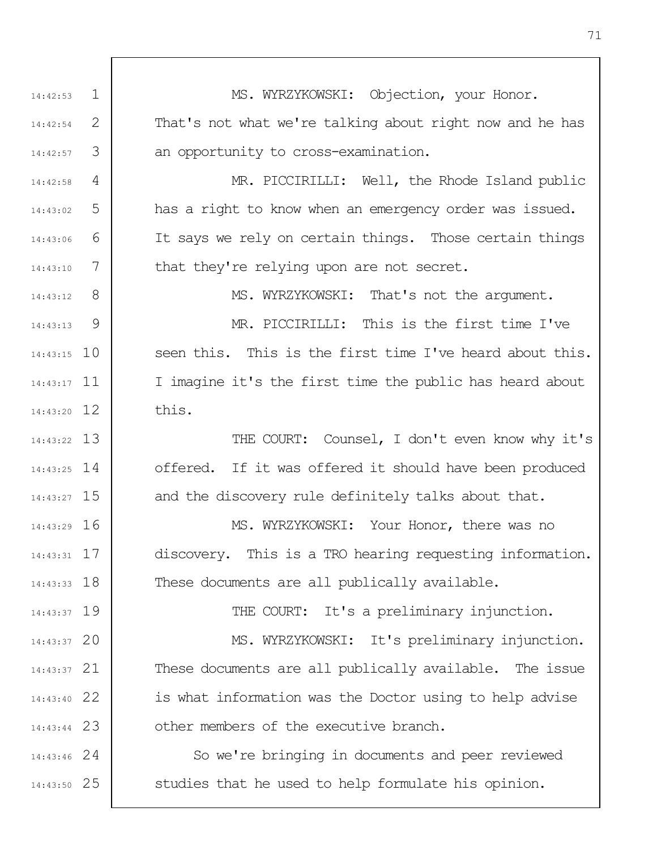1 2 3 4 5 6 7 8  $\mathsf{Q}$ 14:43:15 10 14:43:17 11 12 14:43:20 13 14:43:22 14 14:43:25 14:43:27 15 16 14:43:29 17 14:43:31 14:43:33 18 14:43:37 19 20 14:43:37 21 14:43:37 22 14:43:40 23 14:43:44 24 14:43:46 25 14:43:50 14:42:53 14:42:54 14:42:57 14:42:58 14:43:02 14:43:06 14:43:10 14:43:12 14:43:13 MS. WYRZYKOWSKI: Objection, your Honor. That's not what we're talking about right now and he has an opportunity to cross-examination. MR. PICCIRILLI: Well, the Rhode Island public has a right to know when an emergency order was issued. It says we rely on certain things. Those certain things that they're relying upon are not secret. MS. WYRZYKOWSKI: That's not the argument. MR. PICCIRILLI: This is the first time I've seen this. This is the first time I've heard about this. I imagine it's the first time the public has heard about this. THE COURT: Counsel, I don't even know why it's offered. If it was offered it should have been produced and the discovery rule definitely talks about that. MS. WYRZYKOWSKI: Your Honor, there was no discovery. This is a TRO hearing requesting information. These documents are all publically available. THE COURT: It's a preliminary injunction. MS. WYRZYKOWSKI: It's preliminary injunction. These documents are all publically available. The issue is what information was the Doctor using to help advise other members of the executive branch. So we're bringing in documents and peer reviewed studies that he used to help formulate his opinion.

71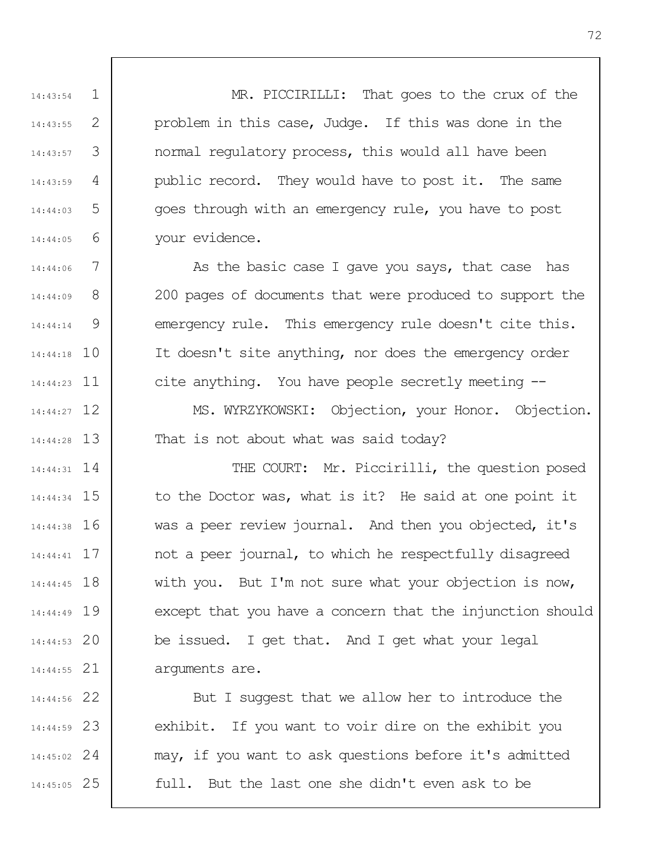MR. PICCIRILLI: That goes to the crux of the problem in this case, Judge. If this was done in the normal regulatory process, this would all have been public record. They would have to post it. The same goes through with an emergency rule, you have to post your evidence.

1

14:43:54

14:43:55

14:43:57

14:43:59

14:44:03

14:44:05

14:44:06

14:44:09

14:44:14

2

3

4

5

6

7

8

9

14:44:18 10

14:44:23 11

12 14:44:27

13 14:44:28

As the basic case I gave you says, that case has 200 pages of documents that were produced to support the emergency rule. This emergency rule doesn't cite this. It doesn't site anything, nor does the emergency order cite anything. You have people secretly meeting --

MS. WYRZYKOWSKI: Objection, your Honor. Objection. That is not about what was said today?

14 14:44:31 15 14:44:34 16 14:44:38 17 14:44:41 14:44:45 18 19 14:44:49 20 14:44:53 21 14:44:55 THE COURT: Mr. Piccirilli, the question posed to the Doctor was, what is it? He said at one point it was a peer review journal. And then you objected, it's not a peer journal, to which he respectfully disagreed with you. But I'm not sure what your objection is now, except that you have a concern that the injunction should be issued. I get that. And I get what your legal arguments are.

22 14:44:56 23 14:44:59 24 14:45:02 25 14:45:05 But I suggest that we allow her to introduce the exhibit. If you want to voir dire on the exhibit you may, if you want to ask questions before it's admitted full. But the last one she didn't even ask to be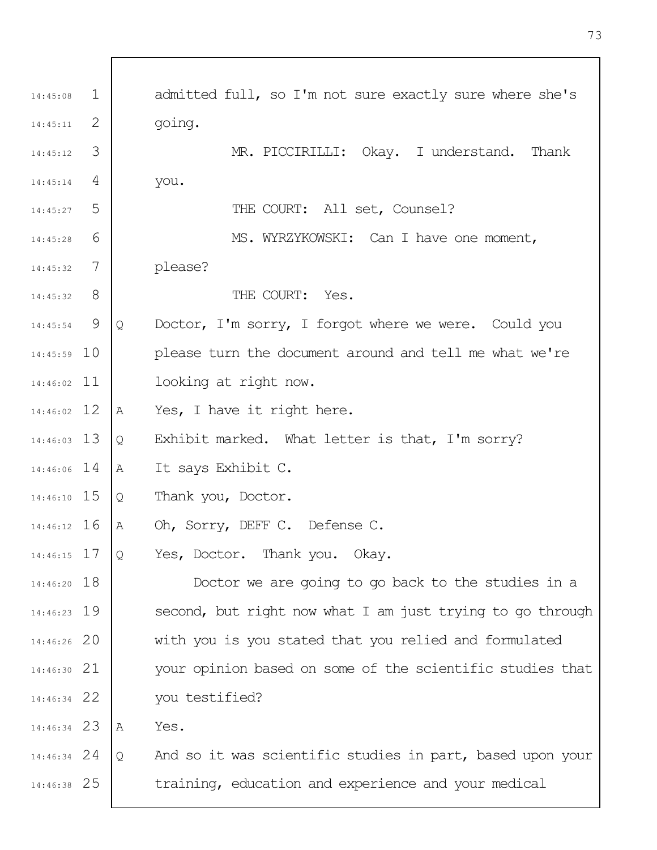| 14:45:08      | $\mathbf{1}$    |   | admitted full, so I'm not sure exactly sure where she's   |
|---------------|-----------------|---|-----------------------------------------------------------|
| 14:45:11      | 2               |   | going.                                                    |
| 14:45:12      | 3               |   | MR. PICCIRILLI: Okay. I understand.<br>Thank              |
| 14:45:14      | 4               |   | you.                                                      |
| 14:45:27      | 5               |   | THE COURT: All set, Counsel?                              |
| 14:45:28      | 6               |   | MS. WYRZYKOWSKI: Can I have one moment,                   |
| 14:45:32      | $7\phantom{.0}$ |   | please?                                                   |
| 14:45:32      | 8               |   | THE COURT: Yes.                                           |
| $14:45:54$ 9  |                 | Q | Doctor, I'm sorry, I forgot where we were. Could you      |
| $14:45:59$ 10 |                 |   | please turn the document around and tell me what we're    |
| $14:46:02$ 11 |                 |   | looking at right now.                                     |
| $14:46:02$ 12 |                 | Α | Yes, I have it right here.                                |
| $14:46:03$ 13 |                 | Q | Exhibit marked. What letter is that, I'm sorry?           |
| $14:46:06$ 14 |                 | A | It says Exhibit C.                                        |
| 14:46:10 15   |                 | Q | Thank you, Doctor.                                        |
| 14:46:12 16   |                 | Α | Oh, Sorry, DEFF C. Defense C.                             |
| $14:46:15$ 17 |                 | Q | Yes, Doctor. Thank you. Okay.                             |
| 14:46:20 18   |                 |   | Doctor we are going to go back to the studies in a        |
| $14:46:23$ 19 |                 |   | second, but right now what I am just trying to go through |
| 14:46:26 20   |                 |   | with you is you stated that you relied and formulated     |
| $14:46:30$ 21 |                 |   | your opinion based on some of the scientific studies that |
| 14:46:34 22   |                 |   | you testified?                                            |
| 14:46:34 23   |                 | A | Yes.                                                      |
| $14:46:34$ 24 |                 | Q | And so it was scientific studies in part, based upon your |
| 14:46:38 25   |                 |   | training, education and experience and your medical       |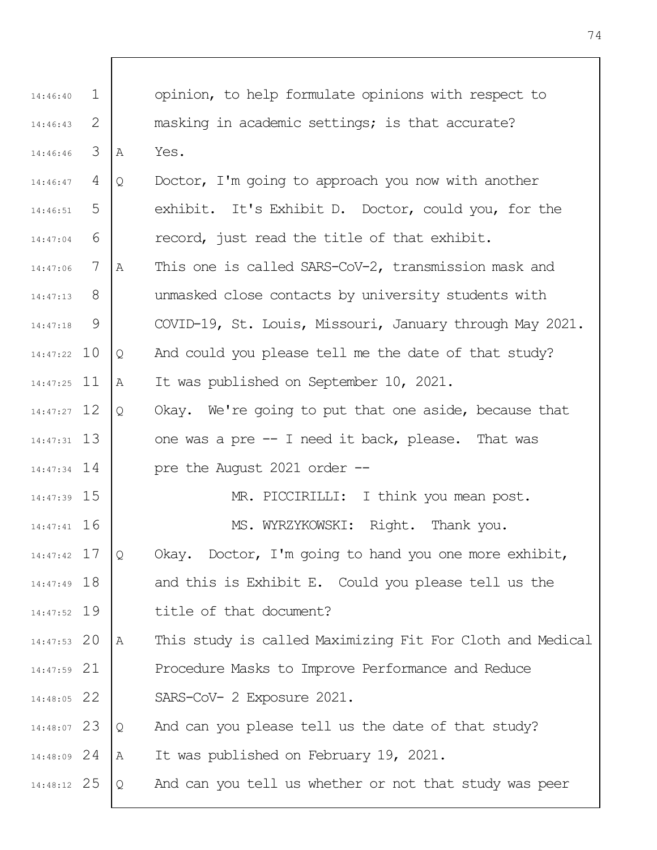| $\mathbf{1}$ |                                                                                                                                                                                                                                                                                                                        | opinion, to help formulate opinions with respect to       |
|--------------|------------------------------------------------------------------------------------------------------------------------------------------------------------------------------------------------------------------------------------------------------------------------------------------------------------------------|-----------------------------------------------------------|
| 2            |                                                                                                                                                                                                                                                                                                                        | masking in academic settings; is that accurate?           |
| 3            | Α                                                                                                                                                                                                                                                                                                                      | Yes.                                                      |
| 4            | Q                                                                                                                                                                                                                                                                                                                      | Doctor, I'm going to approach you now with another        |
| 5            |                                                                                                                                                                                                                                                                                                                        | exhibit. It's Exhibit D. Doctor, could you, for the       |
| 6            |                                                                                                                                                                                                                                                                                                                        | record, just read the title of that exhibit.              |
| 7            | Α                                                                                                                                                                                                                                                                                                                      | This one is called SARS-CoV-2, transmission mask and      |
| 8            |                                                                                                                                                                                                                                                                                                                        | unmasked close contacts by university students with       |
| 9            |                                                                                                                                                                                                                                                                                                                        | COVID-19, St. Louis, Missouri, January through May 2021.  |
|              | Q                                                                                                                                                                                                                                                                                                                      | And could you please tell me the date of that study?      |
|              | Α                                                                                                                                                                                                                                                                                                                      | It was published on September 10, 2021.                   |
|              | Q                                                                                                                                                                                                                                                                                                                      | Okay. We're going to put that one aside, because that     |
|              |                                                                                                                                                                                                                                                                                                                        | one was a pre -- I need it back, please. That was         |
|              |                                                                                                                                                                                                                                                                                                                        | pre the August 2021 order --                              |
|              |                                                                                                                                                                                                                                                                                                                        | MR. PICCIRILLI: I think you mean post.                    |
|              |                                                                                                                                                                                                                                                                                                                        | MS. WYRZYKOWSKI: Right. Thank you.                        |
|              | Q                                                                                                                                                                                                                                                                                                                      | Okay. Doctor, I'm going to hand you one more exhibit,     |
|              |                                                                                                                                                                                                                                                                                                                        | and this is Exhibit E. Could you please tell us the       |
|              |                                                                                                                                                                                                                                                                                                                        | title of that document?                                   |
|              | Α                                                                                                                                                                                                                                                                                                                      | This study is called Maximizing Fit For Cloth and Medical |
|              |                                                                                                                                                                                                                                                                                                                        | Procedure Masks to Improve Performance and Reduce         |
|              |                                                                                                                                                                                                                                                                                                                        | SARS-CoV- 2 Exposure 2021.                                |
|              | Q                                                                                                                                                                                                                                                                                                                      | And can you please tell us the date of that study?        |
|              | Α                                                                                                                                                                                                                                                                                                                      | It was published on February 19, 2021.                    |
|              | Q                                                                                                                                                                                                                                                                                                                      | And can you tell us whether or not that study was peer    |
|              | 14:46:43<br>14:46:46<br>14:46:47<br>14:47:06<br>14:47:13<br>$14:47:22$ 10<br>$14:47:25$ 11<br>$14:47:27$ 12<br>$14:47:31$ 13<br>$14:47:34$ 14<br>14:47:39 15<br>$14:47:41$ 16<br>14:47:42 17<br>14:47:49 18<br>14:47:52 19<br>$14:47:53$ 20<br>14:47:59 21<br>14:48:05 22<br>14:48:07 23<br>14:48:09 24<br>14:48:12 25 |                                                           |

 $\overline{\Gamma}$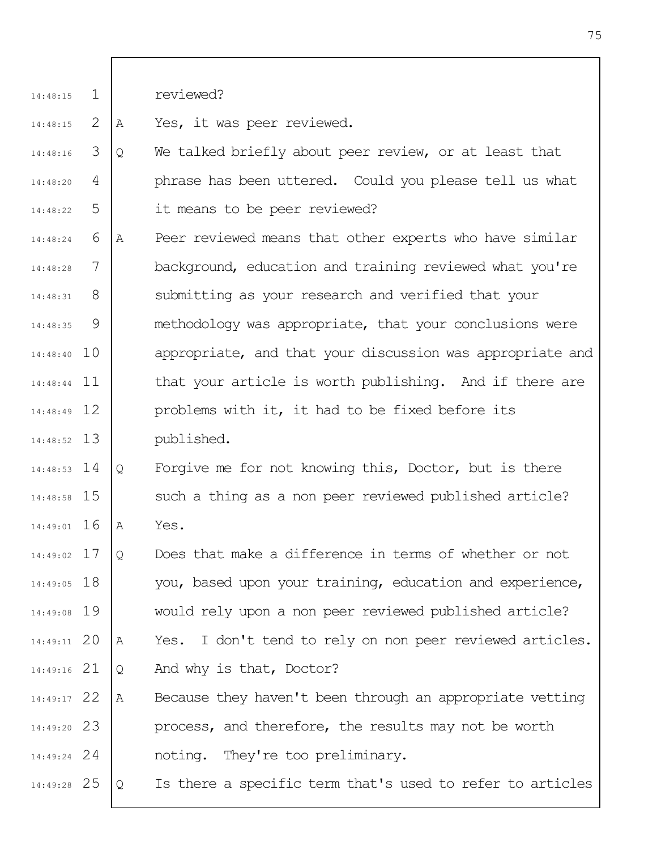1 14:48:15 reviewed?

2 14:48:15 A Yes, it was peer reviewed.

- 3 4 5 14:48:16 14:48:20 14:48:22 Q We talked briefly about peer review, or at least that phrase has been uttered. Could you please tell us what it means to be peer reviewed?
- 6 7 8 9 14:48:40 10 14:48:44 11 12 14:48:49 13 14:48:52 14:48:24 14:48:28 14:48:31 14:48:35 A Peer reviewed means that other experts who have similar background, education and training reviewed what you're submitting as your research and verified that your methodology was appropriate, that your conclusions were appropriate, and that your discussion was appropriate and that your article is worth publishing. And if there are problems with it, it had to be fixed before its published.
- 14 14:48:53 14:48:58 15 14:49:01 16 Q Forgive me for not knowing this, Doctor, but is there such a thing as a non peer reviewed published article? A Yes.
- 17 14:49:02 14:49:05 18 14:49:08 19 20 14:49:11 21 14:49:16 Q Does that make a difference in terms of whether or not you, based upon your training, education and experience, would rely upon a non peer reviewed published article? A Yes. I don't tend to rely on non peer reviewed articles. Q And why is that, Doctor?
- 22 14:49:17 23 14:49:20 24 14:49:24 A Because they haven't been through an appropriate vetting process, and therefore, the results may not be worth noting. They're too preliminary.
- 25 14:49:28 Q Is there a specific term that's used to refer to articles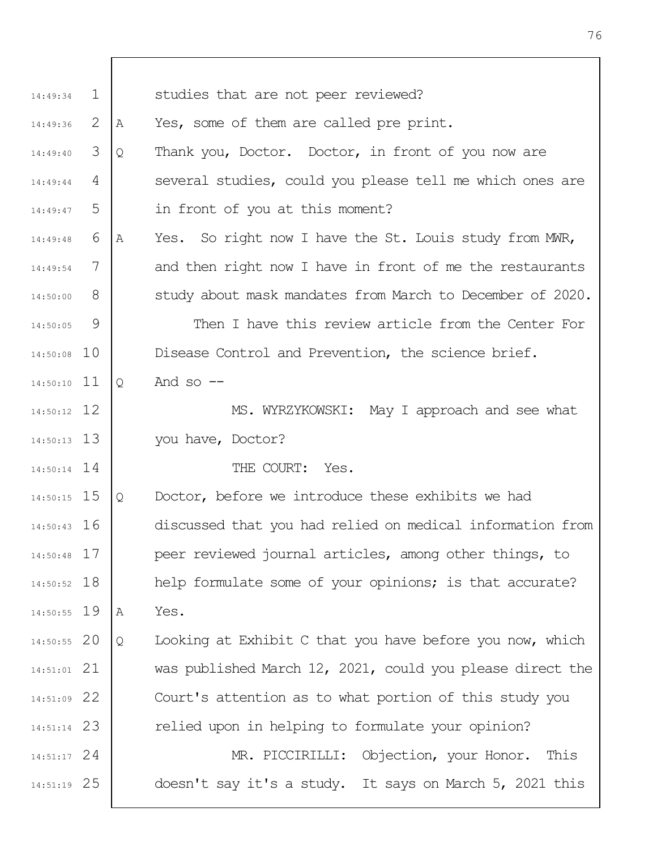| 14:49:34      | $\mathbf{1}$ |   | studies that are not peer reviewed?                       |
|---------------|--------------|---|-----------------------------------------------------------|
| 14:49:36      | 2            | Α | Yes, some of them are called pre print.                   |
| 14:49:40      | 3            | Q | Thank you, Doctor. Doctor, in front of you now are        |
| 14:49:44      | 4            |   | several studies, could you please tell me which ones are  |
| 14:49:47      | 5            |   | in front of you at this moment?                           |
| 14:49:48      | 6            | Α | Yes. So right now I have the St. Louis study from MWR,    |
| 14:49:54      | 7            |   | and then right now I have in front of me the restaurants  |
| 14:50:00      | 8            |   | study about mask mandates from March to December of 2020. |
| 14:50:05      | 9            |   | Then I have this review article from the Center For       |
| 14:50:08 10   |              |   | Disease Control and Prevention, the science brief.        |
| $14:50:10$ 11 |              | Q | And so $--$                                               |
| $14:50:12$ 12 |              |   | MS. WYRZYKOWSKI: May I approach and see what              |
| $14:50:13$ 13 |              |   | you have, Doctor?                                         |
| $14:50:14$ 14 |              |   | THE COURT: Yes.                                           |
| $14:50:15$ 15 |              | Q | Doctor, before we introduce these exhibits we had         |
| $14:50:43$ 16 |              |   | discussed that you had relied on medical information from |
| $14:50:48$ 17 |              |   | peer reviewed journal articles, among other things, to    |
| 14:50:52 18   |              |   | help formulate some of your opinions; is that accurate?   |
| 14:50:55 19   |              | Α | Yes.                                                      |
| 14:50:55 20   |              | Q | Looking at Exhibit C that you have before you now, which  |
| $14:51:01$ 21 |              |   | was published March 12, 2021, could you please direct the |
| 14:51:09 22   |              |   | Court's attention as to what portion of this study you    |
| $14:51:14$ 23 |              |   | relied upon in helping to formulate your opinion?         |
| $14:51:17$ 24 |              |   | MR. PICCIRILLI: Objection, your Honor. This               |
| 14:51:19 25   |              |   | doesn't say it's a study. It says on March 5, 2021 this   |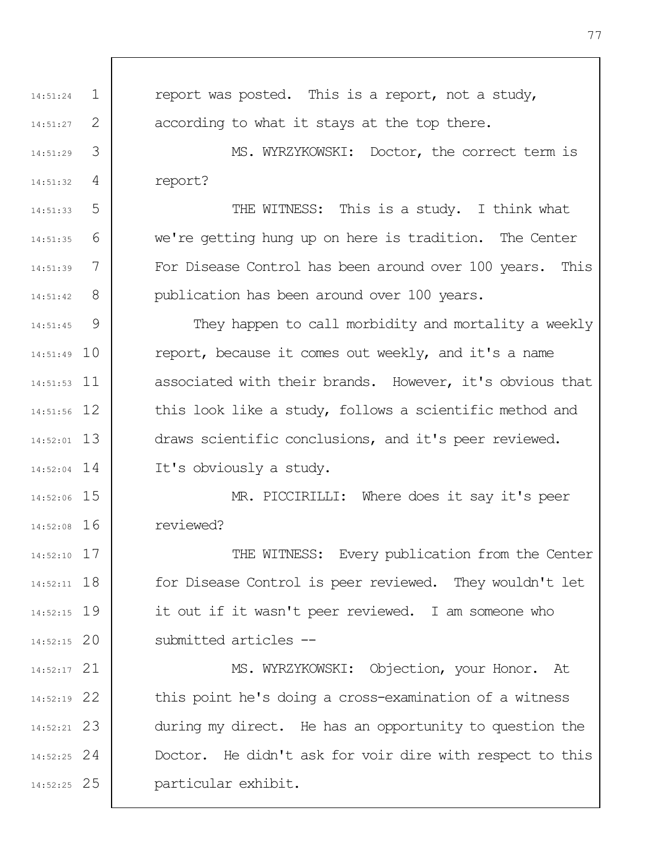1 2 3 4 5 6 7 8  $\mathsf{Q}$ 14:51:49 10 11 14:51:53 12 14:51:56 13 14:52:01 14 14:52:04 14:52:06 15 14:52:08 16 17 14:52:10 18 14:52:11 19 14:52:15 20 14:52:15 21 14:52:17 22 14:52:19 23 14:52:21 24 14:52:25 25 14:52:25 14:51:24 14:51:27 14:51:29 14:51:32 14:51:33 14:51:35 14:51:39 14:51:42 14:51:45 report was posted. This is a report, not a study, according to what it stays at the top there. MS. WYRZYKOWSKI: Doctor, the correct term is report? THE WITNESS: This is a study. I think what we're getting hung up on here is tradition. The Center For Disease Control has been around over 100 years. This publication has been around over 100 years. They happen to call morbidity and mortality a weekly report, because it comes out weekly, and it's a name associated with their brands. However, it's obvious that this look like a study, follows a scientific method and draws scientific conclusions, and it's peer reviewed. It's obviously a study. MR. PICCIRILLI: Where does it say it's peer reviewed? THE WITNESS: Every publication from the Center for Disease Control is peer reviewed. They wouldn't let it out if it wasn't peer reviewed. I am someone who submitted articles -- MS. WYRZYKOWSKI: Objection, your Honor. At this point he's doing a cross-examination of a witness during my direct. He has an opportunity to question the Doctor. He didn't ask for voir dire with respect to this particular exhibit.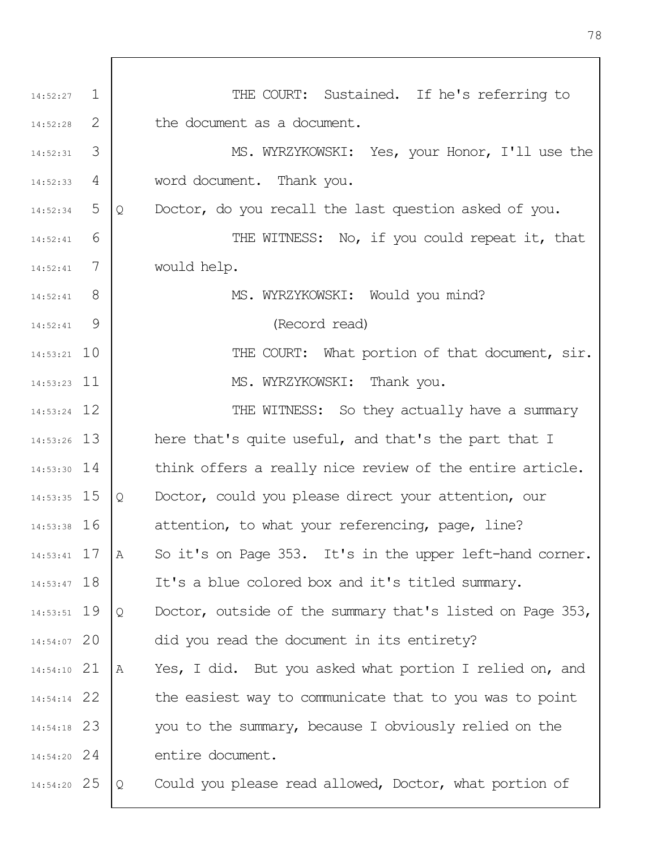| 14:52:27      | 1 | THE COURT: Sustained. If he's referring to                |
|---------------|---|-----------------------------------------------------------|
| 14:52:28      | 2 | the document as a document.                               |
| 14:52:31      | 3 | MS. WYRZYKOWSKI: Yes, your Honor, I'll use the            |
| 14:52:33      | 4 | word document. Thank you.                                 |
| 14:52:34      | 5 | Doctor, do you recall the last question asked of you.     |
| 14:52:41      | 6 | THE WITNESS: No, if you could repeat it, that             |
| 14:52:41      | 7 | would help.                                               |
| 14:52:41      | 8 | MS. WYRZYKOWSKI: Would you mind?                          |
| 14:52:41      | 9 | (Record read)                                             |
| $14:53:21$ 10 |   | THE COURT: What portion of that document, sir.            |
| $14:53:23$ 11 |   | MS. WYRZYKOWSKI: Thank you.                               |
| 14:53:24 12   |   | THE WITNESS: So they actually have a summary              |
| $14:53:26$ 13 |   | here that's quite useful, and that's the part that I      |
| $14:53:30$ 14 |   | think offers a really nice review of the entire article.  |
| 14:53:35 15   |   | Doctor, could you please direct your attention, our       |
| $14:53:38$ 16 |   | attention, to what your referencing, page, line?          |
| $14:53:41$ 17 |   | So it's on Page 353. It's in the upper left-hand corner.  |
| $14:53:47$ 18 |   | It's a blue colored box and it's titled summary.          |
| 14:53:51 19   |   | Doctor, outside of the summary that's listed on Page 353, |
| 14:54:07 20   |   | did you read the document in its entirety?                |
| $14:54:10$ 21 |   | Yes, I did. But you asked what portion I relied on, and   |
| $14:54:14$ 22 |   | the easiest way to communicate that to you was to point   |
| $14:54:18$ 23 |   | you to the summary, because I obviously relied on the     |
| $14:54:20$ 24 |   | entire document.                                          |
| 14:54:20 25   |   | Could you please read allowed, Doctor, what portion of    |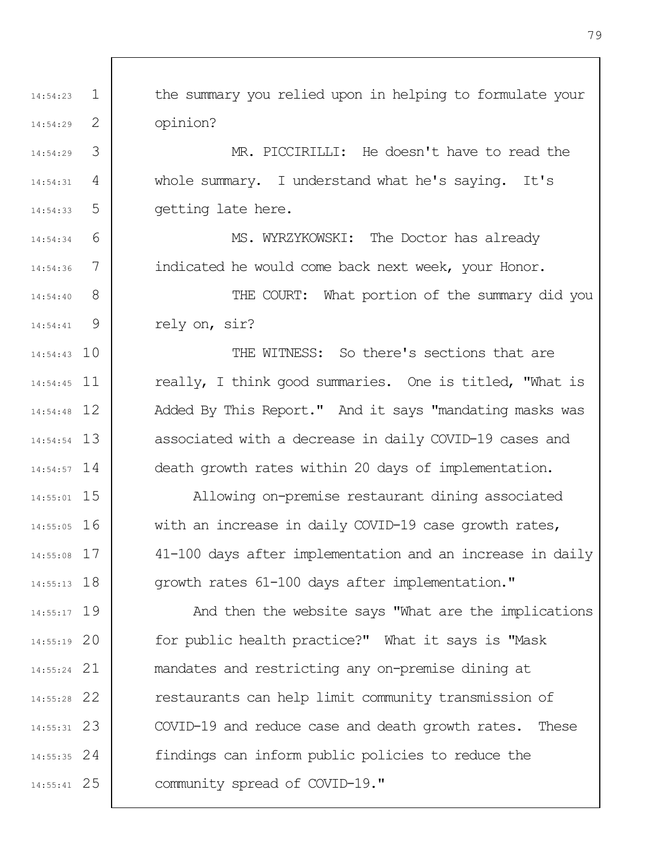1 2 3 4 5 6 7 8 9 14:54:43 10 14:54:45 11 12 14:54:48 13 14:54:54 14 14:54:57 14:55:01 15 14:55:05 16 17 14:55:08 14:55:13 18 19 14:55:17 20 14:55:19 21 14:55:24 22 14:55:28 23 14:55:31 24 14:55:35 25 14:55:41 14:54:23 14:54:29 14:54:29 14:54:31 14:54:33 14:54:34 14:54:36 14:54:40 14:54:41 the summary you relied upon in helping to formulate your opinion? MR. PICCIRILLI: He doesn't have to read the whole summary. I understand what he's saying. It's getting late here. MS. WYRZYKOWSKI: The Doctor has already indicated he would come back next week, your Honor. THE COURT: What portion of the summary did you rely on, sir? THE WITNESS: So there's sections that are really, I think good summaries. One is titled, "What is Added By This Report." And it says "mandating masks was associated with a decrease in daily COVID-19 cases and death growth rates within 20 days of implementation. Allowing on-premise restaurant dining associated with an increase in daily COVID-19 case growth rates, 41-100 days after implementation and an increase in daily growth rates 61-100 days after implementation." And then the website says "What are the implications for public health practice?" What it says is "Mask mandates and restricting any on-premise dining at restaurants can help limit community transmission of COVID-19 and reduce case and death growth rates. These findings can inform public policies to reduce the community spread of COVID-19."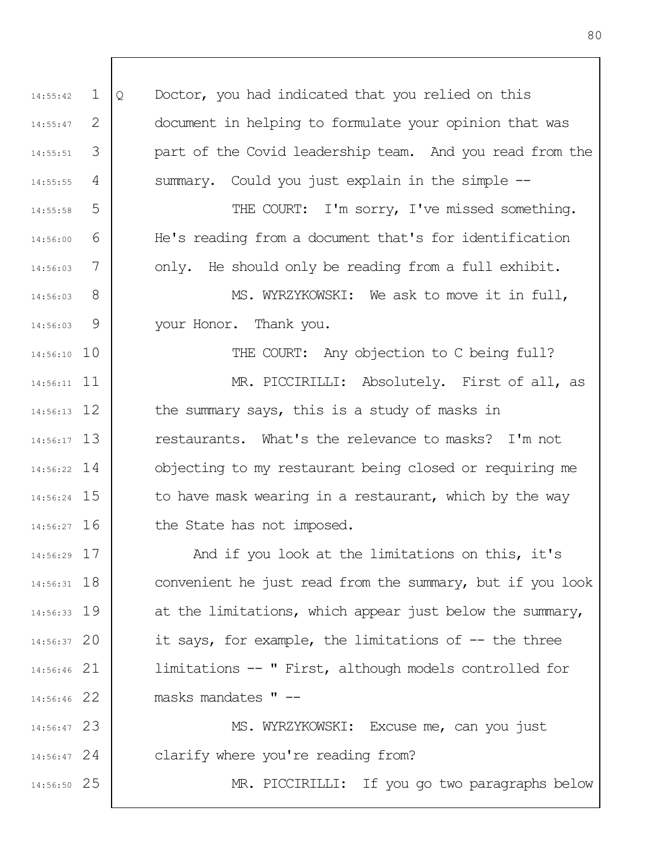1 2 3 4 5 6 7 8 9 14:56:10 10 14:56:11 11 12 14:56:13 13 14:56:17 14 14:56:22 15 14:56:24 14:56:27 16 17 14:56:29 18 14:56:31 19 14:56:33 20 14:56:37 21 14:56:46 22 14:56:46 23 14:56:47 24 14:56:47 25 14:56:50 14:55:42 14:55:47 14:55:51 14:55:55 14:55:58 14:56:00 14:56:03 14:56:03 14:56:03 Q Doctor, you had indicated that you relied on this document in helping to formulate your opinion that was part of the Covid leadership team. And you read from the summary. Could you just explain in the simple --THE COURT: I'm sorry, I've missed something. He's reading from a document that's for identification only. He should only be reading from a full exhibit. MS. WYRZYKOWSKI: We ask to move it in full, your Honor. Thank you. THE COURT: Any objection to C being full? MR. PICCIRILLI: Absolutely. First of all, as the summary says, this is a study of masks in restaurants. What's the relevance to masks? I'm not objecting to my restaurant being closed or requiring me to have mask wearing in a restaurant, which by the way the State has not imposed. And if you look at the limitations on this, it's convenient he just read from the summary, but if you look at the limitations, which appear just below the summary, it says, for example, the limitations of -- the three limitations -- " First, although models controlled for masks mandates " -- MS. WYRZYKOWSKI: Excuse me, can you just clarify where you're reading from? MR. PICCIRILLI: If you go two paragraphs below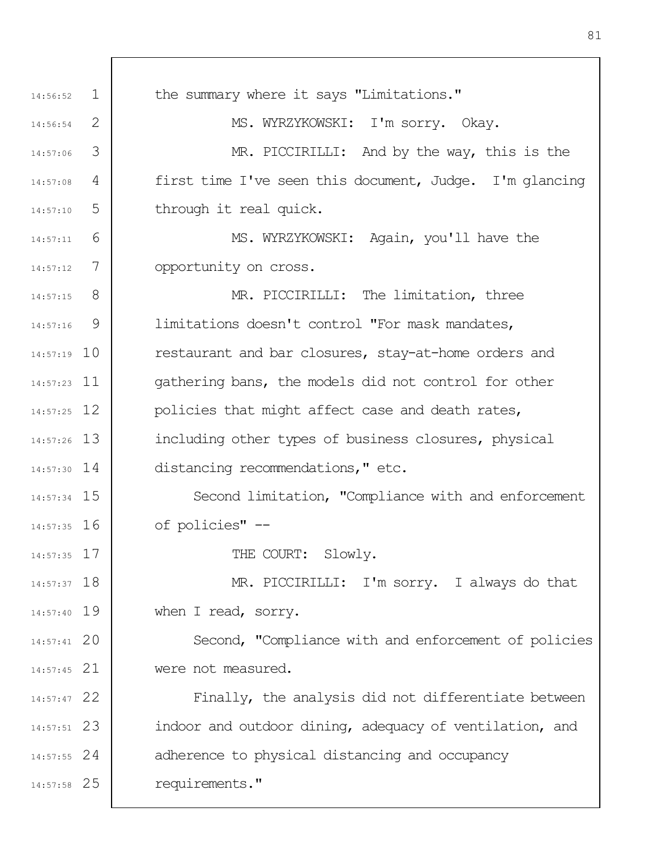| 14:56:52      | $\mathbf{1}$ | the summary where it says "Limitations."                |
|---------------|--------------|---------------------------------------------------------|
| 14:56:54      | 2            | MS. WYRZYKOWSKI: I'm sorry. Okay.                       |
| 14:57:06      | 3            | MR. PICCIRILLI: And by the way, this is the             |
| 14:57:08      | 4            | first time I've seen this document, Judge. I'm glancing |
| 14:57:10      | 5            | through it real quick.                                  |
| 14:57:11      | 6            | MS. WYRZYKOWSKI: Again, you'll have the                 |
| 14:57:12      | 7            | opportunity on cross.                                   |
| 14:57:15      | 8            | MR. PICCIRILLI: The limitation, three                   |
| 14:57:16      | 9            | limitations doesn't control "For mask mandates,         |
| $14:57:19$ 10 |              | restaurant and bar closures, stay-at-home orders and    |
| $14:57:23$ 11 |              | gathering bans, the models did not control for other    |
| $14:57:25$ 12 |              | policies that might affect case and death rates,        |
| $14:57:26$ 13 |              | including other types of business closures, physical    |
| $14:57:30$ 14 |              | distancing recommendations," etc.                       |
| $14:57:34$ 15 |              | Second limitation, "Compliance with and enforcement     |
| $14:57:35$ 16 |              | of policies" --                                         |
| $14:57:35$ 17 |              | THE COURT: Slowly.                                      |
| $14:57:37$ 18 |              | MR. PICCIRILLI: I'm sorry. I always do that             |
| $14:57:40$ 19 |              | when I read, sorry.                                     |
| $14:57:41$ 20 |              | Second, "Compliance with and enforcement of policies    |
| $14:57:45$ 21 |              | were not measured.                                      |
| 14:57:47 22   |              | Finally, the analysis did not differentiate between     |
| $14:57:51$ 23 |              | indoor and outdoor dining, adequacy of ventilation, and |
| $14:57:55$ 24 |              | adherence to physical distancing and occupancy          |
| 14:57:58 25   |              | requirements."                                          |
|               |              |                                                         |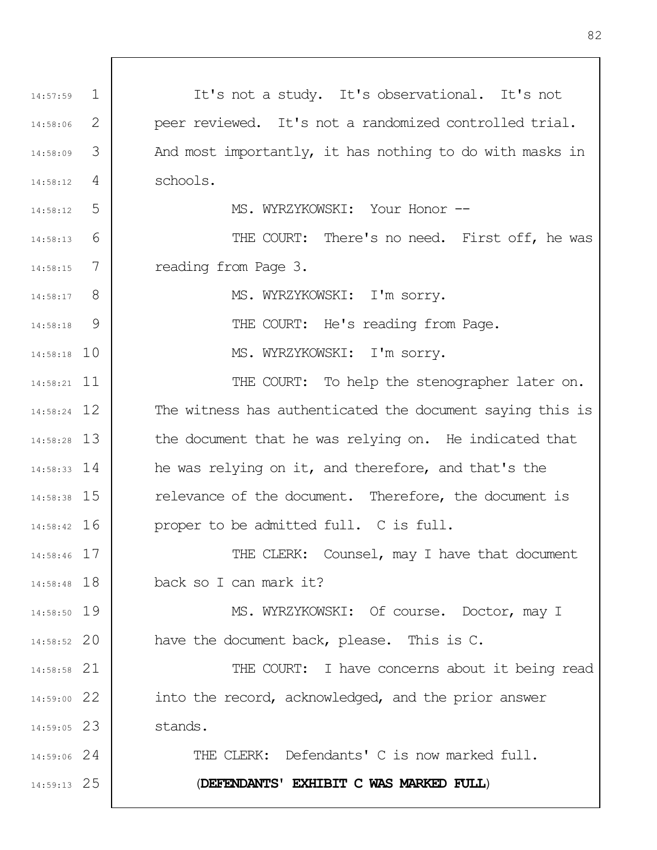| 14:57:59      | $\perp$ | It's not a study. It's observational. It's not            |
|---------------|---------|-----------------------------------------------------------|
| 14:58:06      | 2       | peer reviewed. It's not a randomized controlled trial.    |
| 14:58:09      | 3       | And most importantly, it has nothing to do with masks in  |
| 14:58:12      | 4       | schools.                                                  |
| 14:58:12      | 5       | MS. WYRZYKOWSKI: Your Honor --                            |
| 14:58:13      | 6       | THE COURT: There's no need. First off, he was             |
| 14:58:15      | 7       | reading from Page 3.                                      |
| $14:58:17$ 8  |         | MS. WYRZYKOWSKI: I'm sorry.                               |
| 14:58:18      | - 9     | THE COURT: He's reading from Page.                        |
| $14:58:18$ 10 |         | MS. WYRZYKOWSKI: I'm sorry.                               |
| $14:58:21$ 11 |         | THE COURT: To help the stenographer later on.             |
| $14:58:24$ 12 |         | The witness has authenticated the document saying this is |
| 14:58:28 13   |         | the document that he was relying on. He indicated that    |
| $14:58:33$ 14 |         | he was relying on it, and therefore, and that's the       |
| 14:58:38 15   |         | relevance of the document. Therefore, the document is     |
| 14:58:42 16   |         | proper to be admitted full. C is full.                    |
| $14:58:46$ 17 |         | THE CLERK: Counsel, may I have that document              |
| $14:58:48$ 18 |         | back so I can mark it?                                    |
| 14:58:50 19   |         | MS. WYRZYKOWSKI: Of course. Doctor, may I                 |
| $14:58:52$ 20 |         | have the document back, please. This is C.                |
| 14:58:58 21   |         | THE COURT: I have concerns about it being read            |
| $14:59:00$ 22 |         | into the record, acknowledged, and the prior answer       |
| $14:59:05$ 23 |         | stands.                                                   |
| $14:59:06$ 24 |         | THE CLERK: Defendants' C is now marked full.              |
| $14:59:13$ 25 |         | (DEFENDANTS' EXHIBIT C WAS MARKED FULL)                   |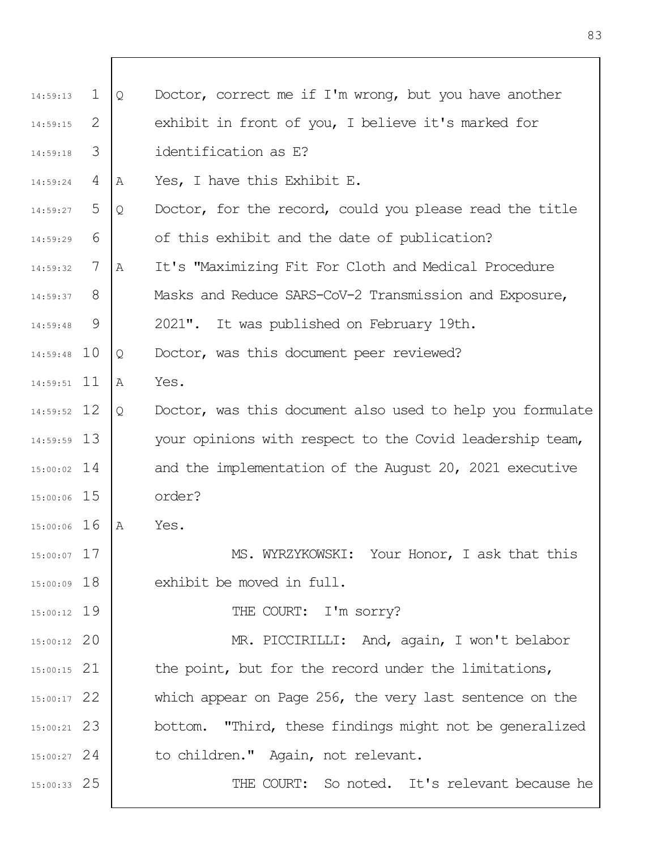| 14:59:13      | $\perp$ | Q | Doctor, correct me if I'm wrong, but you have another     |
|---------------|---------|---|-----------------------------------------------------------|
| 14:59:15      | 2       |   | exhibit in front of you, I believe it's marked for        |
| 14:59:18      | 3       |   | identification as E?                                      |
| 14:59:24      | 4       | Α | Yes, I have this Exhibit E.                               |
| 14:59:27      | 5       | Q | Doctor, for the record, could you please read the title   |
| 14:59:29      | 6       |   | of this exhibit and the date of publication?              |
| 14:59:32      | 7       | Α | It's "Maximizing Fit For Cloth and Medical Procedure      |
| 14:59:37      | 8       |   | Masks and Reduce SARS-CoV-2 Transmission and Exposure,    |
| 14:59:48      | 9       |   | 2021". It was published on February 19th.                 |
| $14:59:48$ 10 |         | Q | Doctor, was this document peer reviewed?                  |
| $14:59:51$ 11 |         | Α | Yes.                                                      |
| 14:59:52 12   |         | Q | Doctor, was this document also used to help you formulate |
| $14:59:59$ 13 |         |   | your opinions with respect to the Covid leadership team,  |
| $15:00:02$ 14 |         |   | and the implementation of the August 20, 2021 executive   |
| $15:00:06$ 15 |         |   | order?                                                    |
| $15:00:06$ 16 |         | Α | Yes.                                                      |
| 15:00:07 17   |         |   | MS. WYRZYKOWSKI: Your Honor, I ask that this              |
| $15:00:09$ 18 |         |   | exhibit be moved in full.                                 |
| $15:00:12$ 19 |         |   | THE COURT: I'm sorry?                                     |
| $15:00:12$ 20 |         |   | MR. PICCIRILLI: And, again, I won't belabor               |
| $15:00:15$ 21 |         |   | the point, but for the record under the limitations,      |
| $15:00:17$ 22 |         |   | which appear on Page 256, the very last sentence on the   |
| $15:00:21$ 23 |         |   | bottom. "Third, these findings might not be generalized   |
| $15:00:27$ 24 |         |   | to children." Again, not relevant.                        |
| $15:00:33$ 25 |         |   | THE COURT: So noted. It's relevant because he             |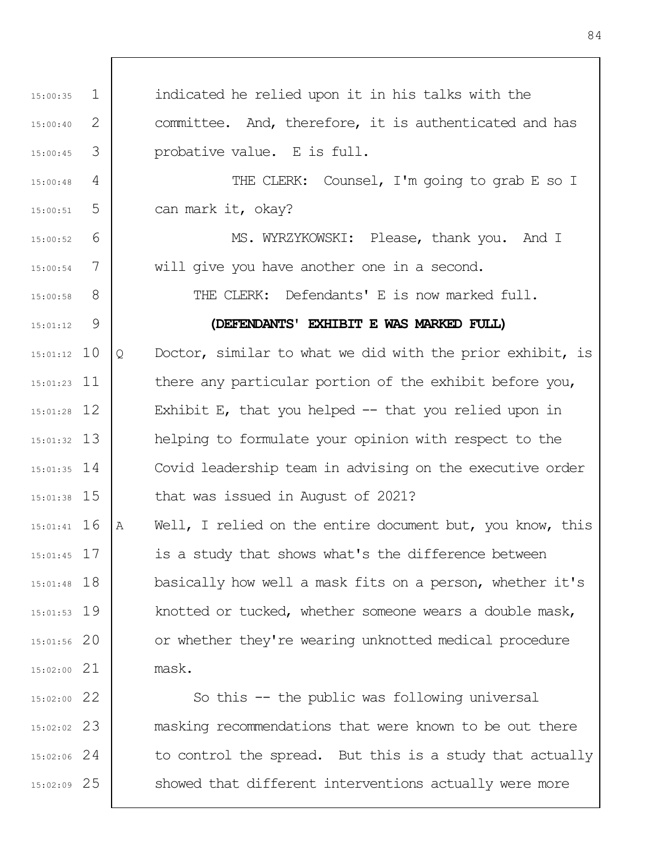1 2 3 4 5 6 7 8 9 15:01:12 10 15:01:23 11 12 15:01:28 13 15:01:32 14 15:01:35 15 15:01:38 16 15:01:41 17 15:01:45 18 15:01:48 19 15:01:53 20 15:01:56 21 15:02:00 22 15:02:00 23 15:02:02 24 15:02:06 25 15:02:09 15:00:35 15:00:40 15:00:45 15:00:48 15:00:51 15:00:52 15:00:54 15:00:58 15:01:12 indicated he relied upon it in his talks with the committee. And, therefore, it is authenticated and has probative value. E is full. THE CLERK: Counsel, I'm going to grab E so I can mark it, okay? MS. WYRZYKOWSKI: Please, thank you. And I will give you have another one in a second. THE CLERK: Defendants' E is now marked full. **(DEFENDANTS' EXHIBIT E WAS MARKED FULL)** Q Doctor, similar to what we did with the prior exhibit, is there any particular portion of the exhibit before you, Exhibit E, that you helped  $-$  that you relied upon in helping to formulate your opinion with respect to the Covid leadership team in advising on the executive order that was issued in August of 2021? A Well, I relied on the entire document but, you know, this is a study that shows what's the difference between basically how well a mask fits on a person, whether it's knotted or tucked, whether someone wears a double mask, or whether they're wearing unknotted medical procedure mask. So this -- the public was following universal masking recommendations that were known to be out there to control the spread. But this is a study that actually showed that different interventions actually were more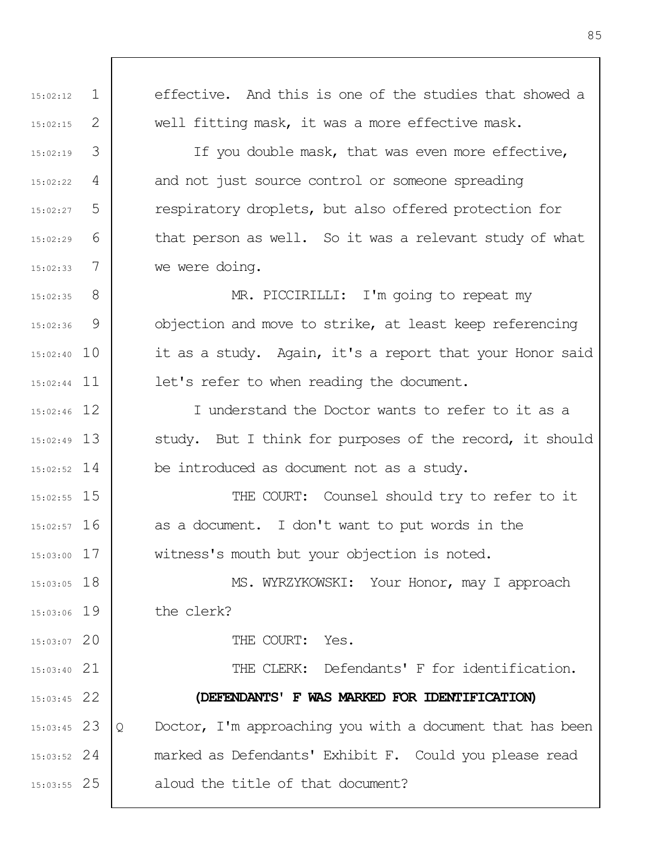1 2 3 4 5 6 7 8 9 15:02:40 10 15:02:44 11 12 15:02:46 13 15:02:49 14 15:02:52 15 15:02:55 16 15:02:57 17 15:03:00 18 15:03:05 15:03:06 19 20 15:03:07 21 15:03:40 22 15:03:45 23 15:03:45 24 15:03:52 25 15:03:55 15:02:12 15:02:15 15:02:19 15:02:22 15:02:27 15:02:29 15:02:33 15:02:35 15:02:36 effective. And this is one of the studies that showed a well fitting mask, it was a more effective mask. If you double mask, that was even more effective, and not just source control or someone spreading respiratory droplets, but also offered protection for that person as well. So it was a relevant study of what we were doing. MR. PICCIRILLI: I'm going to repeat my objection and move to strike, at least keep referencing it as a study. Again, it's a report that your Honor said let's refer to when reading the document. I understand the Doctor wants to refer to it as a study. But I think for purposes of the record, it should be introduced as document not as a study. THE COURT: Counsel should try to refer to it as a document. I don't want to put words in the witness's mouth but your objection is noted. MS. WYRZYKOWSKI: Your Honor, may I approach the clerk? THE COURT: Yes. THE CLERK: Defendants' F for identification. **(DEFENDANTS' F WAS MARKED FOR IDENTIFICATION)** Q Doctor, I'm approaching you with a document that has been marked as Defendants' Exhibit F. Could you please read aloud the title of that document?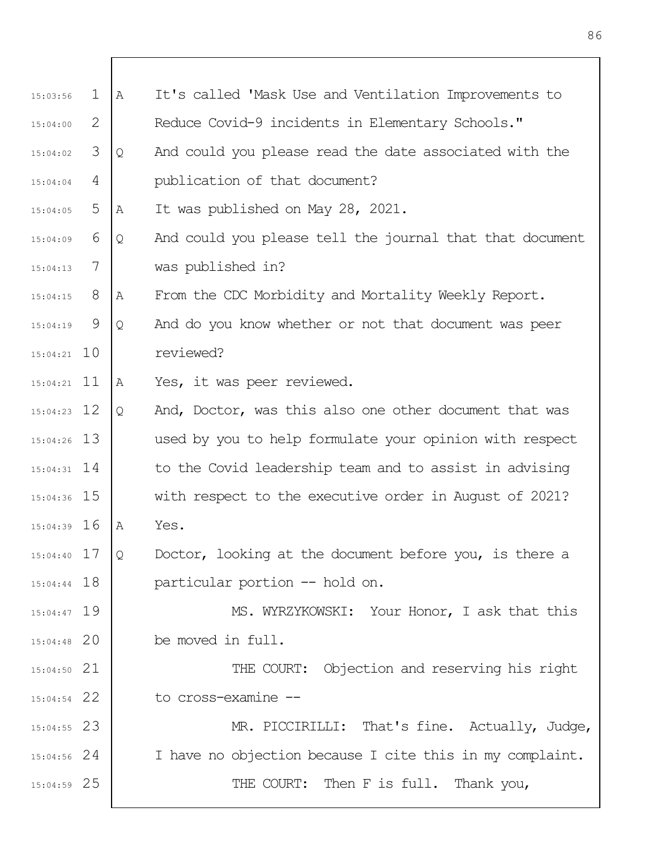| 15:03:56      | $\mathbf 1$ | Α | It's called 'Mask Use and Ventilation Improvements to    |
|---------------|-------------|---|----------------------------------------------------------|
| 15:04:00      | 2           |   | Reduce Covid-9 incidents in Elementary Schools."         |
| 15:04:02      | 3           | Q | And could you please read the date associated with the   |
| 15:04:04      | 4           |   | publication of that document?                            |
| 15:04:05      | 5           | Α | It was published on May 28, 2021.                        |
| 15:04:09      | 6           | Q | And could you please tell the journal that that document |
| 15:04:13      | 7           |   | was published in?                                        |
| 15:04:15      | 8           | Α | From the CDC Morbidity and Mortality Weekly Report.      |
| 15:04:19      | 9           | Q | And do you know whether or not that document was peer    |
| $15:04:21$ 10 |             |   | reviewed?                                                |
| $15:04:21$ 11 |             | Α | Yes, it was peer reviewed.                               |
| $15:04:23$ 12 |             | Q | And, Doctor, was this also one other document that was   |
| $15:04:26$ 13 |             |   | used by you to help formulate your opinion with respect  |
| $15:04:31$ 14 |             |   | to the Covid leadership team and to assist in advising   |
| 15:04:36 15   |             |   | with respect to the executive order in August of 2021?   |
| $15:04:39$ 16 |             | A | Yes.                                                     |
| $15:04:40$ 17 |             | Q | Doctor, looking at the document before you, is there a   |
| $15:04:44$ 18 |             |   | particular portion -- hold on.                           |
| $15:04:47$ 19 |             |   | MS. WYRZYKOWSKI: Your Honor, I ask that this             |
| $15:04:48$ 20 |             |   | be moved in full.                                        |
| $15:04:50$ 21 |             |   | THE COURT: Objection and reserving his right             |
| $15:04:54$ 22 |             |   | to cross-examine --                                      |
| $15:04:55$ 23 |             |   | MR. PICCIRILLI: That's fine. Actually, Judge,            |
| $15:04:56$ 24 |             |   | I have no objection because I cite this in my complaint. |
| $15:04:59$ 25 |             |   | THE COURT: Then F is full. Thank you,                    |
|               |             |   |                                                          |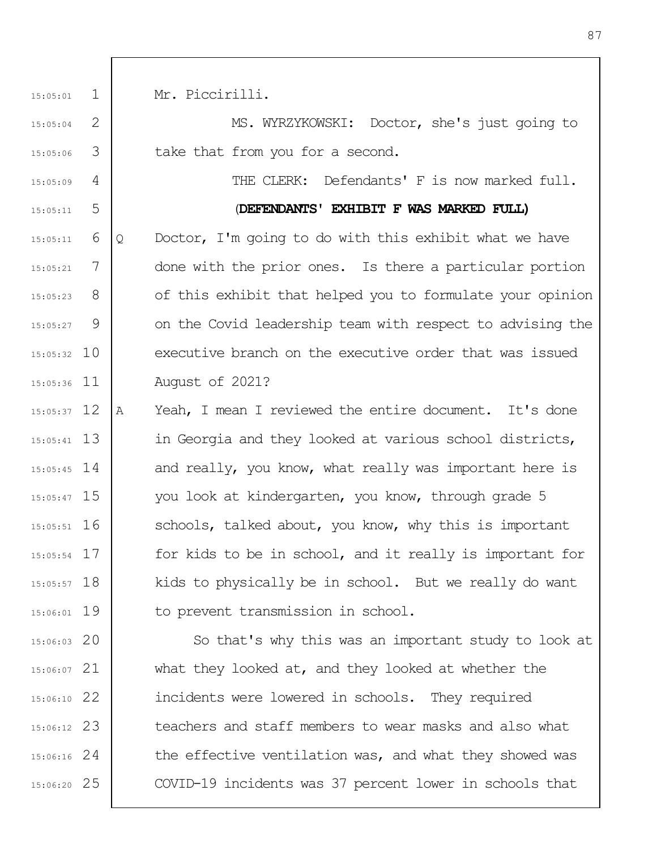1 2 3 4 5 6 7 8 9 10 15:05:32 11 15:05:36 15:05:37 12 13 15:05:41 14 15:05:45 15 15:05:47 16 15:05:51 17 15:05:54 18 15:05:57 19 15:06:01 20 15:06:03 21 15:06:07 22 15:06:10 23 15:06:12 24 15:06:16 25 15:06:20 15:05:01 15:05:04 15:05:06 15:05:09 15:05:11 15:05:11 15:05:21 15:05:23 15:05:27 Mr. Piccirilli. MS. WYRZYKOWSKI: Doctor, she's just going to take that from you for a second. THE CLERK: Defendants' F is now marked full. (**DEFENDANTS' EXHIBIT F WAS MARKED FULL)** Q Doctor, I'm going to do with this exhibit what we have done with the prior ones. Is there a particular portion of this exhibit that helped you to formulate your opinion on the Covid leadership team with respect to advising the executive branch on the executive order that was issued August of 2021? A Yeah, I mean I reviewed the entire document. It's done in Georgia and they looked at various school districts, and really, you know, what really was important here is you look at kindergarten, you know, through grade 5 schools, talked about, you know, why this is important for kids to be in school, and it really is important for kids to physically be in school. But we really do want to prevent transmission in school. So that's why this was an important study to look at what they looked at, and they looked at whether the incidents were lowered in schools. They required teachers and staff members to wear masks and also what the effective ventilation was, and what they showed was COVID-19 incidents was 37 percent lower in schools that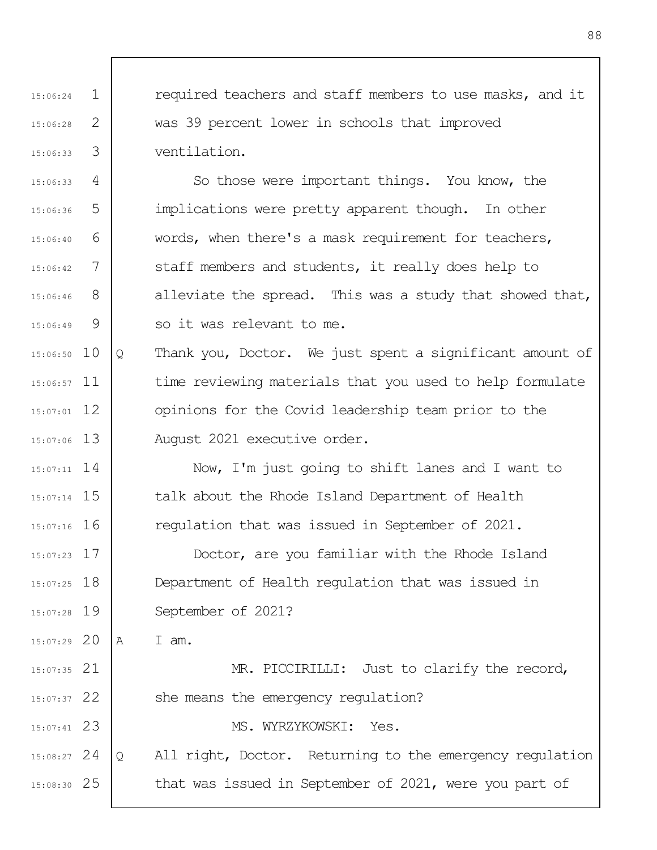1 2 3 4 5 6 7 8 9 15:06:50 10 15:06:57 11 12 15:07:01 13 15:07:06 15:06:24 15:06:28 15:06:33 15:06:33 15:06:36 15:06:40 15:06:42 15:06:46 15:06:49 required teachers and staff members to use masks, and it was 39 percent lower in schools that improved ventilation. So those were important things. You know, the implications were pretty apparent though. In other words, when there's a mask requirement for teachers, staff members and students, it really does help to alleviate the spread. This was a study that showed that, so it was relevant to me. Q Thank you, Doctor. We just spent a significant amount of time reviewing materials that you used to help formulate opinions for the Covid leadership team prior to the August 2021 executive order.

14 15:07:11 15 15:07:14 16 15:07:16 Now, I'm just going to shift lanes and I want to talk about the Rhode Island Department of Health regulation that was issued in September of 2021.

17 15:07:23 18 15:07:25 19 15:07:28 Doctor, are you familiar with the Rhode Island Department of Health regulation that was issued in September of 2021?

20 15:07:29 A I am.

21 15:07:35 22 15:07:37 23 15:07:41 24 15:08:27 MR. PICCIRILLI: Just to clarify the record, she means the emergency regulation? MS. WYRZYKOWSKI: Yes. Q All right, Doctor. Returning to the emergency regulation

25 15:08:30 that was issued in September of 2021, were you part of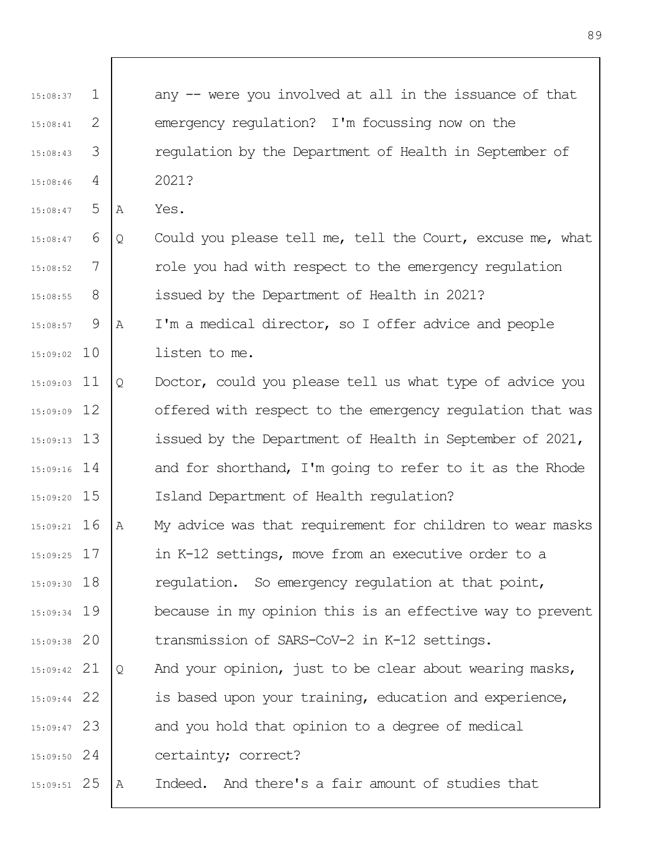| 15:08:37      | $\mathbf 1$ |   | any -- were you involved at all in the issuance of that   |
|---------------|-------------|---|-----------------------------------------------------------|
| 15:08:41      | 2           |   | emergency regulation? I'm focussing now on the            |
| 15:08:43      | 3           |   | regulation by the Department of Health in September of    |
| 15:08:46      | 4           |   | 2021?                                                     |
| 15:08:47      | 5           | Α | Yes.                                                      |
| 15:08:47      | 6           | Q | Could you please tell me, tell the Court, excuse me, what |
| 15:08:52      | 7           |   | role you had with respect to the emergency regulation     |
| 15:08:55      | 8           |   | issued by the Department of Health in 2021?               |
| 15:08:57      | 9           | Α | I'm a medical director, so I offer advice and people      |
| $15:09:02$ 10 |             |   | listen to me.                                             |
| $15:09:03$ 11 |             | Q | Doctor, could you please tell us what type of advice you  |
| $15:09:09$ 12 |             |   | offered with respect to the emergency regulation that was |
| $15:09:13$ 13 |             |   | issued by the Department of Health in September of 2021,  |
| $15:09:16$ 14 |             |   | and for shorthand, I'm going to refer to it as the Rhode  |
| $15:09:20$ 15 |             |   | Island Department of Health requlation?                   |
| $15:09:21$ 16 |             | Α | My advice was that requirement for children to wear masks |
| $15:09:25$ 17 |             |   | in K-12 settings, move from an executive order to a       |
| $15:09:30$ 18 |             |   | regulation. So emergency regulation at that point,        |
| $15:09:34$ 19 |             |   | because in my opinion this is an effective way to prevent |
| $15:09:38$ 20 |             |   | transmission of SARS-CoV-2 in K-12 settings.              |
| $15:09:42$ 21 |             | Q | And your opinion, just to be clear about wearing masks,   |
| $15:09:44$ 22 |             |   | is based upon your training, education and experience,    |
| $15:09:47$ 23 |             |   | and you hold that opinion to a degree of medical          |
| $15:09:50$ 24 |             |   | certainty; correct?                                       |
| $15:09:51$ 25 |             | А | Indeed. And there's a fair amount of studies that         |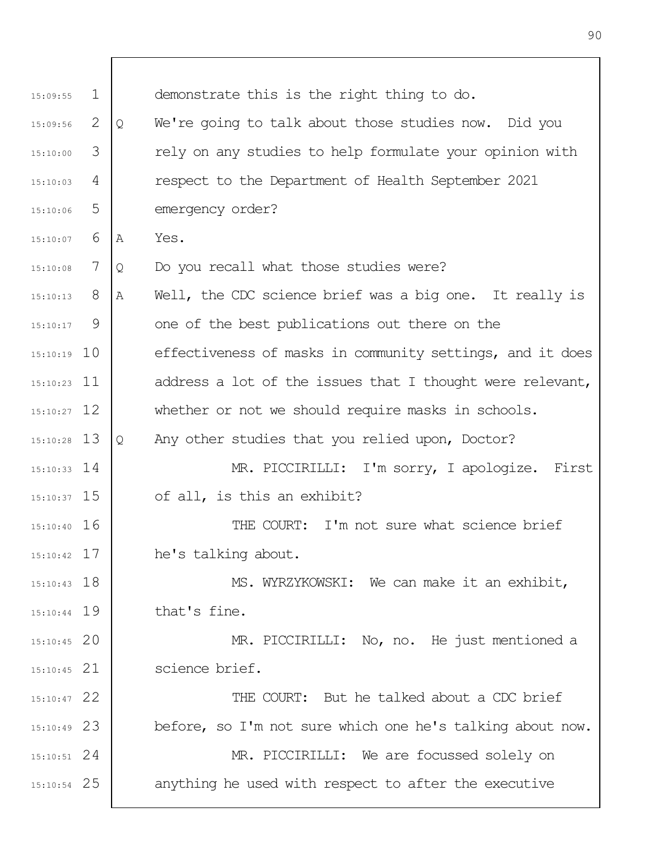| 15:09:55      | $\mathbf{1}$ |   | demonstrate this is the right thing to do.                |
|---------------|--------------|---|-----------------------------------------------------------|
| 15:09:56      | 2            | Q | We're going to talk about those studies now. Did you      |
| 15:10:00      | 3            |   | rely on any studies to help formulate your opinion with   |
| 15:10:03      | 4            |   | respect to the Department of Health September 2021        |
| 15:10:06      | 5            |   | emergency order?                                          |
| 15:10:07      | 6            | Α | Yes.                                                      |
| 15:10:08      | 7            | Q | Do you recall what those studies were?                    |
| 15:10:13      | 8            | Α | Well, the CDC science brief was a big one. It really is   |
| 15:10:17      | 9            |   | one of the best publications out there on the             |
| $15:10:19$ 10 |              |   | effectiveness of masks in community settings, and it does |
| $15:10:23$ 11 |              |   | address a lot of the issues that I thought were relevant, |
| $15:10:27$ 12 |              |   | whether or not we should require masks in schools.        |
| $15:10:28$ 13 |              | Q | Any other studies that you relied upon, Doctor?           |
| $15:10:33$ 14 |              |   | MR. PICCIRILLI: I'm sorry, I apologize. First             |
| $15:10:37$ 15 |              |   | of all, is this an exhibit?                               |
| $15:10:40$ 16 |              |   | THE COURT: I'm not sure what science brief                |
| $15:10:42$ 17 |              |   | he's talking about.                                       |
| $15:10:43$ 18 |              |   | MS. WYRZYKOWSKI: We can make it an exhibit,               |
| $15:10:44$ 19 |              |   | that's fine.                                              |
| $15:10:45$ 20 |              |   | MR. PICCIRILLI: No, no. He just mentioned a               |
| $15:10:45$ 21 |              |   | science brief.                                            |
| $15:10:47$ 22 |              |   | THE COURT: But he talked about a CDC brief                |
| $15:10:49$ 23 |              |   | before, so I'm not sure which one he's talking about now. |
| $15:10:51$ 24 |              |   | MR. PICCIRILLI: We are focussed solely on                 |
| $15:10:54$ 25 |              |   | anything he used with respect to after the executive      |
|               |              |   |                                                           |

Τ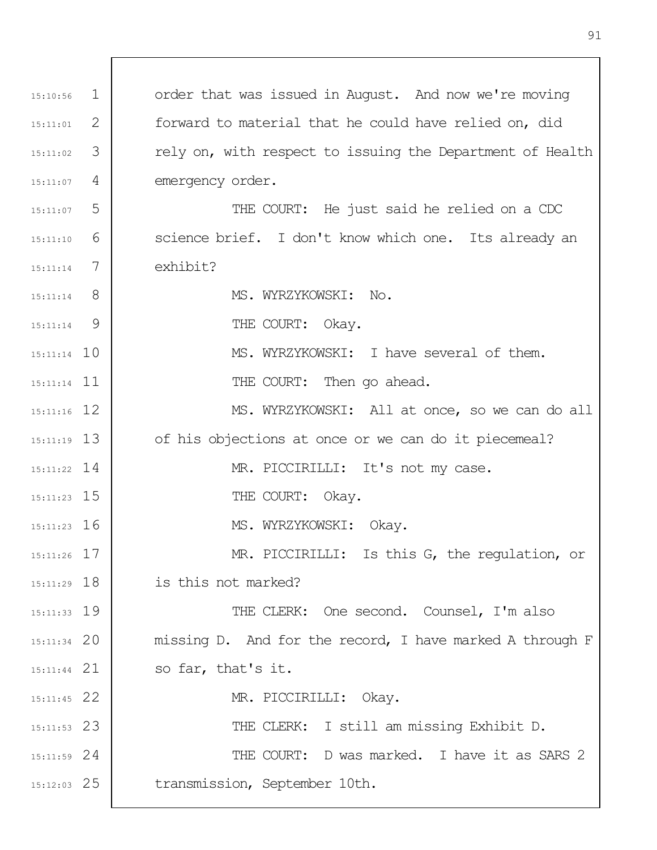1 2 3 4 5 6 7 8  $\mathsf{Q}$ 15:11:14 10 15:11:14 11 12 15:11:16 13 15:11:19 14 15:11:22 15 15:11:23 16 15:11:23 17 15:11:26 18 15:11:29 19 15:11:33 20 15:11:34 21 15:11:44 22 15:11:45 23 15:11:53 24 15:11:59 25 15:12:03 15:10:56 15:11:01 15:11:02 15:11:07 15:11:07 15:11:10 15:11:14 15:11:14 15:11:14 order that was issued in August. And now we're moving forward to material that he could have relied on, did rely on, with respect to issuing the Department of Health emergency order. THE COURT: He just said he relied on a CDC science brief. I don't know which one. Its already an exhibit? MS. WYRZYKOWSKI: No. THE COURT: Okay. MS. WYRZYKOWSKI: I have several of them. THE COURT: Then go ahead. MS. WYRZYKOWSKI: All at once, so we can do all of his objections at once or we can do it piecemeal? MR. PICCIRILLI: It's not my case. THE COURT: Okay. MS. WYRZYKOWSKI: Okay. MR. PICCIRILLI: Is this G, the regulation, or is this not marked? THE CLERK: One second. Counsel, I'm also missing D. And for the record, I have marked A through F so far, that's it. MR. PICCIRILLI: Okay. THE CLERK: I still am missing Exhibit D. THE COURT: D was marked. I have it as SARS 2 transmission, September 10th.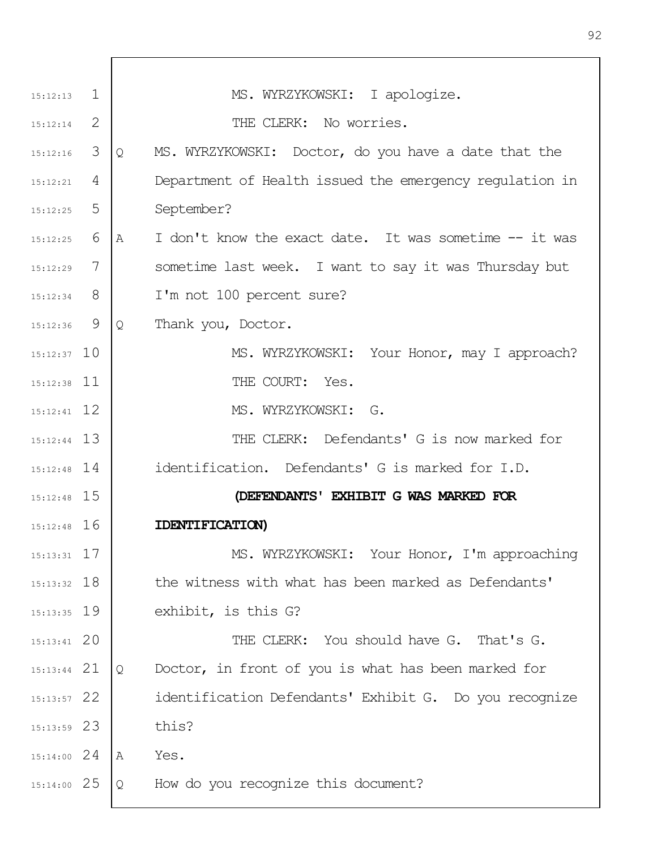| $15:12:13$ 1  |     | MS. WYRZYKOWSKI: I apologize.                               |
|---------------|-----|-------------------------------------------------------------|
| 15:12:14      | -2  | THE CLERK: No worries.                                      |
| 15:12:16      | 3   | MS. WYRZYKOWSKI: Doctor, do you have a date that the<br>Q   |
| 15:12:21      | 4   | Department of Health issued the emergency regulation in     |
| 15:12:25      | 5   | September?                                                  |
| 15:12:25      | 6   | I don't know the exact date. It was sometime -- it was<br>Α |
| 15:12:29      | 7   | sometime last week. I want to say it was Thursday but       |
| 15:12:34      | - 8 | I'm not 100 percent sure?                                   |
| $15:12:36$ 9  |     | Thank you, Doctor.<br>$\mathsf{Q}$                          |
| $15:12:37$ 10 |     | MS. WYRZYKOWSKI: Your Honor, may I approach?                |
| $15:12:38$ 11 |     | THE COURT: Yes.                                             |
| $15:12:41$ 12 |     | MS. WYRZYKOWSKI: G.                                         |
| $15:12:44$ 13 |     | THE CLERK: Defendants' G is now marked for                  |
| $15:12:48$ 14 |     | identification. Defendants' G is marked for I.D.            |
| $15:12:48$ 15 |     | (DEFENDANTS' EXHIBIT G WAS MARKED FOR                       |
| $15:12:48$ 16 |     | <b>IDENTIFICATION</b>                                       |
| $15:13:31$ 17 |     | MS. WYRZYKOWSKI: Your Honor, I'm approaching                |
| $15:13:32$ 18 |     | the witness with what has been marked as Defendants'        |
| $15:13:35$ 19 |     | exhibit, is this G?                                         |
| $15:13:41$ 20 |     | THE CLERK: You should have G. That's G.                     |
| $15:13:44$ 21 |     | Doctor, in front of you is what has been marked for<br>Q    |
| $15:13:57$ 22 |     | identification Defendants' Exhibit G. Do you recognize      |
| $15:13:59$ 23 |     | this?                                                       |
| $15:14:00$ 24 |     | Yes.<br>A                                                   |
| 15:14:00 25   |     | How do you recognize this document?<br>Q                    |
|               |     |                                                             |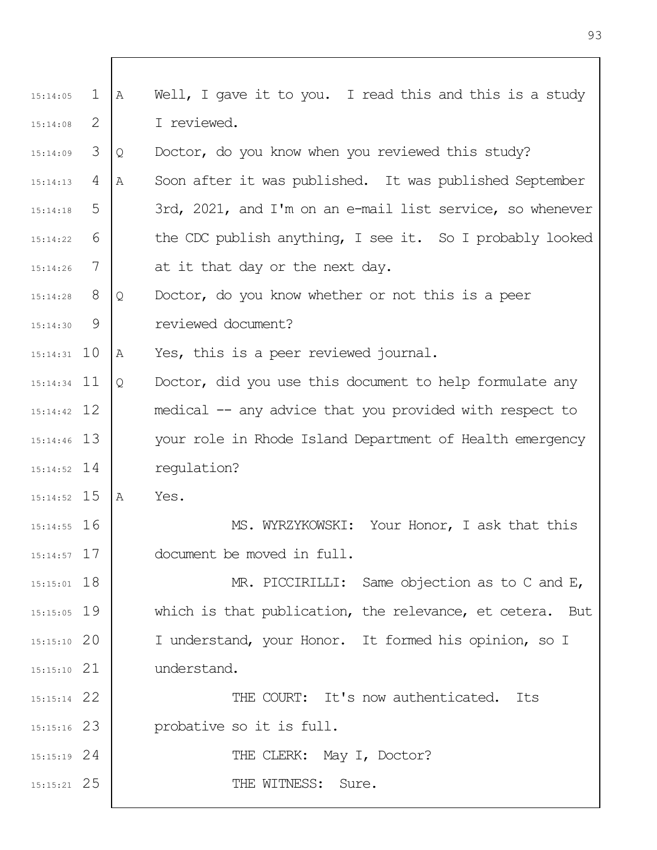| 15:14:05      | $\mathbf{1}$ | $\mathbb A$  | Well, I gave it to you. I read this and this is a study   |
|---------------|--------------|--------------|-----------------------------------------------------------|
| 15:14:08      | 2            |              | I reviewed.                                               |
| 15:14:09      | 3            | Q            | Doctor, do you know when you reviewed this study?         |
| 15:14:13      | 4            | Α            | Soon after it was published. It was published September   |
| 15:14:18      | 5            |              | 3rd, 2021, and I'm on an e-mail list service, so whenever |
| 15:14:22      | 6            |              | the CDC publish anything, I see it. So I probably looked  |
| 15:14:26      | 7            |              | at it that day or the next day.                           |
| 15:14:28      | 8            | Q            | Doctor, do you know whether or not this is a peer         |
| 15:14:30      | 9            |              | reviewed document?                                        |
| $15:14:31$ 10 |              | Α            | Yes, this is a peer reviewed journal.                     |
| $15:14:34$ 11 |              | $\mathsf{Q}$ | Doctor, did you use this document to help formulate any   |
| $15:14:42$ 12 |              |              | medical -- any advice that you provided with respect to   |
| $15:14:46$ 13 |              |              | your role in Rhode Island Department of Health emergency  |
| $15:14:52$ 14 |              |              | regulation?                                               |
| $15:14:52$ 15 |              | A            | Yes.                                                      |
| $15:14:55$ 16 |              |              | MS. WYRZYKOWSKI: Your Honor, I ask that this              |
| $15:14:57$ 17 |              |              | document be moved in full.                                |
| $15:15:01$ 18 |              |              | MR. PICCIRILLI: Same objection as to C and E,             |
| $15:15:05$ 19 |              |              | which is that publication, the relevance, et cetera. But  |
| $15:15:10$ 20 |              |              | I understand, your Honor. It formed his opinion, so I     |
| $15:15:10$ 21 |              |              | understand.                                               |
| $15:15:14$ 22 |              |              | THE COURT: It's now authenticated.<br>Its                 |
| $15:15:16$ 23 |              |              | probative so it is full.                                  |
| $15:15:19$ 24 |              |              | THE CLERK: May I, Doctor?                                 |
| $15:15:21$ 25 |              |              | THE WITNESS:<br>Sure.                                     |
|               |              |              |                                                           |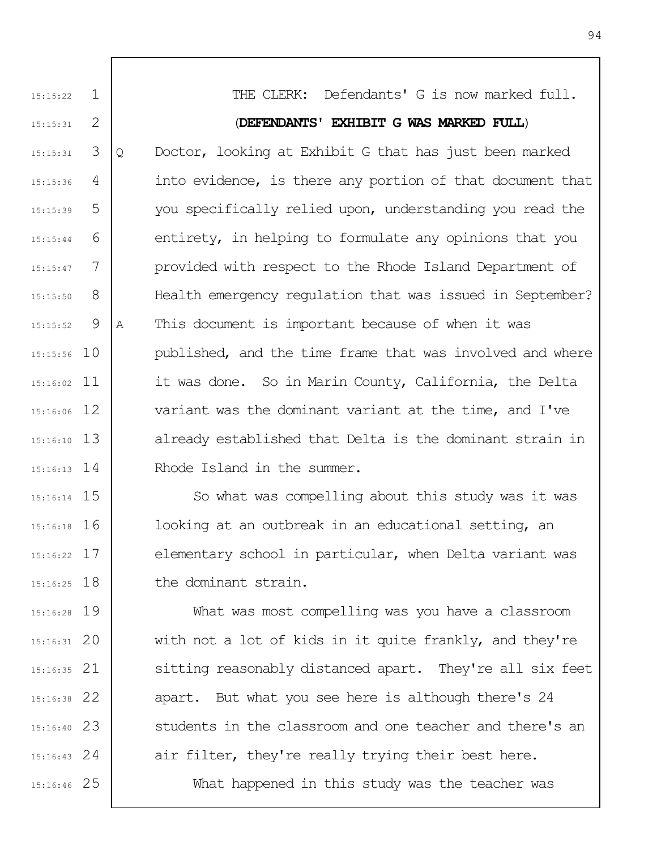1 2 3 4 5 6 7 8  $\mathsf{Q}$ 10 15:15:56 11 15:16:02 12 15:16:06 13 15:16:10 14 15:16:13 15 15:16:14 15:15:22 15:15:31 15:15:31 15:15:36 15:15:39 15:15:44 15:15:47 15:15:50 15:15:52 THE CLERK: Defendants' G is now marked full. (**DEFENDANTS' EXHIBIT G WAS MARKED FULL**) Q Doctor, looking at Exhibit G that has just been marked into evidence, is there any portion of that document that you specifically relied upon, understanding you read the entirety, in helping to formulate any opinions that you provided with respect to the Rhode Island Department of Health emergency regulation that was issued in September? A This document is important because of when it was published, and the time frame that was involved and where it was done. So in Marin County, California, the Delta variant was the dominant variant at the time, and I've already established that Delta is the dominant strain in Rhode Island in the summer.

16 15:16:18 17 15:16:22 18 15:16:25 So what was compelling about this study was it was looking at an outbreak in an educational setting, an elementary school in particular, when Delta variant was the dominant strain.

19 15:16:28 20 15:16:31 21 15:16:35 22 15:16:38 23 15:16:40 24 15:16:43 25 15:16:46 What was most compelling was you have a classroom with not a lot of kids in it quite frankly, and they're sitting reasonably distanced apart. They're all six feet apart. But what you see here is although there's 24 students in the classroom and one teacher and there's an air filter, they're really trying their best here. What happened in this study was the teacher was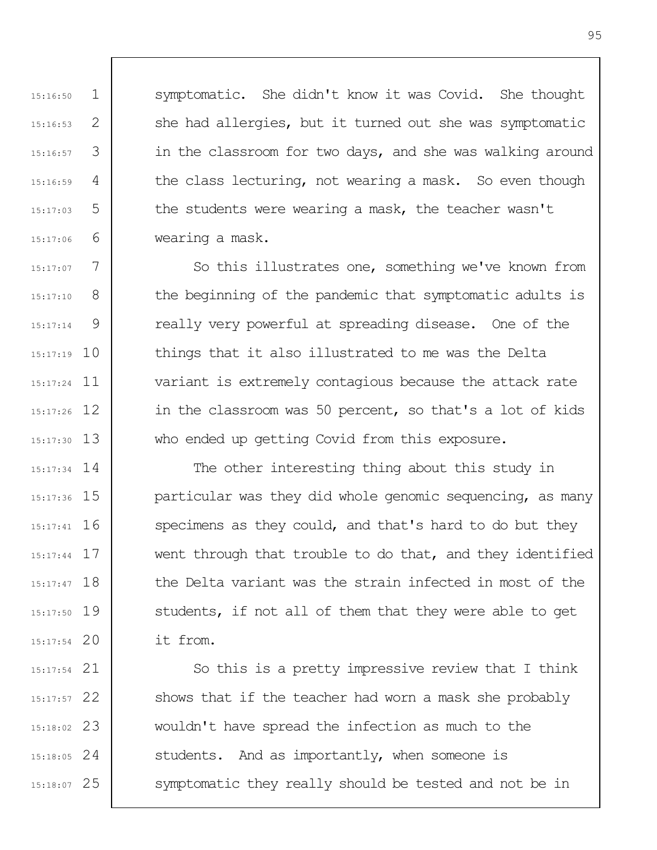symptomatic. She didn't know it was Covid. She thought she had allergies, but it turned out she was symptomatic in the classroom for two days, and she was walking around the class lecturing, not wearing a mask. So even though the students were wearing a mask, the teacher wasn't wearing a mask.

1

15:16:50

15:16:53

15:16:57

15:16:59

15:17:03

15:17:06

15:17:07

15:17:10

15:17:14

2

3

4

5

6

7 8 9 15:17:19 10 15:17:24 11 15:17:26 12 13 15:17:30 So this illustrates one, something we've known from the beginning of the pandemic that symptomatic adults is really very powerful at spreading disease. One of the things that it also illustrated to me was the Delta variant is extremely contagious because the attack rate in the classroom was 50 percent, so that's a lot of kids who ended up getting Covid from this exposure.

15:17:34 14 15 15:17:36 16 15:17:41 17 15:17:44 18 15:17:47 19 15:17:50 20 15:17:54 The other interesting thing about this study in particular was they did whole genomic sequencing, as many specimens as they could, and that's hard to do but they went through that trouble to do that, and they identified the Delta variant was the strain infected in most of the students, if not all of them that they were able to get it from.

21 15:17:54 22 15:17:57 23 15:18:02 24 15:18:05 25 15:18:07 So this is a pretty impressive review that I think shows that if the teacher had worn a mask she probably wouldn't have spread the infection as much to the students. And as importantly, when someone is symptomatic they really should be tested and not be in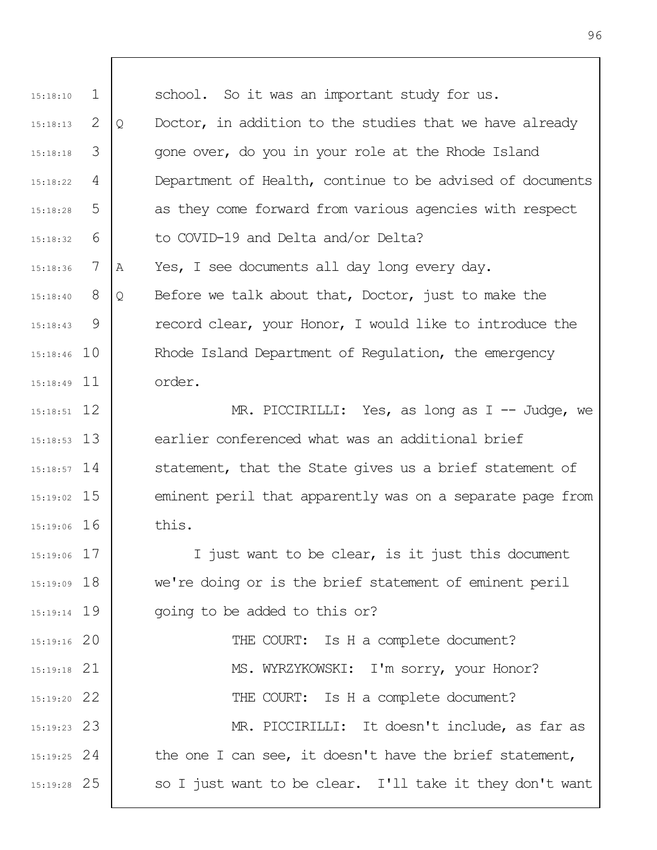1 2 3 4 5 6 7 8 9 15:18:46 10 15:18:49 11 12 15:18:51 13 15:18:53 14 15:18:57 15 15:19:02 16 15:19:06 17 15:19:06 18 15:19:09 19 15:19:14 20 15:19:16 21 15:19:18 22 15:19:20 23 15:19:23 24 15:19:25 25 15:19:28 15:18:10 15:18:13 15:18:18 15:18:22 15:18:28 15:18:32 15:18:36 15:18:40 15:18:43 school. So it was an important study for us. Q Doctor, in addition to the studies that we have already gone over, do you in your role at the Rhode Island Department of Health, continue to be advised of documents as they come forward from various agencies with respect to COVID-19 and Delta and/or Delta? A Yes, I see documents all day long every day. Q Before we talk about that, Doctor, just to make the record clear, your Honor, I would like to introduce the Rhode Island Department of Regulation, the emergency order. MR. PICCIRILLI: Yes, as long as I -- Judge, we earlier conferenced what was an additional brief statement, that the State gives us a brief statement of eminent peril that apparently was on a separate page from this. I just want to be clear, is it just this document we're doing or is the brief statement of eminent peril going to be added to this or? THE COURT: Is H a complete document? MS. WYRZYKOWSKI: I'm sorry, your Honor? THE COURT: Is H a complete document? MR. PICCIRILLI: It doesn't include, as far as the one I can see, it doesn't have the brief statement, so I just want to be clear. I'll take it they don't want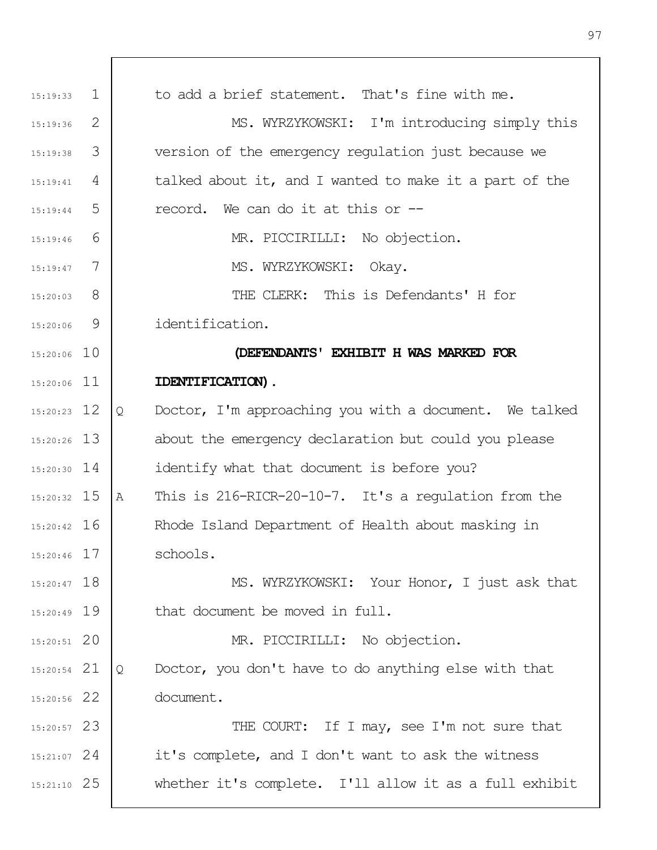| 15:19:33      | $\mathbf{1}$ | to add a brief statement. That's fine with me.              |
|---------------|--------------|-------------------------------------------------------------|
| 15:19:36      | 2            | MS. WYRZYKOWSKI: I'm introducing simply this                |
| 15:19:38      | 3            | version of the emergency regulation just because we         |
| 15:19:41      | 4            | talked about it, and I wanted to make it a part of the      |
| 15:19:44      | 5            | record. We can do it at this or --                          |
| 15:19:46      | 6            | MR. PICCIRILLI: No objection.                               |
| 15:19:47      | 7            | MS. WYRZYKOWSKI: Okay.                                      |
| $15:20:03$ 8  |              | THE CLERK: This is Defendants' H for                        |
| 15:20:06      | 9            | identification.                                             |
| $15:20:06$ 10 |              | (DEFENDANTS' EXHIBIT H WAS MARKED FOR                       |
| $15:20:06$ 11 |              | IDENTIFICATION).                                            |
| $15:20:23$ 12 |              | Doctor, I'm approaching you with a document. We talked<br>Q |
|               |              |                                                             |
| $15:20:26$ 13 |              | about the emergency declaration but could you please        |
| $15:20:30$ 14 |              | identify what that document is before you?                  |
| $15:20:32$ 15 |              | This is 216-RICR-20-10-7. It's a regulation from the<br>Α   |
| $15:20:42$ 16 |              | Rhode Island Department of Health about masking in          |
| 15:20:46 17   |              | schools.                                                    |
| $15:20:47$ 18 |              | MS. WYRZYKOWSKI: Your Honor, I just ask that                |
| $15:20:49$ 19 |              | that document be moved in full.                             |
| $15:20:51$ 20 |              | MR. PICCIRILLI: No objection.                               |
| $15:20:54$ 21 |              | Doctor, you don't have to do anything else with that<br>Q   |
| 15:20:56 22   |              | document.                                                   |
| $15:20:57$ 23 |              | THE COURT: If I may, see I'm not sure that                  |
| $15:21:07$ 24 |              | it's complete, and I don't want to ask the witness          |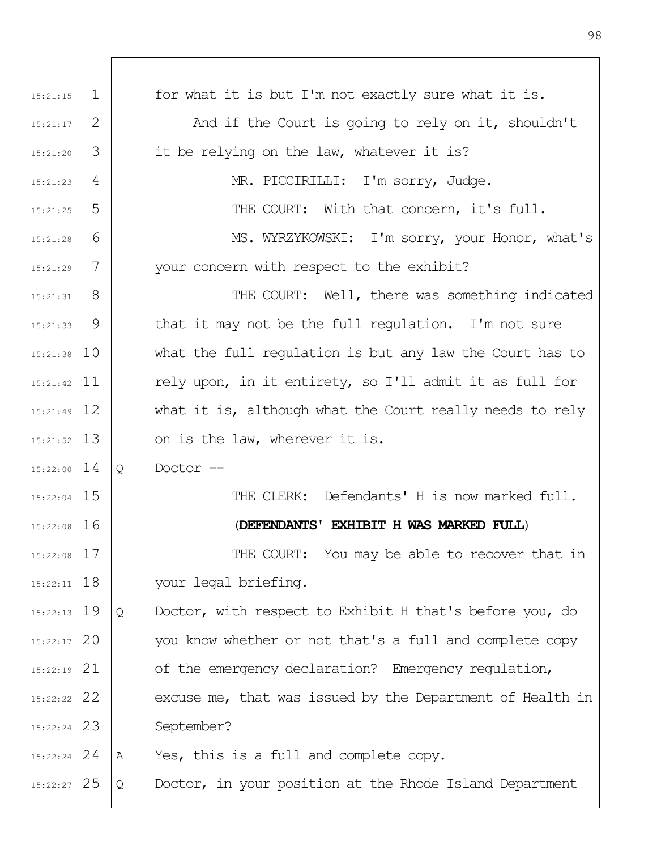| 15:21:15      | $\mathbf{1}$   | for what it is but I'm not exactly sure what it is.          |
|---------------|----------------|--------------------------------------------------------------|
| 15:21:17      | 2              | And if the Court is going to rely on it, shouldn't           |
| 15:21:20      | 3              | it be relying on the law, whatever it is?                    |
| 15:21:23      | 4              | MR. PICCIRILLI: I'm sorry, Judge.                            |
| 15:21:25      | 5              | THE COURT: With that concern, it's full.                     |
| 15:21:28      | 6              | MS. WYRZYKOWSKI: I'm sorry, your Honor, what's               |
| 15:21:29      | 7              | your concern with respect to the exhibit?                    |
| 15:21:31      | 8 <sup>8</sup> | THE COURT: Well, there was something indicated               |
| 15:21:33      | 9              | that it may not be the full requlation. I'm not sure         |
| $15:21:38$ 10 |                | what the full regulation is but any law the Court has to     |
| $15:21:42$ 11 |                | rely upon, in it entirety, so I'll admit it as full for      |
| $15:21:49$ 12 |                | what it is, although what the Court really needs to rely     |
| $15:21:52$ 13 |                | on is the law, wherever it is.                               |
| $15:22:00$ 14 |                | Doctor --<br>Q                                               |
| $15:22:04$ 15 |                | THE CLERK: Defendants' H is now marked full.                 |
| $15:22:08$ 16 |                | (DEFENDANTS' EXHIBIT H WAS MARKED FULL)                      |
| $15:22:08$ 17 |                | THE COURT: You may be able to recover that in                |
| $15:22:11$ 18 |                | your legal briefing.                                         |
| $15:22:13$ 19 |                | Doctor, with respect to Exhibit H that's before you, do<br>Q |
| $15:22:17$ 20 |                | you know whether or not that's a full and complete copy      |
| $15:22:19$ 21 |                | of the emergency declaration? Emergency regulation,          |
| 15:22:22 22   |                | excuse me, that was issued by the Department of Health in    |
| $15:22:24$ 23 |                | September?                                                   |
| $15:22:24$ 24 |                | Yes, this is a full and complete copy.<br>A                  |
| $15:22:27$ 25 |                | Doctor, in your position at the Rhode Island Department<br>Q |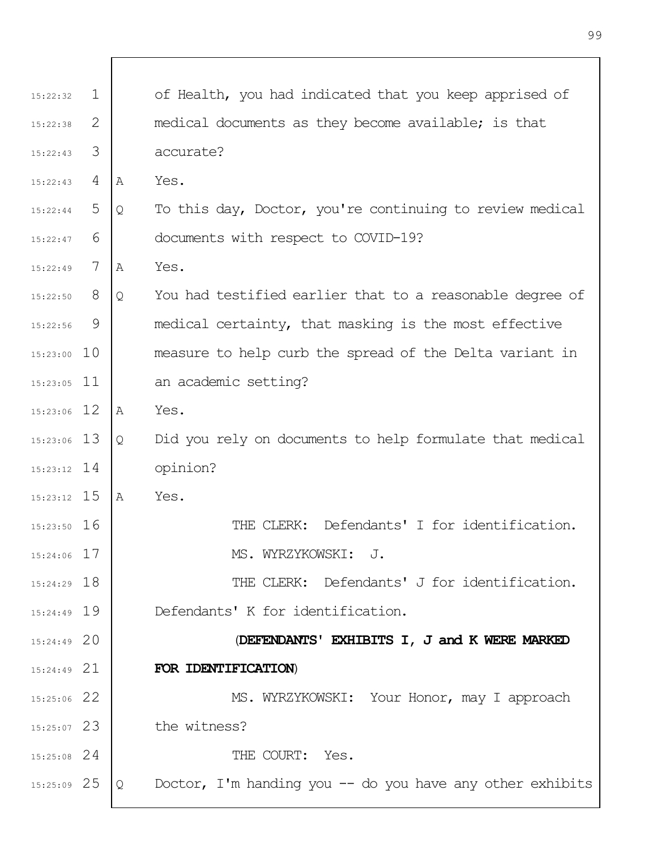| 15:22:32      | $\mathbf{1}$ |   | of Health, you had indicated that you keep apprised of     |
|---------------|--------------|---|------------------------------------------------------------|
| 15:22:38      | 2            |   | medical documents as they become available; is that        |
| 15:22:43      | 3            |   | accurate?                                                  |
| 15:22:43      | 4            | Α | Yes.                                                       |
| 15:22:44      | 5            | Q | To this day, Doctor, you're continuing to review medical   |
| 15:22:47      | 6            |   | documents with respect to COVID-19?                        |
| 15:22:49      | 7            | Α | Yes.                                                       |
| 15:22:50      | 8            | Q | You had testified earlier that to a reasonable degree of   |
| 15:22:56      | 9            |   | medical certainty, that masking is the most effective      |
| $15:23:00$ 10 |              |   | measure to help curb the spread of the Delta variant in    |
| $15:23:05$ 11 |              |   | an academic setting?                                       |
| $15:23:06$ 12 |              | Α | Yes.                                                       |
| $15:23:06$ 13 |              | Q | Did you rely on documents to help formulate that medical   |
| $15:23:12$ 14 |              |   | opinion?                                                   |
| $15:23:12$ 15 |              | Α | Yes.                                                       |
| $15:23:50$ 16 |              |   | THE CLERK: Defendants' I for identification.               |
| $15:24:06$ 17 |              |   | MS. WYRZYKOWSKI: J.                                        |
| $15:24:29$ 18 |              |   | THE CLERK: Defendants' J for identification.               |
| 15:24:49 19   |              |   | Defendants' K for identification.                          |
| $15:24:49$ 20 |              |   | (DEFENDANTS' EXHIBITS I, J and K WERE MARKED               |
| $15:24:49$ 21 |              |   | FOR IDENTIFICATION)                                        |
| 15:25:06 22   |              |   | MS. WYRZYKOWSKI: Your Honor, may I approach                |
| $15:25:07$ 23 |              |   | the witness?                                               |
| $15:25:08$ 24 |              |   | THE COURT: Yes.                                            |
| $15:25:09$ 25 |              | Q | Doctor, I'm handing you $-$ do you have any other exhibits |
|               |              |   |                                                            |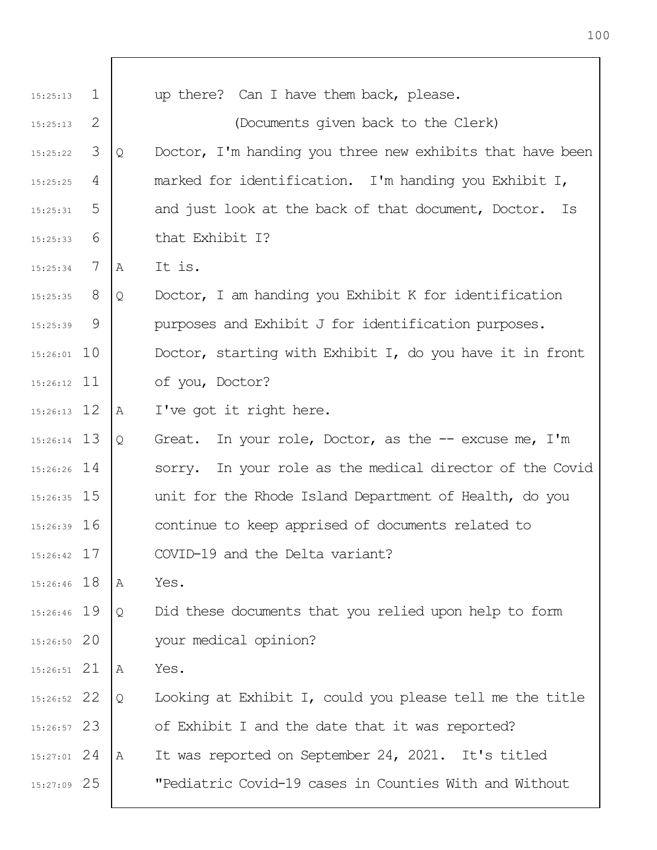| 15:25:13      | $\mathbf{1}$ |   | up there? Can I have them back, please.                   |
|---------------|--------------|---|-----------------------------------------------------------|
| 15:25:13      | 2            |   | (Documents given back to the Clerk)                       |
| 15:25:22      | 3            | Q | Doctor, I'm handing you three new exhibits that have been |
| 15:25:25      | 4            |   | marked for identification. I'm handing you Exhibit I,     |
| 15:25:31      | 5            |   | and just look at the back of that document, Doctor. Is    |
| 15:25:33      | 6            |   | that Exhibit I?                                           |
| 15:25:34      | 7            | Α | It is.                                                    |
| $15:25:35$ 8  |              | Q | Doctor, I am handing you Exhibit K for identification     |
| 15:25:39      | 9            |   | purposes and Exhibit J for identification purposes.       |
| $15:26:01$ 10 |              |   | Doctor, starting with Exhibit I, do you have it in front  |
| $15:26:12$ 11 |              |   | of you, Doctor?                                           |
| $15:26:13$ 12 |              | Α | I've got it right here.                                   |
| $15:26:14$ 13 |              | Q | Great. In your role, Doctor, as the $-$ - excuse me, I'm  |
| $15:26:26$ 14 |              |   | sorry. In your role as the medical director of the Covid  |
| $15:26:35$ 15 |              |   | unit for the Rhode Island Department of Health, do you    |
| $15:26:39$ 16 |              |   | continue to keep apprised of documents related to         |
| $15:26:42$ 17 |              |   | COVID-19 and the Delta variant?                           |
| $15:26:46$ 18 |              | A | Yes.                                                      |
| 15:26:46 19   |              | Q | Did these documents that you relied upon help to form     |
| 15:26:50 20   |              |   | your medical opinion?                                     |
| $15:26:51$ 21 |              | Α | Yes.                                                      |
| 15:26:52 22   |              | Q | Looking at Exhibit I, could you please tell me the title  |
| $15:26:57$ 23 |              |   | of Exhibit I and the date that it was reported?           |
| $15:27:01$ 24 |              | A | It was reported on September 24, 2021. It's titled        |
| 15:27:09 25   |              |   | "Pediatric Covid-19 cases in Counties With and Without    |
|               |              |   |                                                           |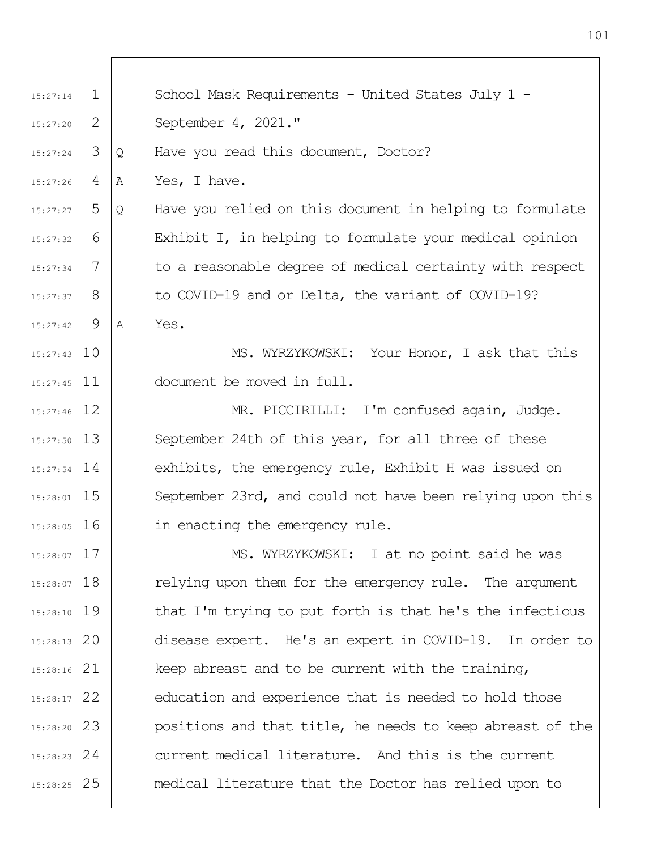1 2 3 4 5 6 7 8  $\mathsf{Q}$ 15:27:43 10 15:27:45 11 15:27:46 12 13 15:27:50 15:27:54 14 15 15:28:01 16 15:28:05 17 15:28:07 15:28:07 18 19 15:28:10 20 15:28:13 21 15:28:16 22 15:28:17 23 15:28:20 24 15:28:23 25 15:28:25 15:27:14 15:27:20 15:27:24 15:27:26 15:27:27 15:27:32 15:27:34 15:27:37 15:27:42 School Mask Requirements - United States July 1 -September 4, 2021." Q Have you read this document, Doctor? A Yes, I have. Q Have you relied on this document in helping to formulate Exhibit I, in helping to formulate your medical opinion to a reasonable degree of medical certainty with respect to COVID-19 and or Delta, the variant of COVID-19? A Yes. MS. WYRZYKOWSKI: Your Honor, I ask that this document be moved in full. MR. PICCIRILLI: I'm confused again, Judge. September 24th of this year, for all three of these exhibits, the emergency rule, Exhibit H was issued on September 23rd, and could not have been relying upon this in enacting the emergency rule. MS. WYRZYKOWSKI: I at no point said he was relying upon them for the emergency rule. The argument that I'm trying to put forth is that he's the infectious disease expert. He's an expert in COVID-19. In order to keep abreast and to be current with the training, education and experience that is needed to hold those positions and that title, he needs to keep abreast of the current medical literature. And this is the current medical literature that the Doctor has relied upon to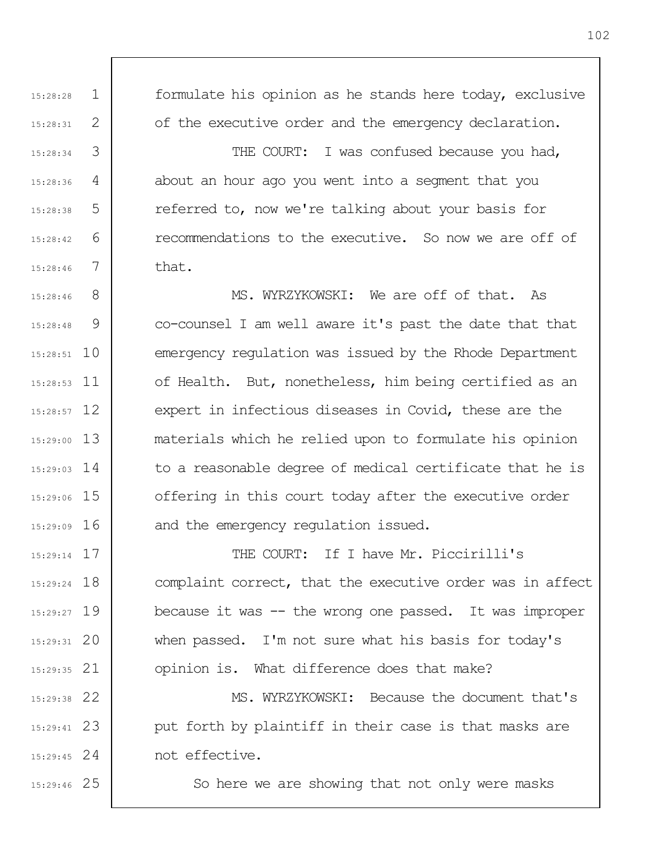formulate his opinion as he stands here today, exclusive of the executive order and the emergency declaration.

THE COURT: I was confused because you had, about an hour ago you went into a segment that you referred to, now we're talking about your basis for recommendations to the executive. So now we are off of that.

8 9 10 15:28:51 11 15:28:53 15:28:57 12 13 15:29:00 14 15:29:03 15 15:29:06 16 15:29:09 15:28:46 15:28:48 MS. WYRZYKOWSKI: We are off of that. As co-counsel I am well aware it's past the date that that emergency regulation was issued by the Rhode Department of Health. But, nonetheless, him being certified as an expert in infectious diseases in Covid, these are the materials which he relied upon to formulate his opinion to a reasonable degree of medical certificate that he is offering in this court today after the executive order and the emergency regulation issued.

17 15:29:14 18 15:29:24 15:29:27 19 20 15:29:31 21 15:29:35 22 15:29:38 THE COURT: If I have Mr. Piccirilli's complaint correct, that the executive order was in affect because it was -- the wrong one passed. It was improper when passed. I'm not sure what his basis for today's opinion is. What difference does that make? MS. WYRZYKOWSKI: Because the document that's

23 15:29:41 24 15:29:45 put forth by plaintiff in their case is that masks are not effective.

25 15:29:46

1

15:28:28

15:28:31

15:28:34

15:28:36

15:28:38

15:28:42

15:28:46

2

3

4

5

6

7

So here we are showing that not only were masks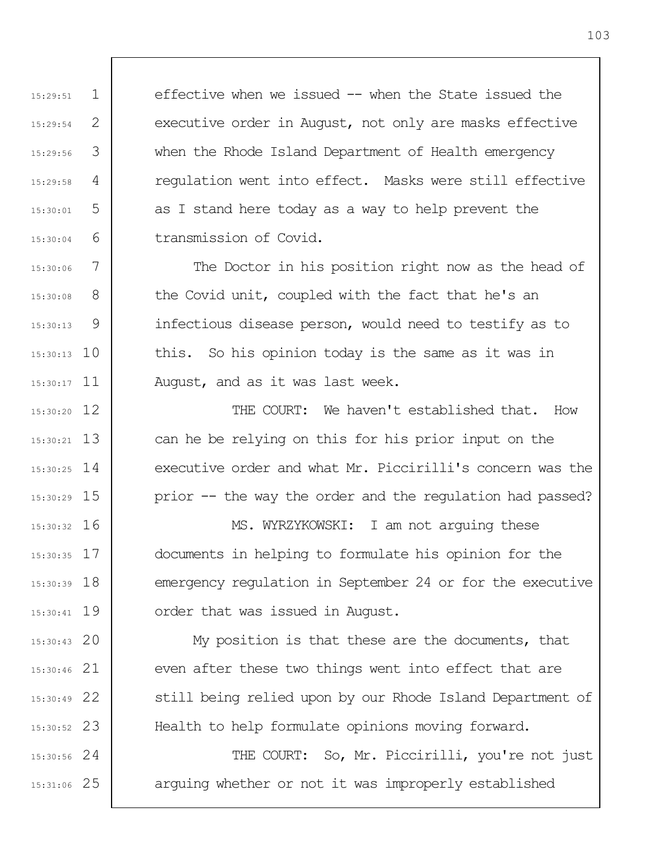effective when we issued -- when the State issued the executive order in August, not only are masks effective when the Rhode Island Department of Health emergency regulation went into effect. Masks were still effective as I stand here today as a way to help prevent the transmission of Covid.

1

15:29:51

15:29:54

15:29:56

15:29:58

15:30:01

15:30:04

15:30:06

15:30:08

15:30:13

2

3

4

5

6

7

8

9

15:30:13 10

15:30:17 11

15:30:20 12

13 15:30:21

14 15:30:25

15 15:30:29

20 15:30:43

21 15:30:46

22 15:30:49

23 15:30:52

The Doctor in his position right now as the head of the Covid unit, coupled with the fact that he's an infectious disease person, would need to testify as to this. So his opinion today is the same as it was in August, and as it was last week.

THE COURT: We haven't established that. How can he be relying on this for his prior input on the executive order and what Mr. Piccirilli's concern was the prior -- the way the order and the regulation had passed?

16 15:30:32 17 15:30:35 18 15:30:39 19 15:30:41 MS. WYRZYKOWSKI: I am not arguing these documents in helping to formulate his opinion for the emergency regulation in September 24 or for the executive order that was issued in August.

> My position is that these are the documents, that even after these two things went into effect that are still being relied upon by our Rhode Island Department of Health to help formulate opinions moving forward.

24 15:30:56 25 15:31:06 THE COURT: So, Mr. Piccirilli, you're not just arguing whether or not it was improperly established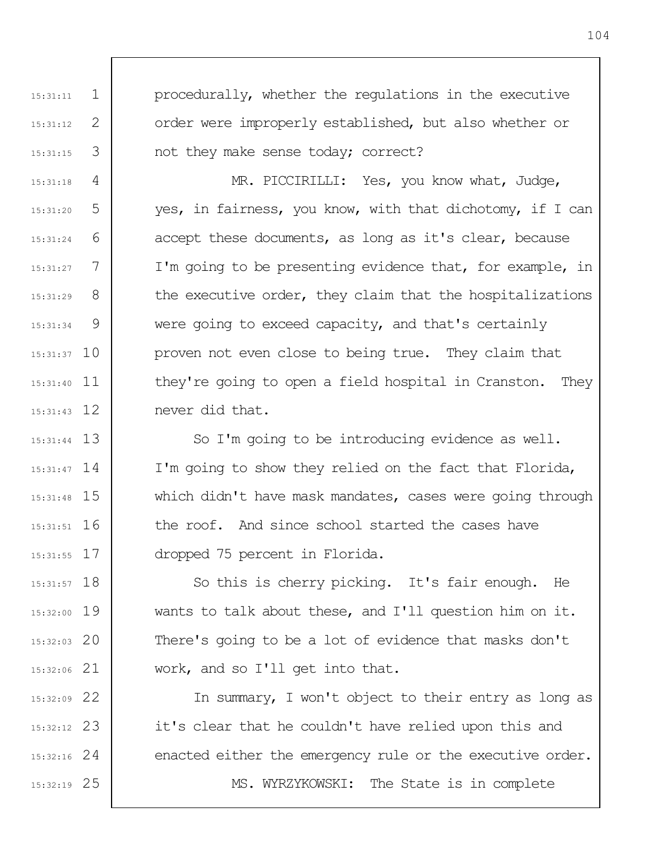1 2 3 4 5 6 7 8 9 15:31:37 10 15:31:40 11 15:31:43 12 15:31:11 15:31:12 15:31:15 15:31:18 15:31:20 15:31:24 15:31:27 15:31:29 15:31:34 procedurally, whether the regulations in the executive order were improperly established, but also whether or not they make sense today; correct? MR. PICCIRILLI: Yes, you know what, Judge, yes, in fairness, you know, with that dichotomy, if I can accept these documents, as long as it's clear, because I'm going to be presenting evidence that, for example, in the executive order, they claim that the hospitalizations were going to exceed capacity, and that's certainly proven not even close to being true. They claim that they're going to open a field hospital in Cranston. They never did that.

13 15:31:44 15:31:47 14 15 15:31:48 16 15:31:51 17 15:31:55 So I'm going to be introducing evidence as well. I'm going to show they relied on the fact that Florida, which didn't have mask mandates, cases were going through the roof. And since school started the cases have dropped 75 percent in Florida.

18 15:31:57 15:32:00 19 20 15:32:03 21 15:32:06 So this is cherry picking. It's fair enough. He wants to talk about these, and I'll question him on it. There's going to be a lot of evidence that masks don't work, and so I'll get into that.

22 15:32:09 23 15:32:12 24 15:32:16 25 15:32:19 In summary, I won't object to their entry as long as it's clear that he couldn't have relied upon this and enacted either the emergency rule or the executive order. MS. WYRZYKOWSKI: The State is in complete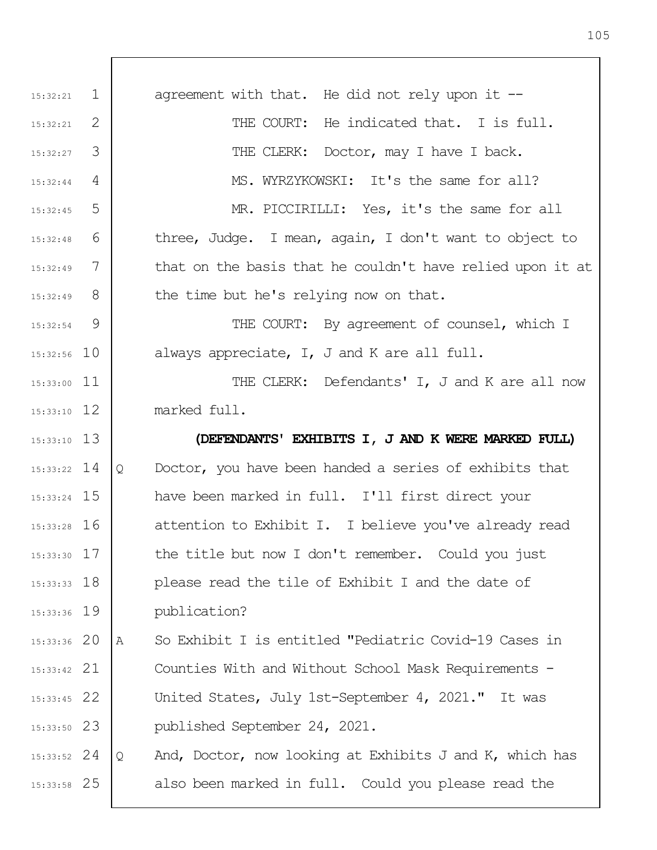1 2 3 4 5 6 7 8 9 15:32:56 10 15:33:00 11 15:33:10 12 13 15:33:10 14 15:33:22 15 15:33:24 16 15:33:28 17 15:33:30 18 15:33:33 15:33:36 19 20 15:33:36 21 15:33:42 22 15:33:45 23 15:33:50 24 15:33:52 25 15:33:58 15:32:21 15:32:21 15:32:27 15:32:44 15:32:45 15:32:48 15:32:49 15:32:49 15:32:54 agreement with that. He did not rely upon it  $-$ THE COURT: He indicated that. I is full. THE CLERK: Doctor, may I have I back. MS. WYRZYKOWSKI: It's the same for all? MR. PICCIRILLI: Yes, it's the same for all three, Judge. I mean, again, I don't want to object to that on the basis that he couldn't have relied upon it at the time but he's relying now on that. THE COURT: By agreement of counsel, which I always appreciate, I, J and K are all full. THE CLERK: Defendants' I, J and K are all now marked full. **(DEFENDANTS' EXHIBITS I, J AND K WERE MARKED FULL)** Q Doctor, you have been handed a series of exhibits that have been marked in full. I'll first direct your attention to Exhibit I. I believe you've already read the title but now I don't remember. Could you just please read the tile of Exhibit I and the date of publication? A So Exhibit I is entitled "Pediatric Covid-19 Cases in Counties With and Without School Mask Requirements - United States, July 1st-September 4, 2021." It was published September 24, 2021. Q And, Doctor, now looking at Exhibits J and K, which has also been marked in full. Could you please read the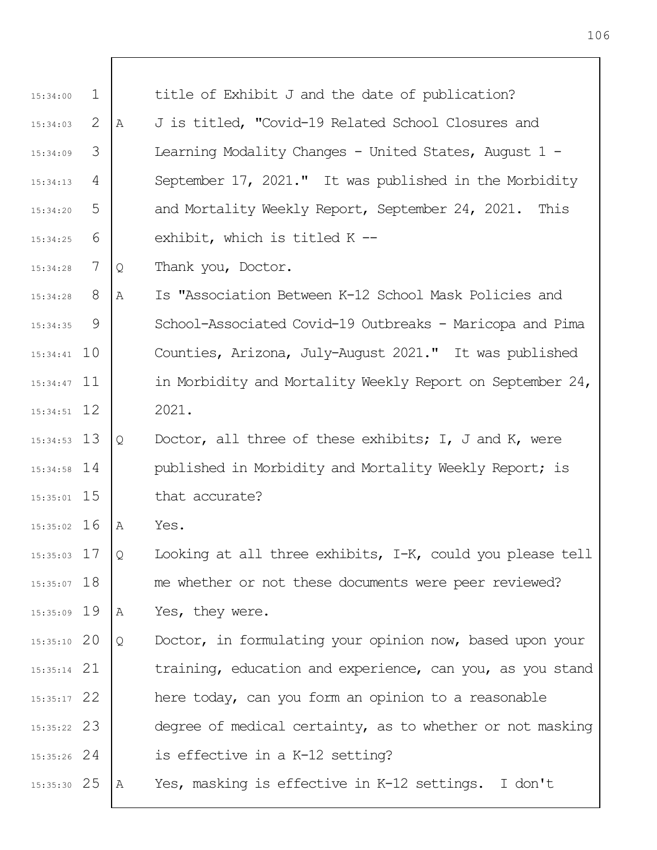| 15:34:00      | $\mathbf 1$ |   | title of Exhibit J and the date of publication?               |
|---------------|-------------|---|---------------------------------------------------------------|
| 15:34:03      | 2           | Α | J is titled, "Covid-19 Related School Closures and            |
| 15:34:09      | 3           |   | Learning Modality Changes - United States, August 1 -         |
| 15:34:13      | 4           |   | September 17, 2021." It was published in the Morbidity        |
| 15:34:20      | 5           |   | and Mortality Weekly Report, September 24, 2021. This         |
| 15:34:25      | 6           |   | exhibit, which is titled K --                                 |
| 15:34:28      | 7           | Q | Thank you, Doctor.                                            |
| 15:34:28      | 8           | Α | Is "Association Between K-12 School Mask Policies and         |
| 15:34:35      | 9           |   | School-Associated Covid-19 Outbreaks - Maricopa and Pima      |
| $15:34:41$ 10 |             |   | Counties, Arizona, July-August 2021." It was published        |
| $15:34:47$ 11 |             |   | in Morbidity and Mortality Weekly Report on September 24,     |
| $15:34:51$ 12 |             |   | 2021.                                                         |
| $15:34:53$ 13 |             | Q | Doctor, all three of these exhibits; $I$ , $J$ and $K$ , were |
| $15:34:58$ 14 |             |   | published in Morbidity and Mortality Weekly Report; is        |
| $15:35:01$ 15 |             |   | that accurate?                                                |
| $15:35:02$ 16 |             | Α | Yes.                                                          |
| $15:35:03$ 17 |             | Q | Looking at all three exhibits, I-K, could you please tell     |
| $15:35:07$ 18 |             |   | me whether or not these documents were peer reviewed?         |
| 15:35:09 19   |             | Α | Yes, they were.                                               |
| $15:35:10$ 20 |             | Q | Doctor, in formulating your opinion now, based upon your      |
| $15:35:14$ 21 |             |   | training, education and experience, can you, as you stand     |
| $15:35:17$ 22 |             |   | here today, can you form an opinion to a reasonable           |
| 15:35:22 23   |             |   | degree of medical certainty, as to whether or not masking     |
| $15:35:26$ 24 |             |   | is effective in a K-12 setting?                               |
| $15:35:30$ 25 |             | A | Yes, masking is effective in K-12 settings. I don't           |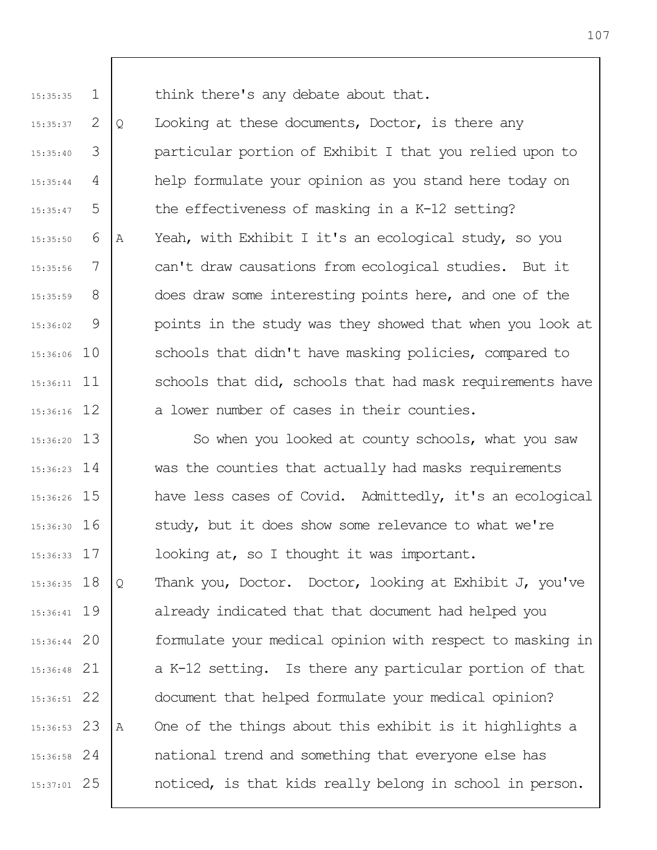15:35:35

1 think there's any debate about that.

2 3 4 5 6 7 8 9 15:36:06 10 15:36:11 11 12 15:36:16 15:35:37 15:35:40 15:35:44 15:35:47 15:35:50 15:35:56 15:35:59 15:36:02 Q Looking at these documents, Doctor, is there any particular portion of Exhibit I that you relied upon to help formulate your opinion as you stand here today on the effectiveness of masking in a K-12 setting? A Yeah, with Exhibit I it's an ecological study, so you can't draw causations from ecological studies. But it does draw some interesting points here, and one of the points in the study was they showed that when you look at schools that didn't have masking policies, compared to schools that did, schools that had mask requirements have a lower number of cases in their counties.

13 15:36:20 14 15:36:23 15 15:36:26 16 15:36:30 17 15:36:33 18 15:36:35 19 15:36:41 20 15:36:44 21 15:36:48 22 15:36:51 23 15:36:53 24 15:36:58 25 15:37:01 So when you looked at county schools, what you saw was the counties that actually had masks requirements have less cases of Covid. Admittedly, it's an ecological study, but it does show some relevance to what we're looking at, so I thought it was important. Q Thank you, Doctor. Doctor, looking at Exhibit J, you've already indicated that that document had helped you formulate your medical opinion with respect to masking in a K-12 setting. Is there any particular portion of that document that helped formulate your medical opinion? A One of the things about this exhibit is it highlights a national trend and something that everyone else has noticed, is that kids really belong in school in person.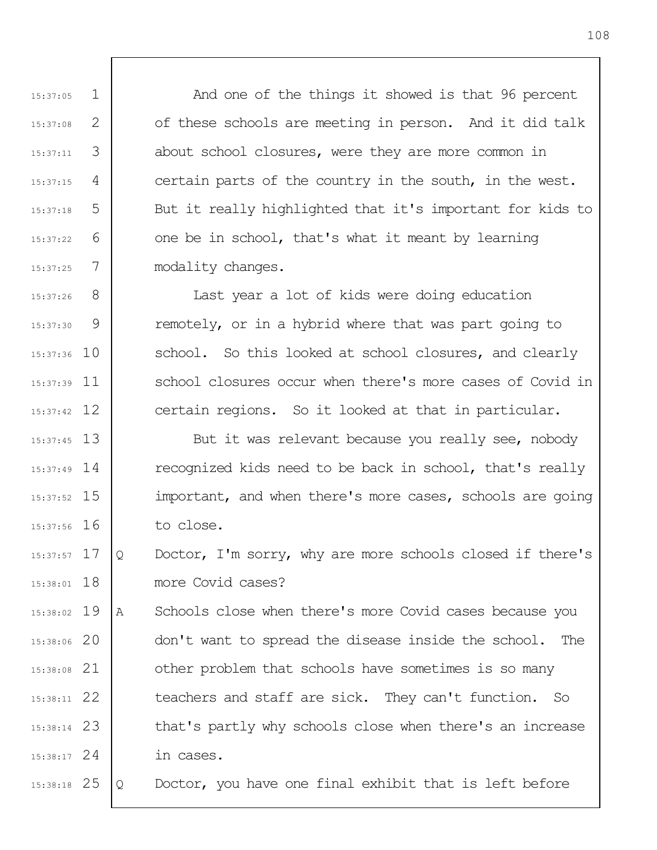And one of the things it showed is that 96 percent of these schools are meeting in person. And it did talk about school closures, were they are more common in certain parts of the country in the south, in the west. But it really highlighted that it's important for kids to one be in school, that's what it meant by learning modality changes.

8 9 15:37:36 10 15:37:39 11 15:37:42 12 15:37:26 15:37:30 Last year a lot of kids were doing education remotely, or in a hybrid where that was part going to school. So this looked at school closures, and clearly school closures occur when there's more cases of Covid in certain regions. So it looked at that in particular.

1

15:37:05

15:37:08

15:37:11

15:37:15

15:37:18

15:37:22

15:37:25

2

3

4

5

6

7

13 15:37:45 15:37:49 14 15 15:37:52 16 15:37:56 But it was relevant because you really see, nobody recognized kids need to be back in school, that's really important, and when there's more cases, schools are going to close.

17 15:37:57 18 15:38:01 Q Doctor, I'm sorry, why are more schools closed if there's more Covid cases?

19 15:38:02 20 15:38:06 21 15:38:08 22 15:38:11 23 15:38:14 24 15:38:17 A Schools close when there's more Covid cases because you don't want to spread the disease inside the school. The other problem that schools have sometimes is so many teachers and staff are sick. They can't function. So that's partly why schools close when there's an increase in cases.

25 15:38:18 Q Doctor, you have one final exhibit that is left before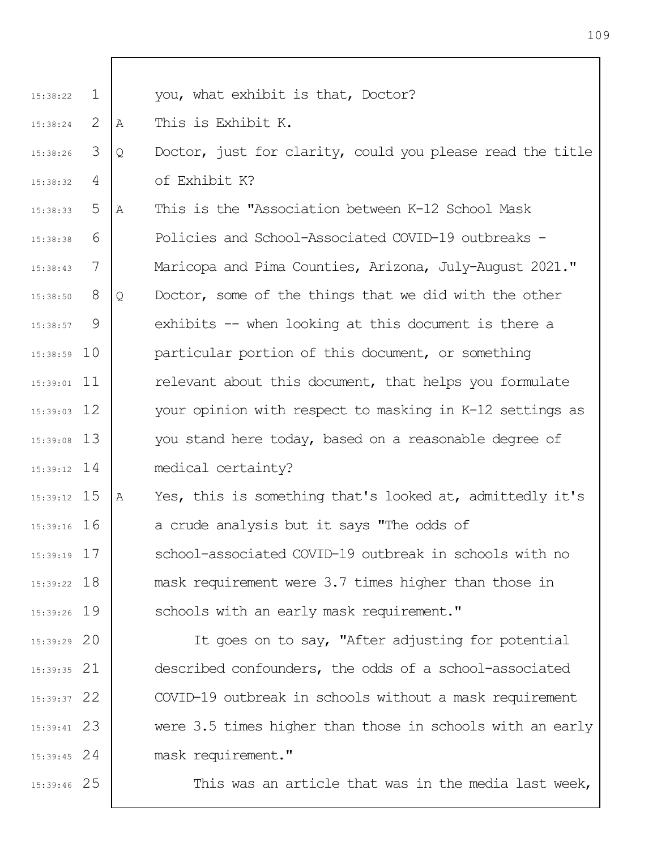| $\mathbf{1}$ |                                                                                                                                                                                                                                                                          | you, what exhibit is that, Doctor?                        |
|--------------|--------------------------------------------------------------------------------------------------------------------------------------------------------------------------------------------------------------------------------------------------------------------------|-----------------------------------------------------------|
| 2            | A                                                                                                                                                                                                                                                                        | This is Exhibit K.                                        |
| 3            | Q                                                                                                                                                                                                                                                                        | Doctor, just for clarity, could you please read the title |
| 4            |                                                                                                                                                                                                                                                                          | of Exhibit K?                                             |
| 5            | Α                                                                                                                                                                                                                                                                        | This is the "Association between K-12 School Mask         |
| 6            |                                                                                                                                                                                                                                                                          | Policies and School-Associated COVID-19 outbreaks -       |
| 7            |                                                                                                                                                                                                                                                                          | Maricopa and Pima Counties, Arizona, July-August 2021."   |
| 8            | Q                                                                                                                                                                                                                                                                        | Doctor, some of the things that we did with the other     |
| 9            |                                                                                                                                                                                                                                                                          | exhibits -- when looking at this document is there a      |
|              |                                                                                                                                                                                                                                                                          | particular portion of this document, or something         |
|              |                                                                                                                                                                                                                                                                          | relevant about this document, that helps you formulate    |
|              |                                                                                                                                                                                                                                                                          | your opinion with respect to masking in K-12 settings as  |
|              |                                                                                                                                                                                                                                                                          | you stand here today, based on a reasonable degree of     |
|              |                                                                                                                                                                                                                                                                          | medical certainty?                                        |
|              | Α                                                                                                                                                                                                                                                                        | Yes, this is something that's looked at, admittedly it's  |
|              |                                                                                                                                                                                                                                                                          | a crude analysis but it says "The odds of                 |
|              |                                                                                                                                                                                                                                                                          | school-associated COVID-19 outbreak in schools with no    |
|              |                                                                                                                                                                                                                                                                          | mask requirement were 3.7 times higher than those in      |
|              |                                                                                                                                                                                                                                                                          | schools with an early mask requirement."                  |
|              |                                                                                                                                                                                                                                                                          | It goes on to say, "After adjusting for potential         |
|              |                                                                                                                                                                                                                                                                          | described confounders, the odds of a school-associated    |
|              |                                                                                                                                                                                                                                                                          | COVID-19 outbreak in schools without a mask requirement   |
|              |                                                                                                                                                                                                                                                                          | were 3.5 times higher than those in schools with an early |
|              |                                                                                                                                                                                                                                                                          | mask requirement."                                        |
|              |                                                                                                                                                                                                                                                                          | This was an article that was in the media last week,      |
|              | $15:38:59$ 10<br>$15:39:01$ 11<br>$15:39:03$ 12<br>$15:39:08$ 13<br>$15:39:12$ 14<br>$15:39:12$ 15<br>$15:39:16$ 16<br>$15:39:19$ 17<br>$15:39:22$ 18<br>15:39:26 19<br>$15:39:29$ 20<br>$15:39:35$ 21<br>$15:39:37$ 22<br>$15:39:41$ 23<br>$15:39:45$ 24<br>15:39:46 25 |                                                           |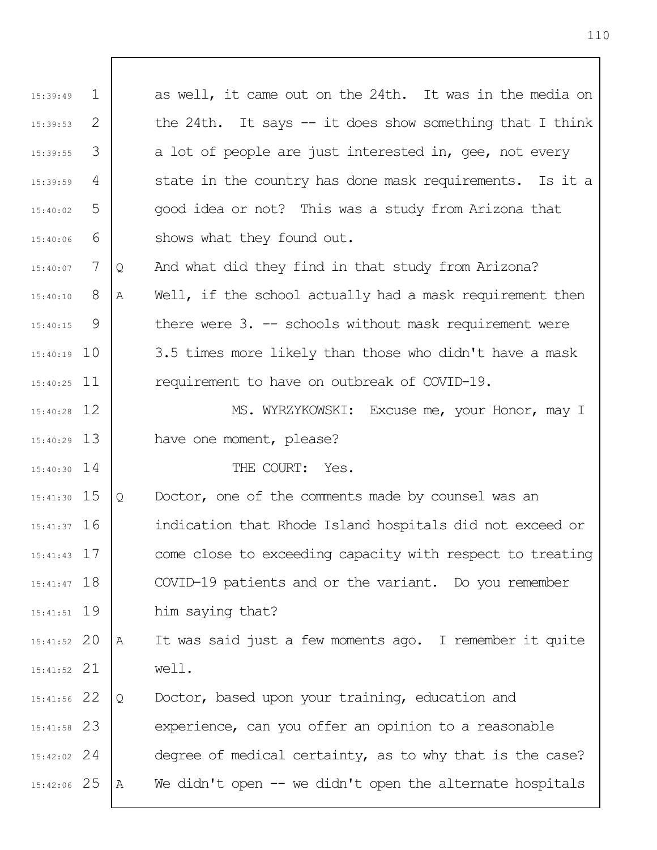| 15:39:49      | $\mathbf{1}$ |   | as well, it came out on the 24th. It was in the media on   |
|---------------|--------------|---|------------------------------------------------------------|
| 15:39:53      | 2            |   | the 24th. It says $-$ it does show something that I think  |
| 15:39:55      | 3            |   | a lot of people are just interested in, gee, not every     |
| 15:39:59      | 4            |   | state in the country has done mask requirements. Is it a   |
| 15:40:02      | 5            |   | good idea or not? This was a study from Arizona that       |
| 15:40:06      | 6            |   | shows what they found out.                                 |
| 15:40:07      | 7            | Q | And what did they find in that study from Arizona?         |
| 15:40:10      | 8            | Α | Well, if the school actually had a mask requirement then   |
| 15:40:15      | 9            |   | there were $3. -$ schools without mask requirement were    |
| $15:40:19$ 10 |              |   | 3.5 times more likely than those who didn't have a mask    |
| $15:40:25$ 11 |              |   | requirement to have on outbreak of COVID-19.               |
| $15:40:28$ 12 |              |   | MS. WYRZYKOWSKI: Excuse me, your Honor, may I              |
| $15:40:29$ 13 |              |   | have one moment, please?                                   |
| $15:40:30$ 14 |              |   | THE COURT: Yes.                                            |
| $15:41:30$ 15 |              | Q | Doctor, one of the comments made by counsel was an         |
| $15:41:37$ 16 |              |   | indication that Rhode Island hospitals did not exceed or   |
| $15:41:43$ 17 |              |   | come close to exceeding capacity with respect to treating  |
| $15:41:47$ 18 |              |   | COVID-19 patients and or the variant. Do you remember      |
| $15:41:51$ 19 |              |   | him saying that?                                           |
| $15:41:52$ 20 |              | Α | It was said just a few moments ago. I remember it quite    |
| $15:41:52$ 21 |              |   | well.                                                      |
| $15:41:56$ 22 |              | Q | Doctor, based upon your training, education and            |
| $15:41:58$ 23 |              |   | experience, can you offer an opinion to a reasonable       |
| $15:42:02$ 24 |              |   | degree of medical certainty, as to why that is the case?   |
| 15:42:06 25   |              | А | We didn't open $--$ we didn't open the alternate hospitals |
|               |              |   |                                                            |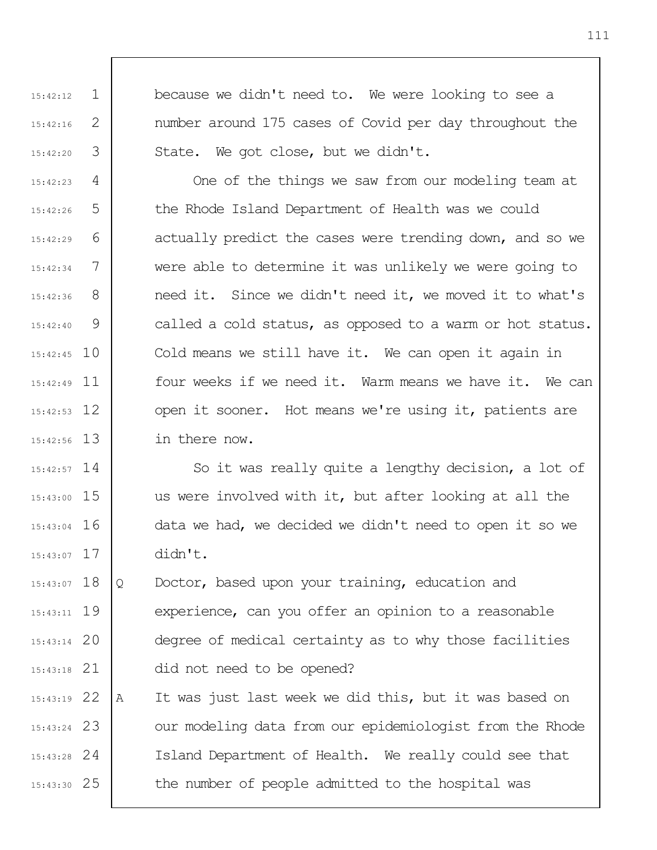because we didn't need to. We were looking to see a number around 175 cases of Covid per day throughout the State. We got close, but we didn't.

1

15:42:12

15:42:16

15:42:20

2

3

4 5 6 7 8 9 15:42:45 10 15:42:49 11 12 15:42:53 13 15:42:56 15:42:23 15:42:26 15:42:29 15:42:34 15:42:36 15:42:40 One of the things we saw from our modeling team at the Rhode Island Department of Health was we could actually predict the cases were trending down, and so we were able to determine it was unlikely we were going to need it. Since we didn't need it, we moved it to what's called a cold status, as opposed to a warm or hot status. Cold means we still have it. We can open it again in four weeks if we need it. Warm means we have it. We can open it sooner. Hot means we're using it, patients are in there now.

15:42:57 14 15 15:43:00 16 15:43:04 17 15:43:07 So it was really quite a lengthy decision, a lot of us were involved with it, but after looking at all the data we had, we decided we didn't need to open it so we didn't.

15:43:07 18 19 15:43:11 20 15:43:14 21 15:43:18 Q Doctor, based upon your training, education and experience, can you offer an opinion to a reasonable degree of medical certainty as to why those facilities did not need to be opened?

22 15:43:19 23 15:43:24 24 15:43:28 25 15:43:30 A It was just last week we did this, but it was based on our modeling data from our epidemiologist from the Rhode Island Department of Health. We really could see that the number of people admitted to the hospital was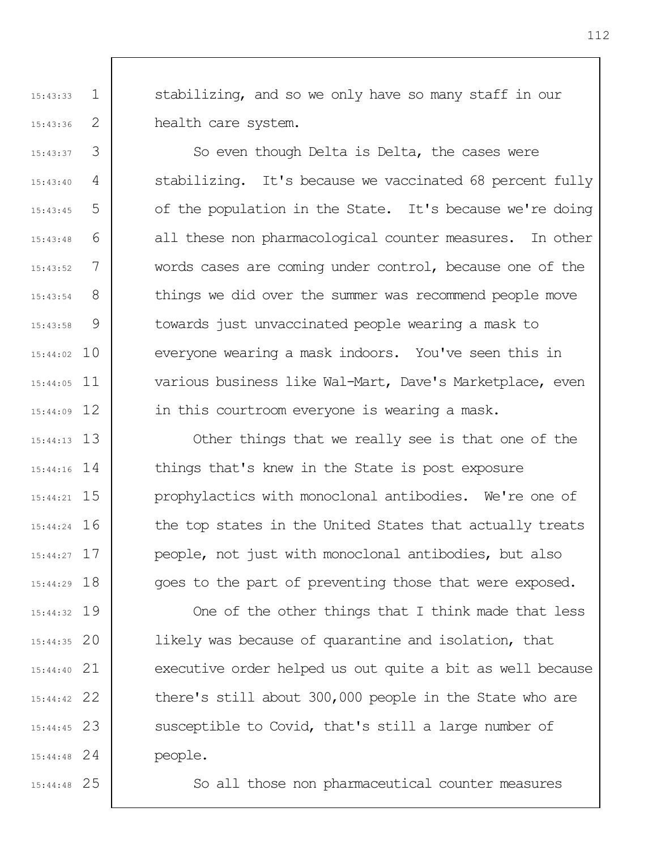stabilizing, and so we only have so many staff in our health care system.

3 4 5 6 7 8 9 15:44:02 10 15:44:05 11 15:44:09 12 So even though Delta is Delta, the cases were stabilizing. It's because we vaccinated 68 percent fully of the population in the State. It's because we're doing all these non pharmacological counter measures. In other words cases are coming under control, because one of the things we did over the summer was recommend people move towards just unvaccinated people wearing a mask to everyone wearing a mask indoors. You've seen this in various business like Wal-Mart, Dave's Marketplace, even in this courtroom everyone is wearing a mask.

> Other things that we really see is that one of the things that's knew in the State is post exposure prophylactics with monoclonal antibodies. We're one of the top states in the United States that actually treats people, not just with monoclonal antibodies, but also goes to the part of preventing those that were exposed.

One of the other things that I think made that less likely was because of quarantine and isolation, that executive order helped us out quite a bit as well because there's still about 300,000 people in the State who are susceptible to Covid, that's still a large number of people.

25 15:44:48

13 15:44:13

15:44:16 14

15 15:44:21

16 15:44:24

17 15:44:27

18 15:44:29

19 15:44:32

20 15:44:35

21 15:44:40

22 15:44:42

23 15:44:45

24 15:44:48

1

15:43:33

15:43:36

15:43:37

15:43:40

15:43:45

15:43:48

15:43:52

15:43:54

15:43:58

2

So all those non pharmaceutical counter measures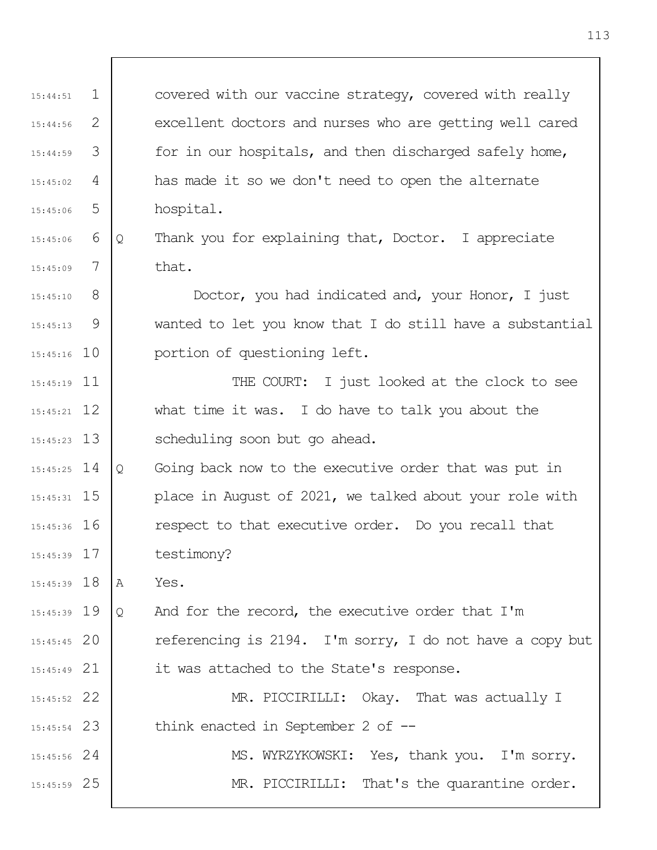1 2 3 4 5 6 7 8 9 15:45:16 10 15:45:19 11 12 15:45:21 13 15:45:23 14 15:45:25 15 15:45:31 16 15:45:36 17 15:45:39 18 15:45:39 19 15:45:39 20 15:45:45 21 15:45:49 22 15:45:52 23 15:45:54 24 15:45:56 25 15:45:59 15:44:51 15:44:56 15:44:59 15:45:02 15:45:06 15:45:06 15:45:09 15:45:10 15:45:13 covered with our vaccine strategy, covered with really excellent doctors and nurses who are getting well cared for in our hospitals, and then discharged safely home, has made it so we don't need to open the alternate hospital. Q Thank you for explaining that, Doctor. I appreciate that. Doctor, you had indicated and, your Honor, I just wanted to let you know that I do still have a substantial portion of questioning left. THE COURT: I just looked at the clock to see what time it was. I do have to talk you about the scheduling soon but go ahead. Q Going back now to the executive order that was put in place in August of 2021, we talked about your role with respect to that executive order. Do you recall that testimony? A Yes. Q And for the record, the executive order that I'm referencing is 2194. I'm sorry, I do not have a copy but it was attached to the State's response. MR. PICCIRILLI: Okay. That was actually I think enacted in September 2 of --MS. WYRZYKOWSKI: Yes, thank you. I'm sorry. MR. PICCIRILLI: That's the quarantine order.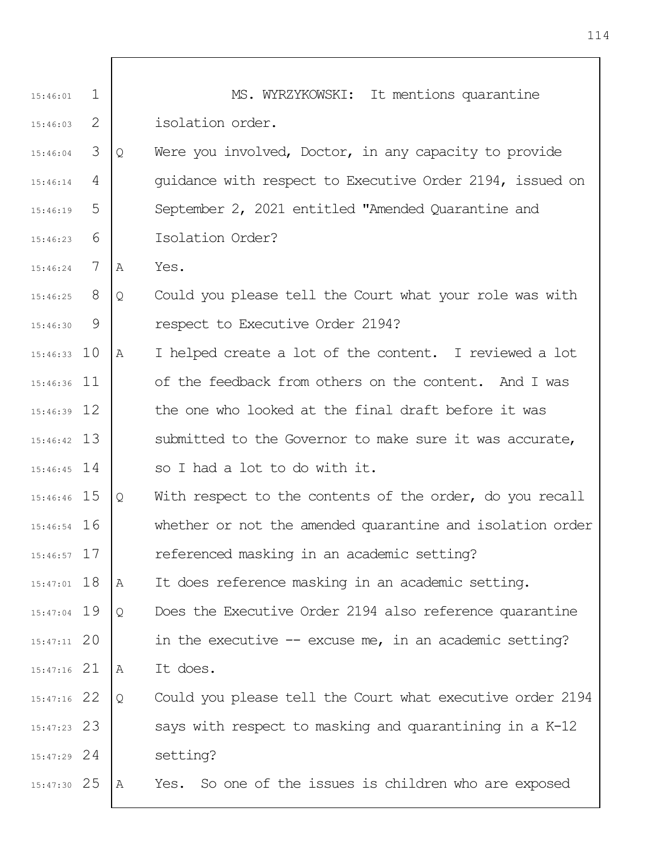| 15:46:01      | $\mathbf{1}$ |   | MS. WYRZYKOWSKI: It mentions quarantine                   |
|---------------|--------------|---|-----------------------------------------------------------|
| 15:46:03      | 2            |   | isolation order.                                          |
| 15:46:04      | 3            | Q | Were you involved, Doctor, in any capacity to provide     |
| 15:46:14      | 4            |   | quidance with respect to Executive Order 2194, issued on  |
| 15:46:19      | 5            |   | September 2, 2021 entitled "Amended Quarantine and        |
| 15:46:23      | 6            |   | Isolation Order?                                          |
| 15:46:24      | 7            | A | Yes.                                                      |
| $15:46:25$ 8  |              | Q | Could you please tell the Court what your role was with   |
| 15:46:30      | 9            |   | respect to Executive Order 2194?                          |
| $15:46:33$ 10 |              | A | I helped create a lot of the content. I reviewed a lot    |
| $15:46:36$ 11 |              |   | of the feedback from others on the content. And I was     |
| $15:46:39$ 12 |              |   | the one who looked at the final draft before it was       |
| $15:46:42$ 13 |              |   | submitted to the Governor to make sure it was accurate,   |
| $15:46:45$ 14 |              |   | so I had a lot to do with it.                             |
| 15:46:46 15   |              | Q | With respect to the contents of the order, do you recall  |
| $15:46:54$ 16 |              |   | whether or not the amended quarantine and isolation order |
| $15:46:57$ 17 |              |   | referenced masking in an academic setting?                |
| $15:47:01$ 18 |              | Α | It does reference masking in an academic setting.         |
| $15:47:04$ 19 |              | Q | Does the Executive Order 2194 also reference quarantine   |
| $15:47:11$ 20 |              |   | in the executive $-$ excuse me, in an academic setting?   |
| $15:47:16$ 21 |              | Α | It does.                                                  |
| $15:47:16$ 22 |              | Q | Could you please tell the Court what executive order 2194 |
| $15:47:23$ 23 |              |   | says with respect to masking and quarantining in a K-12   |
| $15:47:29$ 24 |              |   | setting?                                                  |
| $15:47:30$ 25 |              | A | Yes. So one of the issues is children who are exposed     |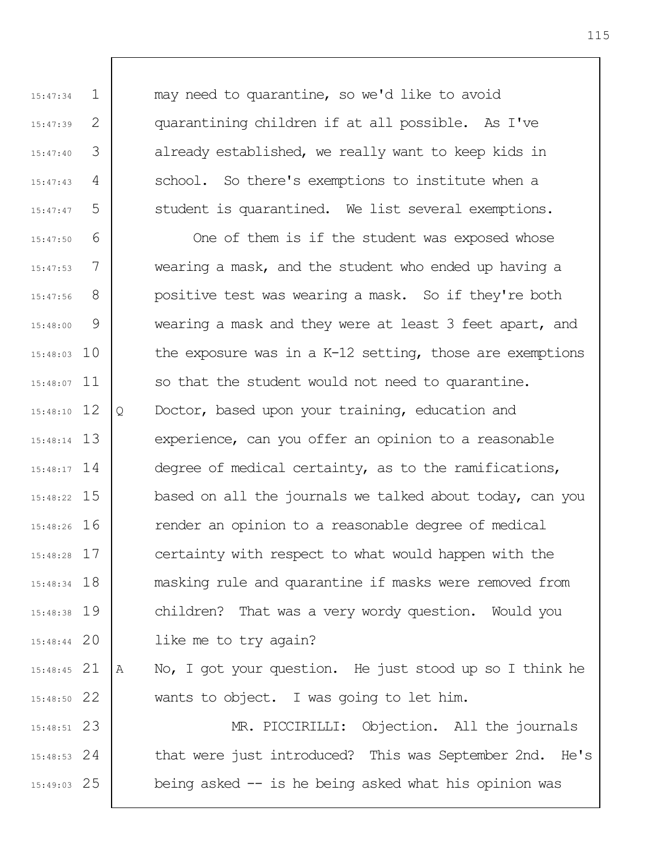may need to quarantine, so we'd like to avoid quarantining children if at all possible. As I've already established, we really want to keep kids in school. So there's exemptions to institute when a student is quarantined. We list several exemptions.

1

15:47:34

15:47:39

15:47:40

15:47:43

15:47:47

2

3

4

5

6 7 8 9 15:48:03 10 15:48:07 11 12 15:48:10 13 15:48:14 15:48:17 14 15 15:48:22 16 15:48:26 17 15:48:28 18 15:48:34 15:48:38 19 20 15:48:44 21 15:48:45 22 15:48:50 15:47:50 15:47:53 15:47:56 15:48:00 One of them is if the student was exposed whose wearing a mask, and the student who ended up having a positive test was wearing a mask. So if they're both wearing a mask and they were at least 3 feet apart, and the exposure was in a K-12 setting, those are exemptions so that the student would not need to quarantine. Q Doctor, based upon your training, education and experience, can you offer an opinion to a reasonable degree of medical certainty, as to the ramifications, based on all the journals we talked about today, can you render an opinion to a reasonable degree of medical certainty with respect to what would happen with the masking rule and quarantine if masks were removed from children? That was a very wordy question. Would you like me to try again? A No, I got your question. He just stood up so I think he wants to object. I was going to let him.

23 15:48:51 24 15:48:53 25 15:49:03 MR. PICCIRILLI: Objection. All the journals that were just introduced? This was September 2nd. He's being asked -- is he being asked what his opinion was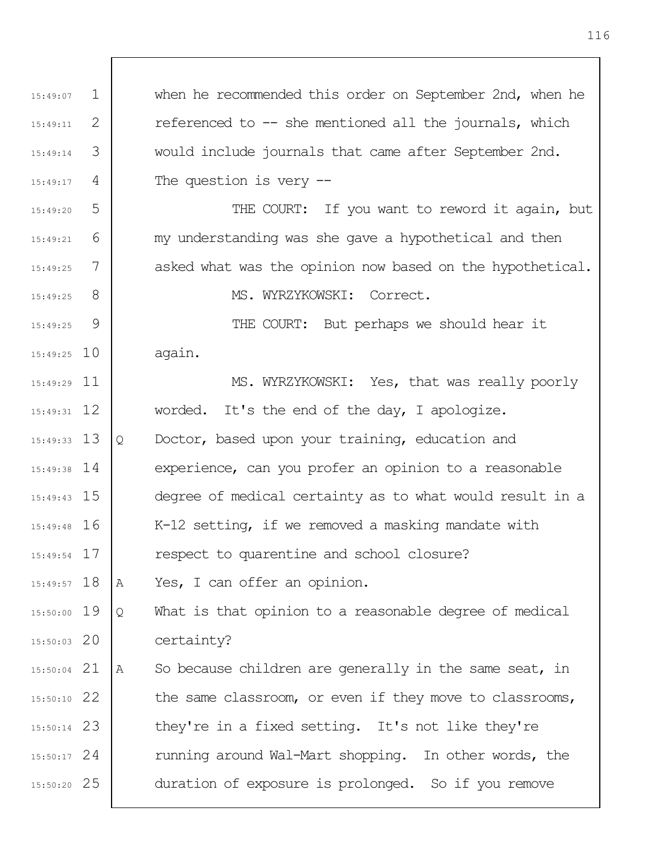1 2 3 4 5 6 7 8 9 15:49:25 10 15:49:29 11 15:49:31 12 13 15:49:33 15:49:38 14 15 15:49:43 16 15:49:48 17 15:49:54 18 15:49:57 19 15:50:00 20 15:50:03 21 15:50:04 22 15:50:10 23 15:50:14 24 15:50:17 25 15:50:20 15:49:07 15:49:11 15:49:14 15:49:17 15:49:20 15:49:21 15:49:25 15:49:25 15:49:25 when he recommended this order on September 2nd, when he referenced to -- she mentioned all the journals, which would include journals that came after September 2nd. The question is very -- THE COURT: If you want to reword it again, but my understanding was she gave a hypothetical and then asked what was the opinion now based on the hypothetical. MS. WYRZYKOWSKI: Correct. THE COURT: But perhaps we should hear it again. MS. WYRZYKOWSKI: Yes, that was really poorly worded. It's the end of the day, I apologize. Q Doctor, based upon your training, education and experience, can you profer an opinion to a reasonable degree of medical certainty as to what would result in a K-12 setting, if we removed a masking mandate with respect to quarentine and school closure? A Yes, I can offer an opinion. Q What is that opinion to a reasonable degree of medical certainty? A So because children are generally in the same seat, in the same classroom, or even if they move to classrooms, they're in a fixed setting. It's not like they're running around Wal-Mart shopping. In other words, the duration of exposure is prolonged. So if you remove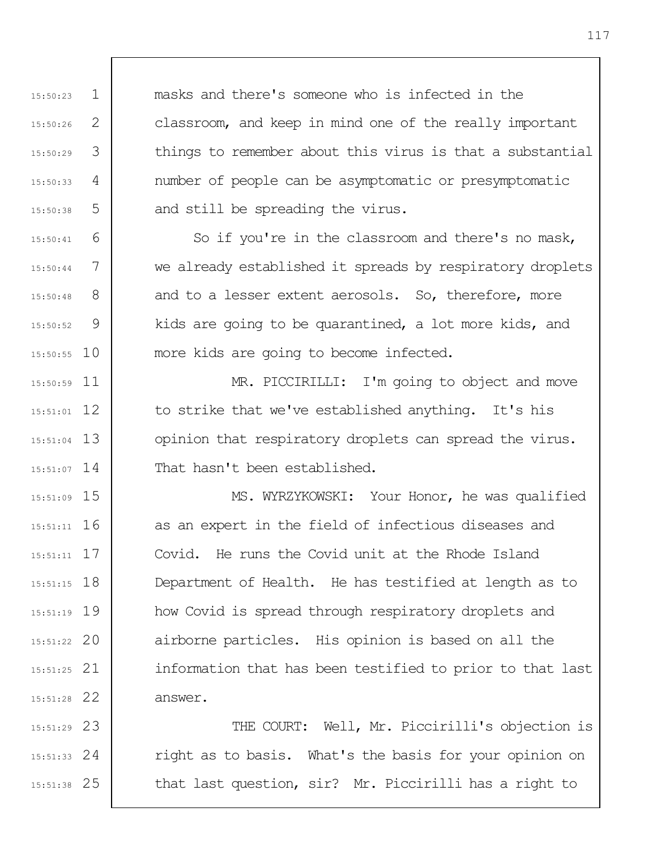masks and there's someone who is infected in the classroom, and keep in mind one of the really important things to remember about this virus is that a substantial number of people can be asymptomatic or presymptomatic and still be spreading the virus.

1

15:50:23

15:50:26

15:50:29

15:50:33

15:50:38

15:50:41

15:50:44

15:50:48

15:50:52

2

3

4

5

6

7

8

9

10 15:50:55

So if you're in the classroom and there's no mask, we already established it spreads by respiratory droplets and to a lesser extent aerosols. So, therefore, more kids are going to be quarantined, a lot more kids, and more kids are going to become infected.

11 15:50:59 12 15:51:01 13 15:51:04 15:51:07 14 MR. PICCIRILLI: I'm going to object and move to strike that we've established anything. It's his opinion that respiratory droplets can spread the virus. That hasn't been established.

15 15:51:09 16 15:51:11 17 15:51:11 18 15:51:15 19 15:51:19 20 15:51:22 21 15:51:25 22 15:51:28 MS. WYRZYKOWSKI: Your Honor, he was qualified as an expert in the field of infectious diseases and Covid. He runs the Covid unit at the Rhode Island Department of Health. He has testified at length as to how Covid is spread through respiratory droplets and airborne particles. His opinion is based on all the information that has been testified to prior to that last answer.

23 15:51:29 24 15:51:33 25 15:51:38 THE COURT: Well, Mr. Piccirilli's objection is right as to basis. What's the basis for your opinion on that last question, sir? Mr. Piccirilli has a right to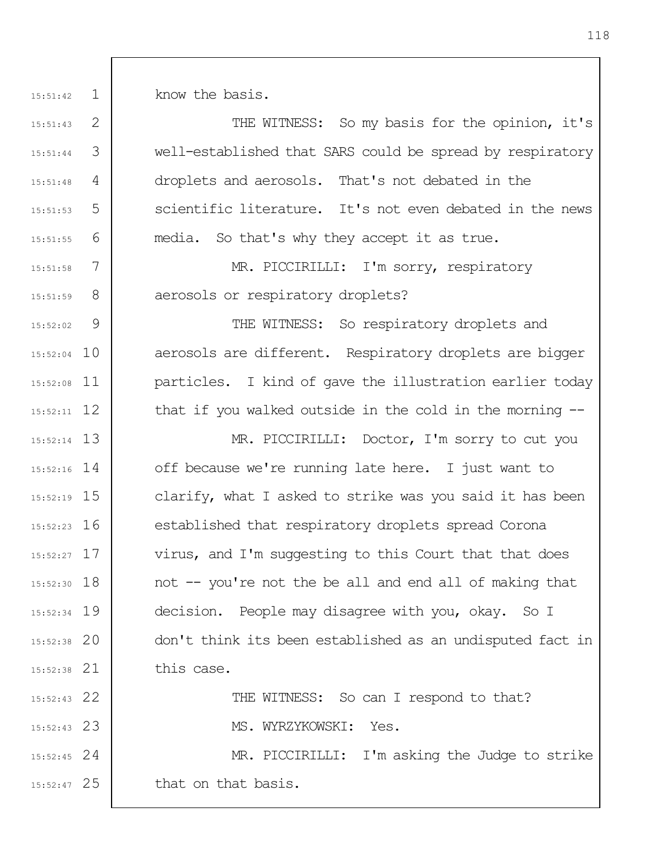1 15:51:42

15:51:43

15:51:44

15:51:48

15:51:53

15:51:55

15:51:58

15:51:59

15:52:02

2

3

4

5

6

9

15:52:04 10

15:52:08 11

15:52:11 12

22 15:52:43

23 15:52:43

know the basis.

THE WITNESS: So my basis for the opinion, it's well-established that SARS could be spread by respiratory droplets and aerosols. That's not debated in the scientific literature. It's not even debated in the news media. So that's why they accept it as true.

7 8 MR. PICCIRILLI: I'm sorry, respiratory aerosols or respiratory droplets?

THE WITNESS: So respiratory droplets and aerosols are different. Respiratory droplets are bigger particles. I kind of gave the illustration earlier today that if you walked outside in the cold in the morning --

13 15:52:14 14 15:52:16 15 15:52:19 16 15:52:23 17 15:52:27 18 15:52:30 19 15:52:34 20 15:52:38 21 15:52:38 MR. PICCIRILLI: Doctor, I'm sorry to cut you off because we're running late here. I just want to clarify, what I asked to strike was you said it has been established that respiratory droplets spread Corona virus, and I'm suggesting to this Court that that does not -- you're not the be all and end all of making that decision. People may disagree with you, okay. So I don't think its been established as an undisputed fact in this case.

THE WITNESS: So can I respond to that?

MS. WYRZYKOWSKI: Yes.

24 15:52:45 25 15:52:47 MR. PICCIRILLI: I'm asking the Judge to strike that on that basis.